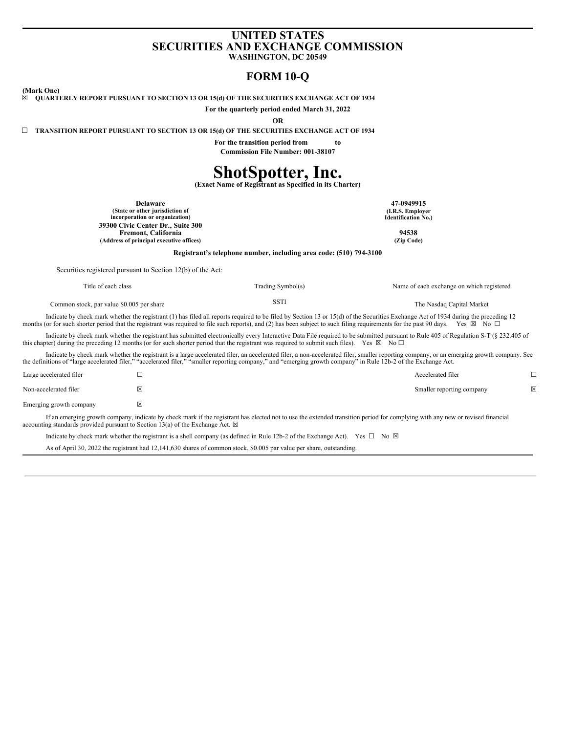## **UNITED STATES SECURITIES AND EXCHANGE COMMISSION WASHINGTON, DC 20549**

# **FORM 10-Q**

**(Mark One)**

**☒ QUARTERLY REPORT PURSUANT TO SECTION 13 OR 15(d) OF THE SECURITIES EXCHANGE ACT OF 1934**

**For the quarterly period ended March 31, 2022**

**OR**

**☐ TRANSITION REPORT PURSUANT TO SECTION 13 OR 15(d) OF THE SECURITIES EXCHANGE ACT OF 1934**

**For the transition period from to**

**Commission File Number: 001-38107**

# **ShotSpotter, Inc.**

**(Exact Name of Registrant as Specified in its Charter)**

**Delaware 47-0949915 (State or other jurisdiction of incorporation or organization) (I.R.S. Employer Identification No.) 39300 Civic Center Dr., Suite 300 Fremont, California 94538 (Address of principal executive offices) (Zip Code) Registrant's telephone number, including area code: (510) 794-3100** Securities registered pursuant to Section 12(b) of the Act: Title of each class Trading Symbol(s) Name of each exchange on which registered Common stock, par value \$0.005 per share SSTI SSTI SSTI The Nasdaq Capital Market Indicate by check mark whether the registrant (1) has filed all reports required to be filed by Section 13 or 15(d) of the Securities Exchange Act of 1934 during the preceding 12 months (or for such shorter period that the registrant was required to file such reports), and (2) has been subject to such filing requirements for the past 90 days. Yes  $\boxtimes$  No  $\Box$ Indicate by check mark whether the registrant has submitted electronically every Interactive Data File required to be submitted pursuant to Rule 405 of Regulation S-T (§ 232.405 of this chapter) during the preceding 12 months (or for such shorter period that the registrant was required to submit such files). Yes  $\boxtimes$  No  $\Box$ Indicate by check mark whether the registrant is a large accelerated filer, an accelerated filer, a non-accelerated filer, smaller reporting company, or an emerging growth company. See the definitions of "large accelerated filer," "accelerated filer," "smaller reporting company," and "emerging growth company" in Rule 12b-2 of the Exchange Act. Large accelerated filer □ □ □ Accelerated filer □ □ Non-accelerated filer ☒ Smaller reporting company ☒ Emerging growth company  $\boxtimes$ If an emerging growth company, indicate by check mark if the registrant has elected not to use the extended transition period for complying with any new or revised financial accounting standards provided pursuant to Section 13(a) of the Exchange Act.  $\boxtimes$ 

Indicate by check mark whether the registrant is a shell company (as defined in Rule 12b-2 of the Exchange Act). Yes  $\Box$  No  $\boxtimes$ As of April 30, 2022 the registrant had 12,141,630 shares of common stock, \$0.005 par value per share, outstanding.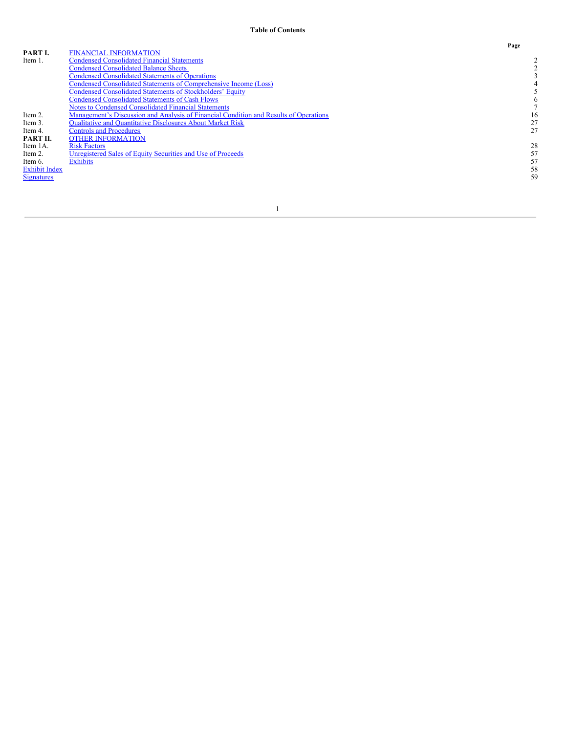**P a g e**

2

2

3

4

5

6

7

1 6

2 7

2 7

2 8

5 7

5 7

5 8

| PART I.              | <b>FINANCIAL INFORMATION</b>                                                          |
|----------------------|---------------------------------------------------------------------------------------|
| Item 1.              | <b>Condensed Consolidated Financial Statements</b>                                    |
|                      | <b>Condensed Consolidated Balance Sheets</b>                                          |
|                      | <b>Condensed Consolidated Statements of Operations</b>                                |
|                      | <b>Condensed Consolidated Statements of Comprehensive Income (Loss)</b>               |
|                      | <b>Condensed Consolidated Statements of Stockholders' Equity</b>                      |
|                      | <b>Condensed Consolidated Statements of Cash Flows</b>                                |
|                      | <b>Notes to Condensed Consolidated Financial Statements</b>                           |
| Item 2.              | Management's Discussion and Analysis of Financial Condition and Results of Operations |
| Item 3.              | <b>Oualitative and Quantitative Disclosures About Market Risk</b>                     |
| Item 4.              | <b>Controls and Procedures</b>                                                        |
| PART II.             | <b>OTHER INFORMATION</b>                                                              |
| Item 1A.             | <b>Risk Factors</b>                                                                   |
| Item 2.              | Unregistered Sales of Equity Securities and Use of Proceeds                           |
| Item 6.              | <b>Exhibits</b>                                                                       |
| <b>Exhibit Index</b> |                                                                                       |
| <b>Signatures</b>    |                                                                                       |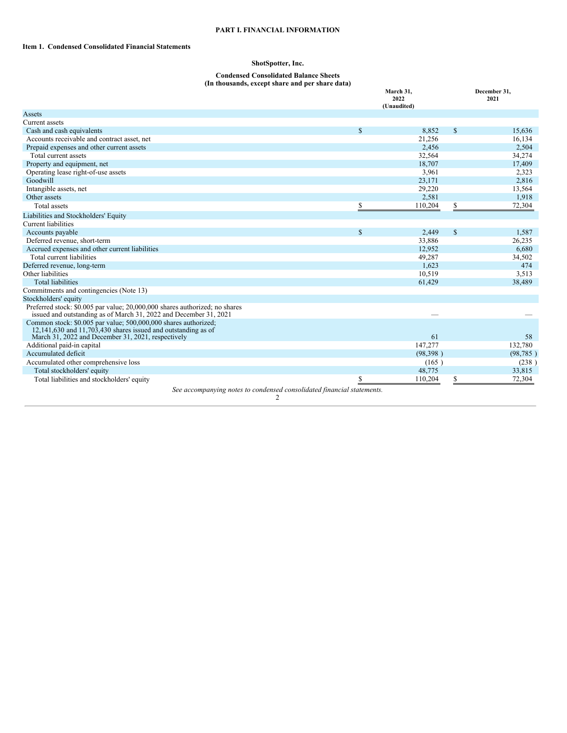### **PART I. FINANCIAL INFORMATION**

### <span id="page-2-1"></span><span id="page-2-0"></span>**Item 1. Condensed Consolidated Financial Statements**

### **ShotSpotter, Inc.**

### **Condensed Consolidated Balance Sheets (In thousands, except share and per share data)**

<span id="page-2-2"></span>

|                                                                                                                                                                                            |              | March 31,<br>2022<br>(Unaudited) |               |           |
|--------------------------------------------------------------------------------------------------------------------------------------------------------------------------------------------|--------------|----------------------------------|---------------|-----------|
| Assets                                                                                                                                                                                     |              |                                  |               |           |
| Current assets                                                                                                                                                                             |              |                                  |               |           |
| Cash and cash equivalents                                                                                                                                                                  | $\mathbb{S}$ | 8,852                            | $\mathbb{S}$  | 15,636    |
| Accounts receivable and contract asset, net                                                                                                                                                |              | 21.256                           |               | 16,134    |
| Prepaid expenses and other current assets                                                                                                                                                  |              | 2,456                            |               | 2,504     |
| Total current assets                                                                                                                                                                       |              | 32,564                           |               | 34,274    |
| Property and equipment, net                                                                                                                                                                |              | 18,707                           |               | 17,409    |
| Operating lease right-of-use assets                                                                                                                                                        |              | 3,961                            |               | 2,323     |
| Goodwill                                                                                                                                                                                   |              | 23,171                           |               | 2,816     |
| Intangible assets, net                                                                                                                                                                     |              | 29,220                           |               | 13,564    |
| Other assets                                                                                                                                                                               |              | 2,581                            |               | 1,918     |
| Total assets                                                                                                                                                                               | \$           | 110,204                          | S             | 72,304    |
| Liabilities and Stockholders' Equity                                                                                                                                                       |              |                                  |               |           |
| <b>Current liabilities</b>                                                                                                                                                                 |              |                                  |               |           |
| Accounts payable                                                                                                                                                                           | $\mathbb{S}$ | 2,449                            | $\mathsf{\$}$ | 1,587     |
| Deferred revenue, short-term                                                                                                                                                               |              | 33,886                           |               | 26,235    |
| Accrued expenses and other current liabilities                                                                                                                                             |              | 12,952                           |               | 6,680     |
| Total current liabilities                                                                                                                                                                  |              | 49,287                           |               | 34,502    |
| Deferred revenue, long-term                                                                                                                                                                |              | 1,623                            |               | 474       |
| Other liabilities                                                                                                                                                                          |              | 10,519                           |               | 3,513     |
| <b>Total liabilities</b>                                                                                                                                                                   |              | 61,429                           |               | 38,489    |
| Commitments and contingencies (Note 13)                                                                                                                                                    |              |                                  |               |           |
| Stockholders' equity                                                                                                                                                                       |              |                                  |               |           |
| Preferred stock: \$0.005 par value; 20,000,000 shares authorized; no shares<br>issued and outstanding as of March 31, 2022 and December 31, 2021                                           |              |                                  |               |           |
| Common stock: \$0.005 par value; 500,000,000 shares authorized;<br>$12,141,630$ and $11,703,430$ shares issued and outstanding as of<br>March 31, 2022 and December 31, 2021, respectively |              | 61                               |               | 58        |
| Additional paid-in capital                                                                                                                                                                 |              | 147,277                          |               | 132,780   |
| Accumulated deficit                                                                                                                                                                        |              | (98, 398)                        |               | (98, 785) |
| Accumulated other comprehensive loss                                                                                                                                                       |              | (165)                            |               | (238)     |
| Total stockholders' equity                                                                                                                                                                 |              | 48,775                           |               | 33,815    |
| Total liabilities and stockholders' equity                                                                                                                                                 | S            | 110,204                          | \$            | 72,304    |
|                                                                                                                                                                                            |              |                                  |               |           |
| See accompanying notes to condensed consolidated financial statements.                                                                                                                     |              |                                  |               |           |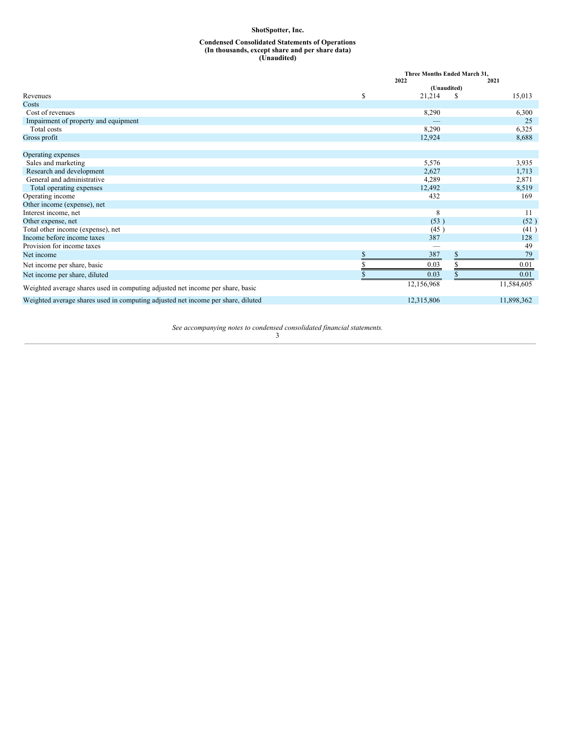# **ShotSpotter, Inc.**

#### **Condensed Consolidated Statements of Operations (In thousands, except share and per share data) (Unaudited)**

<span id="page-3-0"></span>

|                                                                                  | Three Months Ended March 31, |   |            |  |
|----------------------------------------------------------------------------------|------------------------------|---|------------|--|
|                                                                                  | 2022<br>(Unaudited)          |   | 2021       |  |
| Revenues                                                                         | \$<br>21,214                 | S | 15,013     |  |
| Costs                                                                            |                              |   |            |  |
| Cost of revenues                                                                 | 8,290                        |   | 6,300      |  |
| Impairment of property and equipment                                             |                              |   | 25         |  |
| Total costs                                                                      | 8,290                        |   | 6,325      |  |
| Gross profit                                                                     | 12,924                       |   | 8,688      |  |
|                                                                                  |                              |   |            |  |
| Operating expenses                                                               |                              |   |            |  |
| Sales and marketing                                                              | 5,576                        |   | 3,935      |  |
| Research and development                                                         | 2,627                        |   | 1,713      |  |
| General and administrative                                                       | 4,289                        |   | 2,871      |  |
| Total operating expenses                                                         | 12,492                       |   | 8,519      |  |
| Operating income                                                                 | 432                          |   | 169        |  |
| Other income (expense), net                                                      |                              |   |            |  |
| Interest income, net                                                             | 8                            |   | 11         |  |
| Other expense, net                                                               | (53)                         |   | (52)       |  |
| Total other income (expense), net                                                | (45)                         |   | (41)       |  |
| Income before income taxes                                                       | 387                          |   | 128        |  |
| Provision for income taxes                                                       |                              |   | 49         |  |
| Net income                                                                       | \$<br>387                    |   | 79         |  |
| Net income per share, basic                                                      | 0.03                         |   | 0.01       |  |
| Net income per share, diluted                                                    | 0.03                         |   | 0.01       |  |
| Weighted average shares used in computing adjusted net income per share, basic   | 12,156,968                   |   | 11,584,605 |  |
| Weighted average shares used in computing adjusted net income per share, diluted | 12,315,806                   |   | 11,898,362 |  |

*See accompanying notes to condensed consolidated financial statements.*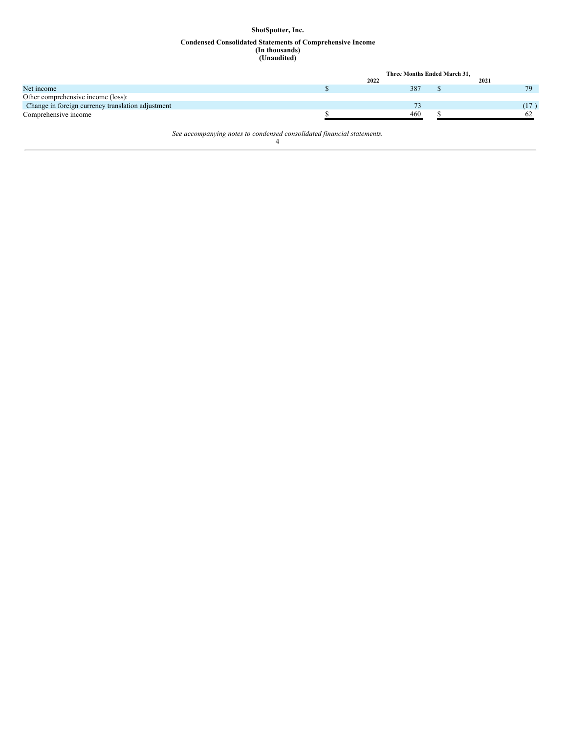### **ShotSpotter, Inc. Condensed Consolidated Statements of Comprehensive Income (In thousands) (Unaudited)**

<span id="page-4-0"></span>

|                                                   | Three Months Ended March 31. |  |      |  |  |  |
|---------------------------------------------------|------------------------------|--|------|--|--|--|
|                                                   | 2022                         |  | 2021 |  |  |  |
| Net income                                        | 387                          |  | 79   |  |  |  |
| Other comprehensive income (loss):                |                              |  |      |  |  |  |
| Change in foreign currency translation adjustment |                              |  |      |  |  |  |
| Comprehensive income                              | 460                          |  | 62   |  |  |  |

*See accompanying notes to condensed consolidated financial statements.*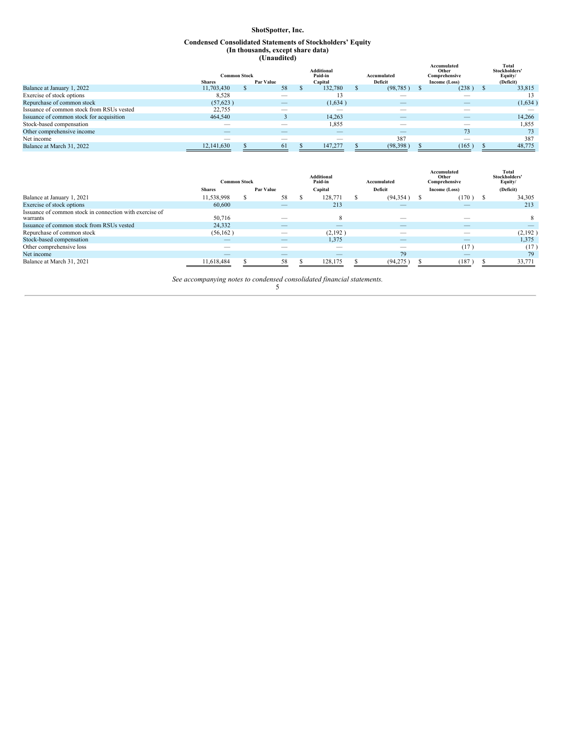# **ShotSpotter, Inc.**

#### **Condensed Consolidated Statements of Stockholders' Equity (In thousands, except share data) (Unaudited)**

<span id="page-5-0"></span>

|                                           |                          | <b>Common Stock</b> |                          | <b>Additional</b><br>Paid-in<br>Accumulated |         |  | Accumulated<br>Other<br>Comprehensive |  | Total<br>Stockholders'<br>Equity/ |           |
|-------------------------------------------|--------------------------|---------------------|--------------------------|---------------------------------------------|---------|--|---------------------------------------|--|-----------------------------------|-----------|
|                                           | <b>Shares</b>            |                     | Par Value                |                                             | Capital |  | Deficit                               |  | Income (Loss)                     | (Deficit) |
| Balance at January 1, 2022                | 11,703,430               |                     | 58                       |                                             | 132,780 |  | (98, 785)                             |  | (238)                             | 33,815    |
| Exercise of stock options                 | 8,528                    |                     | $-$                      |                                             | 13      |  |                                       |  | __                                |           |
| Repurchase of common stock                | (57, 623)                |                     | $\overline{\phantom{a}}$ |                                             | (1,634) |  | $\overline{\phantom{a}}$              |  |                                   | (1,634)   |
| Issuance of common stock from RSUs vested | 22,755                   |                     | __                       |                                             |         |  |                                       |  | $\overline{\phantom{a}}$          |           |
| Issuance of common stock for acquisition  | 464,540                  |                     |                          |                                             | 14,263  |  | $-$                                   |  |                                   | 14,266    |
| Stock-based compensation                  | $-$                      |                     | $-$                      |                                             | 1,855   |  |                                       |  | $\overline{\phantom{a}}$          | 1,855     |
| Other comprehensive income                | $\overline{\phantom{a}}$ |                     |                          |                                             | $-$     |  | $-$                                   |  | 73                                | 73        |
| Net income                                |                          |                     |                          |                                             | __      |  | 387                                   |  | $\overline{\phantom{a}}$          | 387       |
| Balance at March 31, 2022                 | 12,141,630               |                     | 61                       |                                             | 147,277 |  | (98,398)                              |  | (165)                             | 48,775    |

|                                                                     | <b>Common Stock</b>      |           |                          | <b>Additional</b><br>Paid-in |                          | Accumulated |           |                          | Accumulated<br>Other<br>Comprehensive |           | <b>Total</b><br>Stockholders'<br>Equity/ |
|---------------------------------------------------------------------|--------------------------|-----------|--------------------------|------------------------------|--------------------------|-------------|-----------|--------------------------|---------------------------------------|-----------|------------------------------------------|
|                                                                     | <b>Shares</b>            | Par Value |                          |                              | Capital                  |             | Deficit   | Income (Loss)            |                                       | (Deficit) |                                          |
| Balance at January 1, 2021                                          | 11,538,998               | S         | 58                       |                              | 128,771                  | ъ           | (94, 354) | (170)<br>- 5             |                                       | 34,305    |                                          |
| Exercise of stock options                                           | 60,600                   |           |                          |                              | 213                      |             |           |                          |                                       | 213       |                                          |
| Issuance of common stock in connection with exercise of<br>warrants | 50,716                   |           |                          |                              | 8                        |             |           |                          |                                       | 8         |                                          |
| Issuance of common stock from RSUs vested                           | 24,332                   |           | $-$                      |                              |                          |             | __        |                          |                                       |           |                                          |
| Repurchase of common stock                                          | (56, 162)                |           |                          |                              | (2,192)                  |             | –         |                          |                                       | (2,192)   |                                          |
| Stock-based compensation                                            | $\overline{\phantom{m}}$ |           | $\overline{\phantom{m}}$ |                              | 1,375                    |             |           | $\overline{\phantom{m}}$ |                                       | 1,375     |                                          |
| Other comprehensive loss                                            |                          |           | $-$                      |                              | $\overline{\phantom{a}}$ |             |           | (17)                     |                                       | (17)      |                                          |
| Net income                                                          | $\overline{\phantom{m}}$ |           | $\overline{\phantom{m}}$ |                              | $\overline{\phantom{m}}$ |             | 79        | $\frac{1}{2}$            |                                       | 79        |                                          |
| Balance at March 31, 2021                                           | 11.618.484               | Ō         | 58                       |                              | 128,175                  |             | (94, 275) | (187)                    |                                       | 33,771    |                                          |

*See accompanying notes to condensed consolidated financial statements.*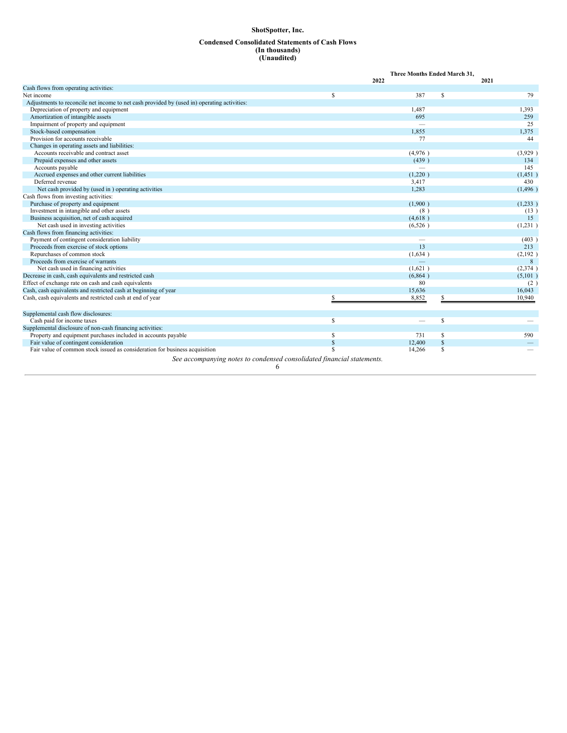# **ShotSpotter, Inc.**

#### **Condensed Consolidated Statements of Cash Flows (In thousands) (Unaudited)**

<span id="page-6-0"></span>

| 2022<br>Cash flows from operating activities:<br><sup>\$</sup><br>Net income<br>\$<br>387<br>79<br>Adjustments to reconcile net income to net cash provided by (used in) operating activities:<br>Depreciation of property and equipment<br>1,487<br>1,393<br>Amortization of intangible assets<br>695<br>259<br>Impairment of property and equipment<br>25<br>Stock-based compensation<br>1,375<br>1,855<br>Provision for accounts receivable<br>44<br>77<br>Changes in operating assets and liabilities:<br>Accounts receivable and contract asset<br>(4,976)<br>(3,929)<br>134<br>Prepaid expenses and other assets<br>(439)<br>145<br>Accounts payable<br>Accrued expenses and other current liabilities<br>(1,220)<br>(1,451)<br>Deferred revenue<br>3,417<br>430<br>Net cash provided by (used in ) operating activities<br>1,283<br>(1, 496)<br>Cash flows from investing activities:<br>Purchase of property and equipment<br>(1,900)<br>(1,233)<br>Investment in intangible and other assets<br>(8)<br>(13)<br>Business acquisition, net of cash acquired<br>15<br>(4,618)<br>Net cash used in investing activities<br>(1,231)<br>(6,526)<br>Cash flows from financing activities:<br>Payment of contingent consideration liability<br>(403)<br>Proceeds from exercise of stock options<br>13<br>213<br>Repurchases of common stock<br>(1,634)<br>(2,192)<br>Proceeds from exercise of warrants<br>8<br>Net cash used in financing activities<br>(1,621)<br>(2,374)<br>Decrease in cash, cash equivalents and restricted cash<br>(6,864)<br>(5,101)<br>80<br>Effect of exchange rate on cash and cash equivalents<br>(2)<br>Cash, cash equivalents and restricted cash at beginning of year<br>15,636<br>16,043<br>Cash, cash equivalents and restricted cash at end of year<br>S<br>8,852<br>10,940<br>Supplemental cash flow disclosures:<br>S<br>Cash paid for income taxes<br>S<br>Supplemental disclosure of non-cash financing activities:<br>Property and equipment purchases included in accounts payable<br>\$<br>S<br>590<br>731<br><sup>\$</sup><br>$\mathbb{S}$<br>Fair value of contingent consideration<br>12,400<br>Fair value of common stock issued as consideration for business acquisition<br>S<br>14,266 | Three Months Ended March 31. |  |  |      |  |  |
|----------------------------------------------------------------------------------------------------------------------------------------------------------------------------------------------------------------------------------------------------------------------------------------------------------------------------------------------------------------------------------------------------------------------------------------------------------------------------------------------------------------------------------------------------------------------------------------------------------------------------------------------------------------------------------------------------------------------------------------------------------------------------------------------------------------------------------------------------------------------------------------------------------------------------------------------------------------------------------------------------------------------------------------------------------------------------------------------------------------------------------------------------------------------------------------------------------------------------------------------------------------------------------------------------------------------------------------------------------------------------------------------------------------------------------------------------------------------------------------------------------------------------------------------------------------------------------------------------------------------------------------------------------------------------------------------------------------------------------------------------------------------------------------------------------------------------------------------------------------------------------------------------------------------------------------------------------------------------------------------------------------------------------------------------------------------------------------------------------------------------------------------------------------------------------------------------------------------------------------|------------------------------|--|--|------|--|--|
|                                                                                                                                                                                                                                                                                                                                                                                                                                                                                                                                                                                                                                                                                                                                                                                                                                                                                                                                                                                                                                                                                                                                                                                                                                                                                                                                                                                                                                                                                                                                                                                                                                                                                                                                                                                                                                                                                                                                                                                                                                                                                                                                                                                                                                        |                              |  |  | 2021 |  |  |
|                                                                                                                                                                                                                                                                                                                                                                                                                                                                                                                                                                                                                                                                                                                                                                                                                                                                                                                                                                                                                                                                                                                                                                                                                                                                                                                                                                                                                                                                                                                                                                                                                                                                                                                                                                                                                                                                                                                                                                                                                                                                                                                                                                                                                                        |                              |  |  |      |  |  |
|                                                                                                                                                                                                                                                                                                                                                                                                                                                                                                                                                                                                                                                                                                                                                                                                                                                                                                                                                                                                                                                                                                                                                                                                                                                                                                                                                                                                                                                                                                                                                                                                                                                                                                                                                                                                                                                                                                                                                                                                                                                                                                                                                                                                                                        |                              |  |  |      |  |  |
|                                                                                                                                                                                                                                                                                                                                                                                                                                                                                                                                                                                                                                                                                                                                                                                                                                                                                                                                                                                                                                                                                                                                                                                                                                                                                                                                                                                                                                                                                                                                                                                                                                                                                                                                                                                                                                                                                                                                                                                                                                                                                                                                                                                                                                        |                              |  |  |      |  |  |
|                                                                                                                                                                                                                                                                                                                                                                                                                                                                                                                                                                                                                                                                                                                                                                                                                                                                                                                                                                                                                                                                                                                                                                                                                                                                                                                                                                                                                                                                                                                                                                                                                                                                                                                                                                                                                                                                                                                                                                                                                                                                                                                                                                                                                                        |                              |  |  |      |  |  |
|                                                                                                                                                                                                                                                                                                                                                                                                                                                                                                                                                                                                                                                                                                                                                                                                                                                                                                                                                                                                                                                                                                                                                                                                                                                                                                                                                                                                                                                                                                                                                                                                                                                                                                                                                                                                                                                                                                                                                                                                                                                                                                                                                                                                                                        |                              |  |  |      |  |  |
|                                                                                                                                                                                                                                                                                                                                                                                                                                                                                                                                                                                                                                                                                                                                                                                                                                                                                                                                                                                                                                                                                                                                                                                                                                                                                                                                                                                                                                                                                                                                                                                                                                                                                                                                                                                                                                                                                                                                                                                                                                                                                                                                                                                                                                        |                              |  |  |      |  |  |
|                                                                                                                                                                                                                                                                                                                                                                                                                                                                                                                                                                                                                                                                                                                                                                                                                                                                                                                                                                                                                                                                                                                                                                                                                                                                                                                                                                                                                                                                                                                                                                                                                                                                                                                                                                                                                                                                                                                                                                                                                                                                                                                                                                                                                                        |                              |  |  |      |  |  |
|                                                                                                                                                                                                                                                                                                                                                                                                                                                                                                                                                                                                                                                                                                                                                                                                                                                                                                                                                                                                                                                                                                                                                                                                                                                                                                                                                                                                                                                                                                                                                                                                                                                                                                                                                                                                                                                                                                                                                                                                                                                                                                                                                                                                                                        |                              |  |  |      |  |  |
|                                                                                                                                                                                                                                                                                                                                                                                                                                                                                                                                                                                                                                                                                                                                                                                                                                                                                                                                                                                                                                                                                                                                                                                                                                                                                                                                                                                                                                                                                                                                                                                                                                                                                                                                                                                                                                                                                                                                                                                                                                                                                                                                                                                                                                        |                              |  |  |      |  |  |
|                                                                                                                                                                                                                                                                                                                                                                                                                                                                                                                                                                                                                                                                                                                                                                                                                                                                                                                                                                                                                                                                                                                                                                                                                                                                                                                                                                                                                                                                                                                                                                                                                                                                                                                                                                                                                                                                                                                                                                                                                                                                                                                                                                                                                                        |                              |  |  |      |  |  |
|                                                                                                                                                                                                                                                                                                                                                                                                                                                                                                                                                                                                                                                                                                                                                                                                                                                                                                                                                                                                                                                                                                                                                                                                                                                                                                                                                                                                                                                                                                                                                                                                                                                                                                                                                                                                                                                                                                                                                                                                                                                                                                                                                                                                                                        |                              |  |  |      |  |  |
|                                                                                                                                                                                                                                                                                                                                                                                                                                                                                                                                                                                                                                                                                                                                                                                                                                                                                                                                                                                                                                                                                                                                                                                                                                                                                                                                                                                                                                                                                                                                                                                                                                                                                                                                                                                                                                                                                                                                                                                                                                                                                                                                                                                                                                        |                              |  |  |      |  |  |
|                                                                                                                                                                                                                                                                                                                                                                                                                                                                                                                                                                                                                                                                                                                                                                                                                                                                                                                                                                                                                                                                                                                                                                                                                                                                                                                                                                                                                                                                                                                                                                                                                                                                                                                                                                                                                                                                                                                                                                                                                                                                                                                                                                                                                                        |                              |  |  |      |  |  |
|                                                                                                                                                                                                                                                                                                                                                                                                                                                                                                                                                                                                                                                                                                                                                                                                                                                                                                                                                                                                                                                                                                                                                                                                                                                                                                                                                                                                                                                                                                                                                                                                                                                                                                                                                                                                                                                                                                                                                                                                                                                                                                                                                                                                                                        |                              |  |  |      |  |  |
|                                                                                                                                                                                                                                                                                                                                                                                                                                                                                                                                                                                                                                                                                                                                                                                                                                                                                                                                                                                                                                                                                                                                                                                                                                                                                                                                                                                                                                                                                                                                                                                                                                                                                                                                                                                                                                                                                                                                                                                                                                                                                                                                                                                                                                        |                              |  |  |      |  |  |
|                                                                                                                                                                                                                                                                                                                                                                                                                                                                                                                                                                                                                                                                                                                                                                                                                                                                                                                                                                                                                                                                                                                                                                                                                                                                                                                                                                                                                                                                                                                                                                                                                                                                                                                                                                                                                                                                                                                                                                                                                                                                                                                                                                                                                                        |                              |  |  |      |  |  |
|                                                                                                                                                                                                                                                                                                                                                                                                                                                                                                                                                                                                                                                                                                                                                                                                                                                                                                                                                                                                                                                                                                                                                                                                                                                                                                                                                                                                                                                                                                                                                                                                                                                                                                                                                                                                                                                                                                                                                                                                                                                                                                                                                                                                                                        |                              |  |  |      |  |  |
|                                                                                                                                                                                                                                                                                                                                                                                                                                                                                                                                                                                                                                                                                                                                                                                                                                                                                                                                                                                                                                                                                                                                                                                                                                                                                                                                                                                                                                                                                                                                                                                                                                                                                                                                                                                                                                                                                                                                                                                                                                                                                                                                                                                                                                        |                              |  |  |      |  |  |
|                                                                                                                                                                                                                                                                                                                                                                                                                                                                                                                                                                                                                                                                                                                                                                                                                                                                                                                                                                                                                                                                                                                                                                                                                                                                                                                                                                                                                                                                                                                                                                                                                                                                                                                                                                                                                                                                                                                                                                                                                                                                                                                                                                                                                                        |                              |  |  |      |  |  |
|                                                                                                                                                                                                                                                                                                                                                                                                                                                                                                                                                                                                                                                                                                                                                                                                                                                                                                                                                                                                                                                                                                                                                                                                                                                                                                                                                                                                                                                                                                                                                                                                                                                                                                                                                                                                                                                                                                                                                                                                                                                                                                                                                                                                                                        |                              |  |  |      |  |  |
|                                                                                                                                                                                                                                                                                                                                                                                                                                                                                                                                                                                                                                                                                                                                                                                                                                                                                                                                                                                                                                                                                                                                                                                                                                                                                                                                                                                                                                                                                                                                                                                                                                                                                                                                                                                                                                                                                                                                                                                                                                                                                                                                                                                                                                        |                              |  |  |      |  |  |
|                                                                                                                                                                                                                                                                                                                                                                                                                                                                                                                                                                                                                                                                                                                                                                                                                                                                                                                                                                                                                                                                                                                                                                                                                                                                                                                                                                                                                                                                                                                                                                                                                                                                                                                                                                                                                                                                                                                                                                                                                                                                                                                                                                                                                                        |                              |  |  |      |  |  |
|                                                                                                                                                                                                                                                                                                                                                                                                                                                                                                                                                                                                                                                                                                                                                                                                                                                                                                                                                                                                                                                                                                                                                                                                                                                                                                                                                                                                                                                                                                                                                                                                                                                                                                                                                                                                                                                                                                                                                                                                                                                                                                                                                                                                                                        |                              |  |  |      |  |  |
|                                                                                                                                                                                                                                                                                                                                                                                                                                                                                                                                                                                                                                                                                                                                                                                                                                                                                                                                                                                                                                                                                                                                                                                                                                                                                                                                                                                                                                                                                                                                                                                                                                                                                                                                                                                                                                                                                                                                                                                                                                                                                                                                                                                                                                        |                              |  |  |      |  |  |
|                                                                                                                                                                                                                                                                                                                                                                                                                                                                                                                                                                                                                                                                                                                                                                                                                                                                                                                                                                                                                                                                                                                                                                                                                                                                                                                                                                                                                                                                                                                                                                                                                                                                                                                                                                                                                                                                                                                                                                                                                                                                                                                                                                                                                                        |                              |  |  |      |  |  |
|                                                                                                                                                                                                                                                                                                                                                                                                                                                                                                                                                                                                                                                                                                                                                                                                                                                                                                                                                                                                                                                                                                                                                                                                                                                                                                                                                                                                                                                                                                                                                                                                                                                                                                                                                                                                                                                                                                                                                                                                                                                                                                                                                                                                                                        |                              |  |  |      |  |  |
|                                                                                                                                                                                                                                                                                                                                                                                                                                                                                                                                                                                                                                                                                                                                                                                                                                                                                                                                                                                                                                                                                                                                                                                                                                                                                                                                                                                                                                                                                                                                                                                                                                                                                                                                                                                                                                                                                                                                                                                                                                                                                                                                                                                                                                        |                              |  |  |      |  |  |
|                                                                                                                                                                                                                                                                                                                                                                                                                                                                                                                                                                                                                                                                                                                                                                                                                                                                                                                                                                                                                                                                                                                                                                                                                                                                                                                                                                                                                                                                                                                                                                                                                                                                                                                                                                                                                                                                                                                                                                                                                                                                                                                                                                                                                                        |                              |  |  |      |  |  |
|                                                                                                                                                                                                                                                                                                                                                                                                                                                                                                                                                                                                                                                                                                                                                                                                                                                                                                                                                                                                                                                                                                                                                                                                                                                                                                                                                                                                                                                                                                                                                                                                                                                                                                                                                                                                                                                                                                                                                                                                                                                                                                                                                                                                                                        |                              |  |  |      |  |  |
|                                                                                                                                                                                                                                                                                                                                                                                                                                                                                                                                                                                                                                                                                                                                                                                                                                                                                                                                                                                                                                                                                                                                                                                                                                                                                                                                                                                                                                                                                                                                                                                                                                                                                                                                                                                                                                                                                                                                                                                                                                                                                                                                                                                                                                        |                              |  |  |      |  |  |
|                                                                                                                                                                                                                                                                                                                                                                                                                                                                                                                                                                                                                                                                                                                                                                                                                                                                                                                                                                                                                                                                                                                                                                                                                                                                                                                                                                                                                                                                                                                                                                                                                                                                                                                                                                                                                                                                                                                                                                                                                                                                                                                                                                                                                                        |                              |  |  |      |  |  |
|                                                                                                                                                                                                                                                                                                                                                                                                                                                                                                                                                                                                                                                                                                                                                                                                                                                                                                                                                                                                                                                                                                                                                                                                                                                                                                                                                                                                                                                                                                                                                                                                                                                                                                                                                                                                                                                                                                                                                                                                                                                                                                                                                                                                                                        |                              |  |  |      |  |  |
|                                                                                                                                                                                                                                                                                                                                                                                                                                                                                                                                                                                                                                                                                                                                                                                                                                                                                                                                                                                                                                                                                                                                                                                                                                                                                                                                                                                                                                                                                                                                                                                                                                                                                                                                                                                                                                                                                                                                                                                                                                                                                                                                                                                                                                        |                              |  |  |      |  |  |
|                                                                                                                                                                                                                                                                                                                                                                                                                                                                                                                                                                                                                                                                                                                                                                                                                                                                                                                                                                                                                                                                                                                                                                                                                                                                                                                                                                                                                                                                                                                                                                                                                                                                                                                                                                                                                                                                                                                                                                                                                                                                                                                                                                                                                                        |                              |  |  |      |  |  |
|                                                                                                                                                                                                                                                                                                                                                                                                                                                                                                                                                                                                                                                                                                                                                                                                                                                                                                                                                                                                                                                                                                                                                                                                                                                                                                                                                                                                                                                                                                                                                                                                                                                                                                                                                                                                                                                                                                                                                                                                                                                                                                                                                                                                                                        |                              |  |  |      |  |  |
|                                                                                                                                                                                                                                                                                                                                                                                                                                                                                                                                                                                                                                                                                                                                                                                                                                                                                                                                                                                                                                                                                                                                                                                                                                                                                                                                                                                                                                                                                                                                                                                                                                                                                                                                                                                                                                                                                                                                                                                                                                                                                                                                                                                                                                        |                              |  |  |      |  |  |
| See accompanying notes to condensed consolidated financial statements.                                                                                                                                                                                                                                                                                                                                                                                                                                                                                                                                                                                                                                                                                                                                                                                                                                                                                                                                                                                                                                                                                                                                                                                                                                                                                                                                                                                                                                                                                                                                                                                                                                                                                                                                                                                                                                                                                                                                                                                                                                                                                                                                                                 |                              |  |  |      |  |  |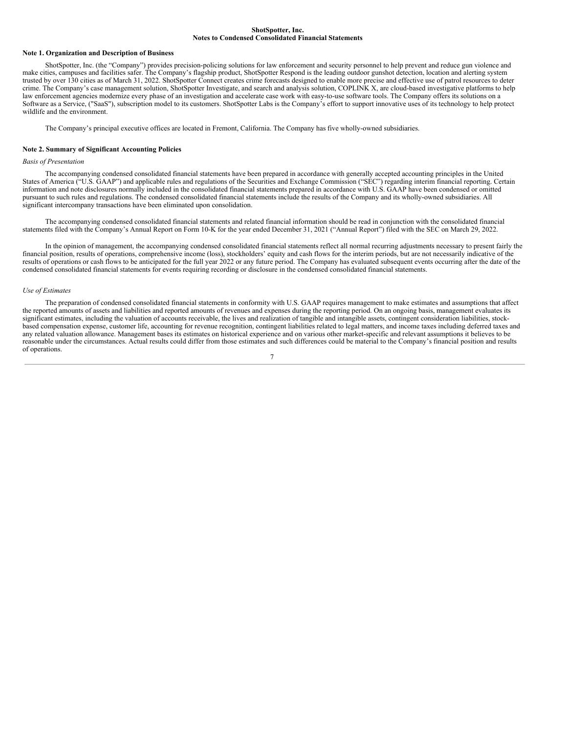#### **ShotSpotter, Inc. Notes to Condensed Consolidated Financial Statements**

#### <span id="page-7-0"></span>**Note 1. Organization and Description of Business**

ShotSpotter, Inc. (the "Company") provides precision-policing solutions for law enforcement and security personnel to help prevent and reduce gun violence and make cities, campuses and facilities safer. The Company's flagship product, ShotSpotter Respond is the leading outdoor gunshot detection, location and alerting system trusted by over 130 cities as of March 31, 2022. ShotSpotter Connect creates crime forecasts designed to enable more precise and effective use of patrol resources to deter crime. The Company's case management solution, ShotSpotter Investigate, and search and analysis solution, COPLINK X, are cloud-based investigative platforms to help law enforcement agencies modernize every phase of an investigation and accelerate case work with easy-to-use software tools. The Company offers its solutions on a Software as a Service, ("SaaS"), subscription model to its customers. ShotSpotter Labs is the Company's effort to support innovative uses of its technology to help protect wildlife and the environment.

The Company's principal executive offices are located in Fremont, California. The Company has five wholly-owned subsidiaries.

### **Note 2. Summary of Significant Accounting Policies**

### *Basis of Presentation*

The accompanying condensed consolidated financial statements have been prepared in accordance with generally accepted accounting principles in the United States of America ("U.S. GAAP") and applicable rules and regulations of the Securities and Exchange Commission ("SEC") regarding interim financial reporting. Certain information and note disclosures normally included in the consolidated financial statements prepared in accordance with U.S. GAAP have been condensed or omitted pursuant to such rules and regulations. The condensed consolidated financial statements include the results of the Company and its wholly-owned subsidiaries. All significant intercompany transactions have been eliminated upon consolidation.

The accompanying condensed consolidated financial statements and related financial information should be read in conjunction with the consolidated financial statements filed with the Company's Annual Report on Form 10-K for the year ended December 31, 2021 ("Annual Report") filed with the SEC on March 29, 2022.

In the opinion of management, the accompanying condensed consolidated financial statements reflect all normal recurring adjustments necessary to present fairly the financial position, results of operations, comprehensive income (loss), stockholders' equity and cash flows for the interim periods, but are not necessarily indicative of the results of operations or cash flows to be anticipated for the full year 2022 or any future period. The Company has evaluated subsequent events occurring after the date of the condensed consolidated financial statements for events requiring recording or disclosure in the condensed consolidated financial statements.

### *Use of Estimates*

The preparation of condensed consolidated financial statements in conformity with U.S. GAAP requires management to make estimates and assumptions that affect the reported amounts of assets and liabilities and reported amounts of revenues and expenses during the reporting period. On an ongoing basis, management evaluates its significant estimates, including the valuation of accounts receivable, the lives and realization of tangible and intangible assets, contingent consideration liabilities, stockbased compensation expense, customer life, accounting for revenue recognition, contingent liabilities related to legal matters, and income taxes including deferred taxes and any related valuation allowance. Management bases its estimates on historical experience and on various other market-specific and relevant assumptions it believes to be reasonable under the circumstances. Actual results could differ from those estimates and such differences could be material to the Company's financial position and results of operations.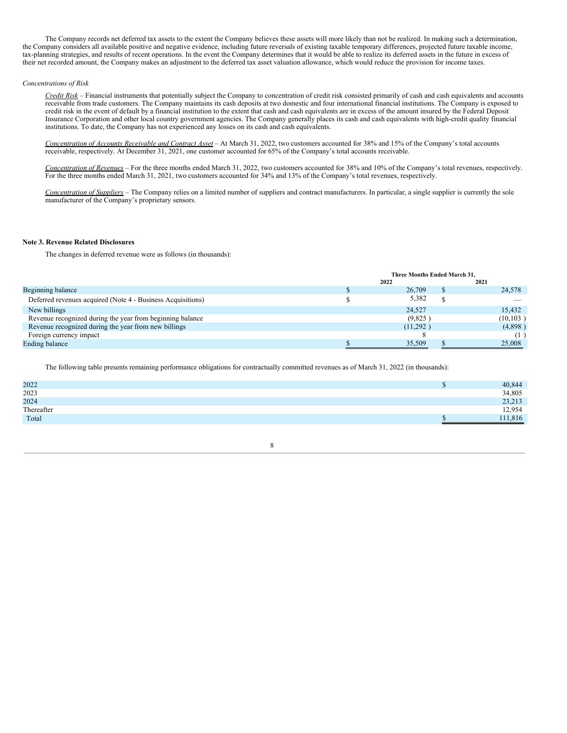The Company records net deferred tax assets to the extent the Company believes these assets will more likely than not be realized. In making such a determination, the Company considers all available positive and negative evidence, including future reversals of existing taxable temporary differences, projected future taxable income, tax-planning strategies, and results of recent operations. In the event the Company determines that it would be able to realize its deferred assets in the future in excess of their net recorded amount, the Company makes an adjustment to the deferred tax asset valuation allowance, which would reduce the provision for income taxes.

### *Concentrations of Risk*

*Credit Risk* – Financial instruments that potentially subject the Company to concentration of credit risk consisted primarily of cash and cash equivalents and accounts receivable from trade customers. The Company maintains its cash deposits at two domestic and four international financial institutions. The Company is exposed to credit risk in the event of default by a financial institution to the extent that cash and cash equivalents are in excess of the amount insured by the Federal Deposit Insurance Corporation and other local country government agencies. The Company generally places its cash and cash equivalents with high-credit quality financial institutions. To date, the Company has not experienced any losses on its cash and cash equivalents.

*Concentration of Accounts Receivable and Contract Asset* – At March 31, 2022, two customers accounted for 38% and 15% of the Company's total accounts receivable, respectively. At December 31, 2021, one customer accounted for 65% of the Company's total accounts receivable.

*Concentration of Revenues* – For the three months ended March 31, 2022, two customers accounted for 38% and 10% of the Company's total revenues, respectively. For the three months ended March 31, 2021, two customers accounted for 34% and 13% of the Company's total revenues, respectively.

*Concentration of Suppliers* – The Company relies on a limited number of suppliers and contract manufacturers. In particular, a single supplier is currently the sole manufacturer of the Company's proprietary sensors.

### **Note 3. Revenue Related Disclosures**

The changes in deferred revenue were as follows (in thousands):

|                                                             | Three Months Ended March 31. |          |  |           |  |
|-------------------------------------------------------------|------------------------------|----------|--|-----------|--|
|                                                             |                              | 2022     |  | 2021      |  |
| Beginning balance                                           |                              | 26,709   |  | 24,578    |  |
| Deferred revenues acquired (Note 4 - Business Acquisitions) |                              | 5,382    |  |           |  |
| New billings                                                |                              | 24.527   |  | 15.432    |  |
| Revenue recognized during the year from beginning balance   |                              | (9,825)  |  | (10, 103) |  |
| Revenue recognized during the year from new billings        |                              | (11,292) |  | (4,898)   |  |
| Foreign currency impact                                     |                              |          |  |           |  |
| Ending balance                                              |                              | 35,509   |  | 25,008    |  |

The following table presents remaining performance obligations for contractually committed revenues as of March 31, 2022 (in thousands):

| 2022       | w | 10.844  |
|------------|---|---------|
| 2023       |   | 34,805  |
| 2024       |   | 23,213  |
| Thereafter |   | 12,954  |
| Total      |   | 111,816 |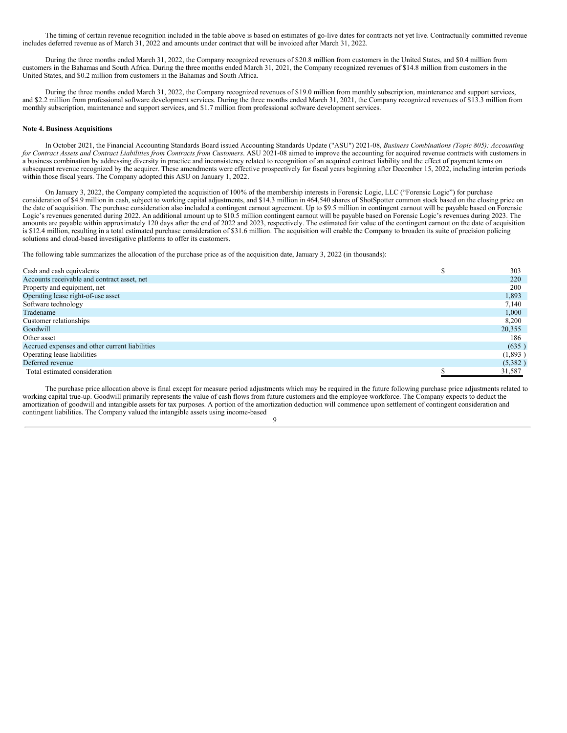The timing of certain revenue recognition included in the table above is based on estimates of go-live dates for contracts not yet live. Contractually committed revenue includes deferred revenue as of March 31, 2022 and amounts under contract that will be invoiced after March 31, 2022.

During the three months ended March 31, 2022, the Company recognized revenues of \$20.8 million from customers in the United States, and \$0.4 million from customers in the Bahamas and South Africa. During the three months ended March 31, 2021, the Company recognized revenues of \$14.8 million from customers in the United States, and \$0.2 million from customers in the Bahamas and South Africa.

During the three months ended March 31, 2022, the Company recognized revenues of \$19.0 million from monthly subscription, maintenance and support services, and \$2.2 million from professional software development services. During the three months ended March 31, 2021, the Company recognized revenues of \$13.3 million from monthly subscription, maintenance and support services, and \$1.7 million from professional software development services.

#### **Note 4. Business Acquisitions**

In October 2021, the Financial Accounting Standards Board issued Accounting Standards Update ("ASU") 2021-08, *Business Combinations (Topic 805): Accounting* for Contract Assets and Contract Liabilities from Contracts from Customers. ASU 2021-08 aimed to improve the accounting for acquired revenue contracts with customers in a business combination by addressing diversity in practice and inconsistency related to recognition of an acquired contract liability and the effect of payment terms on subsequent revenue recognized by the acquirer. These amendments were effective prospectively for fiscal years beginning after December 15, 2022, including interim periods within those fiscal years. The Company adopted this ASU on January 1, 2022.

On January 3, 2022, the Company completed the acquisition of 100% of the membership interests in Forensic Logic, LLC ("Forensic Logic") for purchase consideration of \$4.9 million in cash, subject to working capital adjustments, and \$14.3 million in 464,540 shares of ShotSpotter common stock based on the closing price on the date of acquisition. The purchase consideration also included a contingent earnout agreement. Up to \$9.5 million in contingent earnout will be payable based on Forensic Logic's revenues generated during 2022. An additional amount up to \$10.5 million contingent earnout will be payable based on Forensic Logic's revenues during 2023. The amounts are payable within approximately 120 days after the end of 2022 and 2023, respectively. The estimated fair value of the contingent earnout on the date of acquisition is \$12.4 million, resulting in a total estimated purchase consideration of \$31.6 million. The acquisition will enable the Company to broaden its suite of precision policing solutions and cloud-based investigative platforms to offer its customers.

The following table summarizes the allocation of the purchase price as of the acquisition date, January 3, 2022 (in thousands):

| Cash and cash equivalents                      | 303     |
|------------------------------------------------|---------|
| Accounts receivable and contract asset, net    | 220     |
| Property and equipment, net                    | 200     |
| Operating lease right-of-use asset             | 1,893   |
| Software technology                            | 7,140   |
| Tradename                                      | 1,000   |
| Customer relationships                         | 8,200   |
| Goodwill                                       | 20,355  |
| Other asset                                    | 186     |
| Accrued expenses and other current liabilities | (635)   |
| Operating lease liabilities                    | (1,893) |
| Deferred revenue                               | (5,382) |
| Total estimated consideration                  | 31,587  |

The purchase price allocation above is final except for measure period adjustments which may be required in the future following purchase price adjustments related to working capital true-up. Goodwill primarily represents the value of cash flows from future customers and the employee workforce. The Company expects to deduct the amortization of goodwill and intangible assets for tax purposes. A portion of the amortization deduction will commence upon settlement of contingent consideration and contingent liabilities. The Company valued the intangible assets using income-based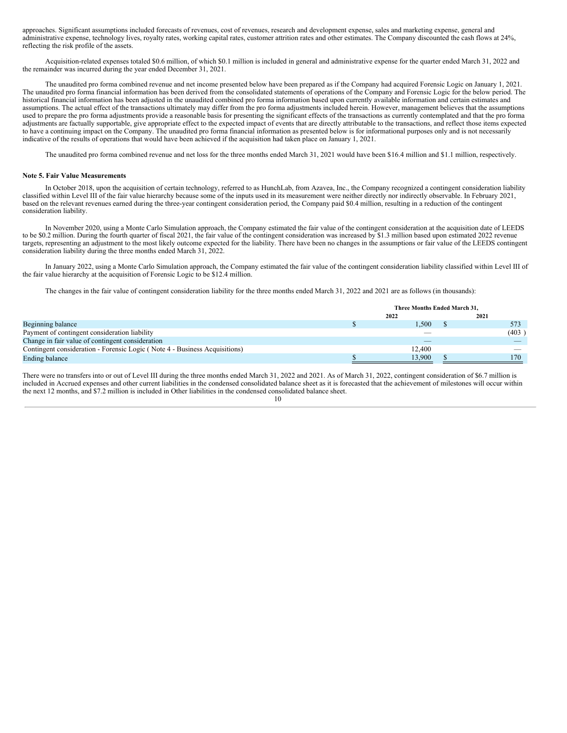approaches. Significant assumptions included forecasts of revenues, cost of revenues, research and development expense, sales and marketing expense, general and administrative expense, technology lives, royalty rates, working capital rates, customer attrition rates and other estimates. The Company discounted the cash flows at 24%, reflecting the risk profile of the assets.

Acquisition-related expenses totaled \$0.6 million, of which \$0.1 million is included in general and administrative expense for the quarter ended March 31, 2022 and the remainder was incurred during the year ended December 31, 2021.

The unaudited pro forma combined revenue and net income presented below have been prepared as if the Company had acquired Forensic Logic on January 1, 2021. The unaudited pro forma financial information has been derived from the consolidated statements of operations of the Company and Forensic Logic for the below period. The historical financial information has been adjusted in the unaudited combined pro forma information based upon currently available information and certain estimates and assumptions. The actual effect of the transactions ultimately may differ from the pro forma adjustments included herein. However, management believes that the assumptions used to prepare the pro forma adjustments provide a reasonable basis for presenting the significant effects of the transactions as currently contemplated and that the pro forma adjustments are factually supportable, give appropriate effect to the expected impact of events that are directly attributable to the transactions, and reflect those items expected to have a continuing impact on the Company. The unaudited pro forma financial information as presented below is for informational purposes only and is not necessarily indicative of the results of operations that would have been achieved if the acquisition had taken place on January 1, 2021.

The unaudited pro forma combined revenue and net loss for the three months ended March 31, 2021 would have been \$16.4 million and \$1.1 million, respectively.

#### **Note 5. Fair Value Measurements**

In October 2018, upon the acquisition of certain technology, referred to as HunchLab, from Azavea, Inc., the Company recognized a contingent consideration liability classified within Level III of the fair value hierarchy because some of the inputs used in its measurement were neither directly nor indirectly observable. In February 2021, based on the relevant revenues earned during the three-year contingent consideration period, the Company paid \$0.4 million, resulting in a reduction of the contingent consideration liability.

In November 2020, using a Monte Carlo Simulation approach, the Company estimated the fair value of the contingent consideration at the acquisition date of LEEDS to be \$0.2 million. During the fourth quarter of fiscal 2021, the fair value of the contingent consideration was increased by \$1.3 million based upon estimated 2022 revenue targets, representing an adjustment to the most likely outcome expected for the liability. There have been no changes in the assumptions or fair value of the LEEDS contingent consideration liability during the three months ended March 31, 2022.

In January 2022, using a Monte Carlo Simulation approach, the Company estimated the fair value of the contingent consideration liability classified within Level III of the fair value hierarchy at the acquisition of Forensic Logic to be \$12.4 million.

The changes in the fair value of contingent consideration liability for the three months ended March 31, 2022 and 2021 are as follows (in thousands):

|                                                                            | Three Months Ended March 31, |  |       |  |
|----------------------------------------------------------------------------|------------------------------|--|-------|--|
|                                                                            | 2022                         |  | 2021  |  |
| Beginning balance                                                          | l.500                        |  |       |  |
| Payment of contingent consideration liability                              |                              |  | (403) |  |
| Change in fair value of contingent consideration                           |                              |  |       |  |
| Contingent consideration - Forensic Logic (Note 4 - Business Acquisitions) | 12,400                       |  | __    |  |
| Ending balance                                                             | 13.900                       |  |       |  |

There were no transfers into or out of Level III during the three months ended March 31, 2022 and 2021. As of March 31, 2022, contingent consideration of \$6.7 million is included in Accrued expenses and other current liabilities in the condensed consolidated balance sheet as it is forecasted that the achievement of milestones will occur within the next 12 months, and \$7.2 million is included in Other liabilities in the condensed consolidated balance sheet.

<sup>10</sup>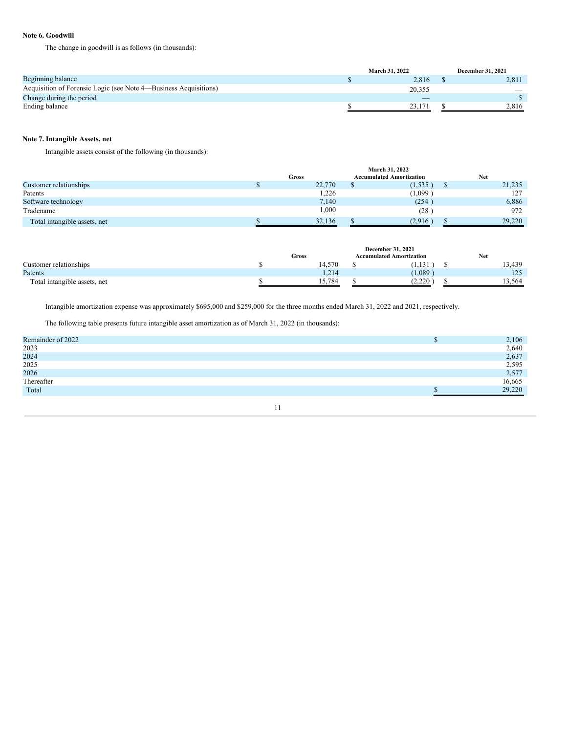# **Note 6. Goodwill**

The change in goodwill is as follows (in thousands):

|                                                                  | <b>March 31, 2022</b> | December 31, 2021 |
|------------------------------------------------------------------|-----------------------|-------------------|
| Beginning balance                                                | 2.816                 | 2,811             |
| Acquisition of Forensic Logic (see Note 4—Business Acquisitions) | 20.355                |                   |
| Change during the period                                         |                       |                   |
| Ending balance                                                   | 23.17                 | 2.816             |

### **Note 7. Intangible Assets, net**

Intangible assets consist of the following (in thousands):

|                              | March 31, 2022 |        |                                 |  |            |
|------------------------------|----------------|--------|---------------------------------|--|------------|
|                              | Gross          |        | <b>Accumulated Amortization</b> |  | <b>Net</b> |
| Customer relationships       |                | 22,770 | 1.535                           |  | 21,235     |
| Patents                      |                | 1,226  | (1,099)                         |  | 127        |
| Software technology          |                | 7,140  | (254)                           |  | 6,886      |
| Tradename                    |                | 000.   | (28)                            |  | 972        |
| Total intangible assets, net |                | 32,136 | (2,916)                         |  | 29,220     |

|                              |                           | December 31, 2021               |            |
|------------------------------|---------------------------|---------------------------------|------------|
|                              | Gross                     | <b>Accumulated Amortization</b> | Net        |
| Customer relationships       | 14.570                    | (1, 131)                        | 13,439     |
| Patents                      | 1.214                     | (1,089)                         | 125<br>14J |
| Total intangible assets, net | 15.784<br>1J <sub>1</sub> | (2,220)                         | 13.564     |

Intangible amortization expense was approximately \$695,000 and \$259,000 for the three months ended March 31, 2022 and 2021, respectively.

The following table presents future intangible asset amortization as of March 31, 2022 (in thousands):

| Remainder of 2022 | 2,106  |
|-------------------|--------|
| 2023              | 2,640  |
| 2024              | 2,637  |
| 2025              | 2,595  |
| 2026              | 2,577  |
| Thereafter        | 16,665 |
| Total             | 29,220 |
|                   |        |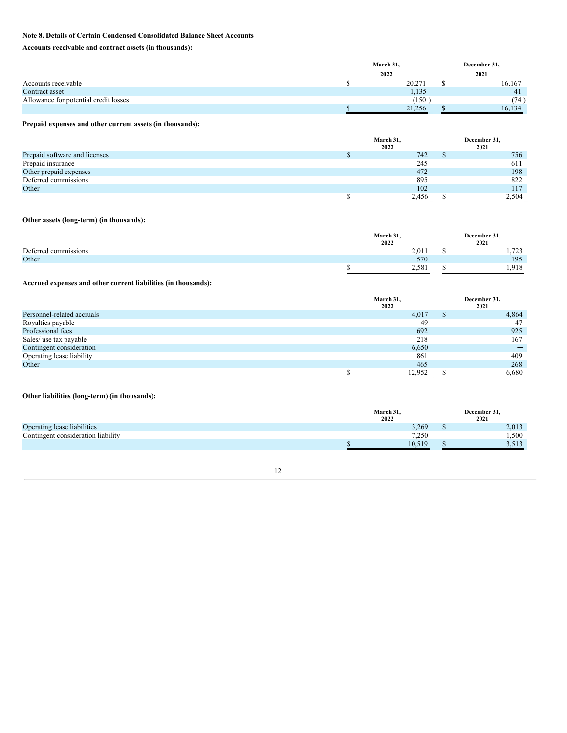# **Note 8. Details of Certain Condensed Consolidated Balance Sheet Accounts**

**Accounts receivable and contract assets (in thousands):**

|                                       | March 31, |  | December 31, |  |
|---------------------------------------|-----------|--|--------------|--|
|                                       | 2022      |  | 2021         |  |
| Accounts receivable                   | 20,271    |  | 16,167       |  |
| Contract asset                        | 1,135     |  | 41           |  |
| Allowance for potential credit losses | (150)     |  | (74          |  |
|                                       | 21,256    |  | 16.134       |  |

### **Prepaid expenses and other current assets (in thousands):**

|                               | March 31,<br>2022 | December 31,<br>2021 |
|-------------------------------|-------------------|----------------------|
| Prepaid software and licenses | 742               | 756                  |
| Prepaid insurance             | 245               | 611                  |
| Other prepaid expenses        | 472               | 198                  |
| Deferred commissions          | 895               | 822                  |
| Other                         | 102               | 117                  |
|                               | 2,456             | 2.504                |

### **Other assets (long-term) (in thousands):**

|                      | March 31,<br>2022 |       | December 31,<br>2021 |
|----------------------|-------------------|-------|----------------------|
| Deferred commissions |                   | 2,011 | 722<br>رے ہے ا       |
| Other                |                   | 570   | 195                  |
|                      |                   | 2.581 | 1.918                |

# **Accrued expenses and other current liabilities (in thousands):**

|                            | March 31, |     |   | December 31, |
|----------------------------|-----------|-----|---|--------------|
|                            | 2022      |     |   | 2021         |
| Personnel-related accruals | 4,017     |     | D | 4,864        |
| Royalties payable          |           | 49  |   | 47           |
| Professional fees          |           | 692 |   | 925          |
| Sales/ use tax payable     |           | 218 |   | 167          |
| Contingent consideration   | 6,650     |     |   |              |
| Operating lease liability  |           | 861 |   | 409          |
| Other                      |           | 465 |   | 268          |
|                            | 12.952    |     |   | 6.680        |

### **Other liabilities (long-term) (in thousands):**

|                                    | March 31.<br>2022 | December 31.<br>2021 |
|------------------------------------|-------------------|----------------------|
| Operating lease liabilities        | 3,269             | 2,013                |
| Contingent consideration liability | 7,250             | . . 500              |
|                                    | 10.519            | 3,513                |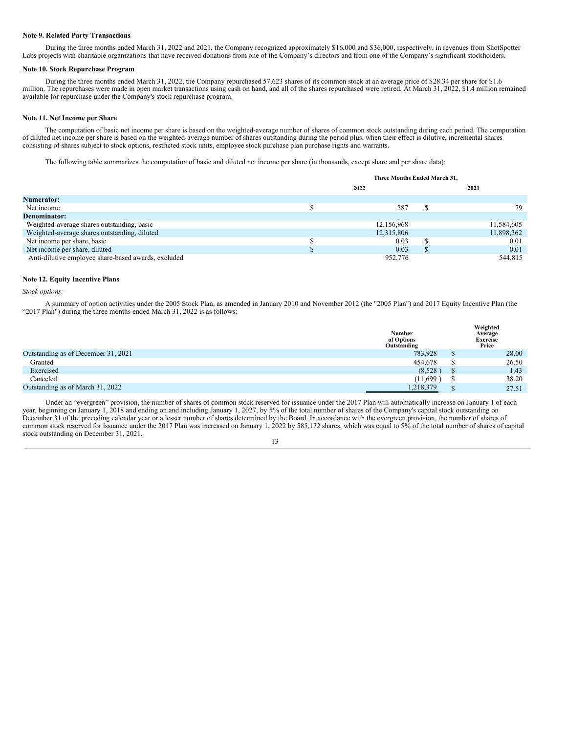### **Note 9. Related Party Transactions**

During the three months ended March 31, 2022 and 2021, the Company recognized approximately \$16,000 and \$36,000, respectively, in revenues from ShotSpotter Labs projects with charitable organizations that have received donations from one of the Company's directors and from one of the Company's significant stockholders.

### **Note 10. Stock Repurchase Program**

During the three months ended March 31, 2022, the Company repurchased 57,623 shares of its common stock at an average price of \$28.34 per share for \$1.6 million. The repurchases were made in open market transactions using cash on hand, and all of the shares repurchased were retired. At March 31, 2022, \$1.4 million remained available for repurchase under the Company's stock repurchase program.

### **Note 11. Net Income per Share**

The computation of basic net income per share is based on the weighted-average number of shares of common stock outstanding during each period. The computation of diluted net income per share is based on the weighted-average number of shares outstanding during the period plus, when their effect is dilutive, incremental shares consisting of shares subject to stock options, restricted stock units, employee stock purchase plan purchase rights and warrants.

The following table summarizes the computation of basic and diluted net income per share (in thousands, except share and per share data):

|                                                     | Three Months Ended March 31. |            |  |            |
|-----------------------------------------------------|------------------------------|------------|--|------------|
|                                                     |                              | 2022       |  | 2021       |
| Numerator:                                          |                              |            |  |            |
| Net income                                          |                              | 387        |  | 79         |
| <b>Denominator:</b>                                 |                              |            |  |            |
| Weighted-average shares outstanding, basic          |                              | 12,156,968 |  | 11,584,605 |
| Weighted-average shares outstanding, diluted        |                              | 12,315,806 |  | 11,898,362 |
| Net income per share, basic                         |                              | 0.03       |  | 0.01       |
| Net income per share, diluted                       |                              | 0.03       |  | 0.01       |
| Anti-dilutive employee share-based awards, excluded |                              | 952,776    |  | 544,815    |

### **Note 12. Equity Incentive Plans**

#### *Stock options:*

A summary of option activities under the 2005 Stock Plan, as amended in January 2010 and November 2012 (the "2005 Plan") and 2017 Equity Incentive Plan (the "2017 Plan") during the three months ended March 31, 2022 is as follows:

|                                     | <b>Number</b><br>of Options<br>Outstanding | Weighted<br>Average<br><b>Exercise</b><br>Price |
|-------------------------------------|--------------------------------------------|-------------------------------------------------|
| Outstanding as of December 31, 2021 | 783.928                                    | 28.00                                           |
| Granted                             | 454,678                                    | 26.50                                           |
| Exercised                           | (8,528)                                    | 1.43                                            |
| Canceled                            | (11,699)                                   | 38.20                                           |
| Outstanding as of March 31, 2022    | 1,218,379                                  | 27.51                                           |

Under an "evergreen" provision, the number of shares of common stock reserved for issuance under the 2017 Plan will automatically increase on January 1 of each year, beginning on January 1, 2018 and ending on and including January 1, 2027, by 5% of the total number of shares of the Company's capital stock outstanding on December 31 of the preceding calendar year or a lesser number of shares determined by the Board. In accordance with the evergreen provision, the number of shares of common stock reserved for issuance under the 2017 Plan was increased on January 1, 2022 by 585,172 shares, which was equal to 5% of the total number of shares of capital stock outstanding on December 31, 2021.

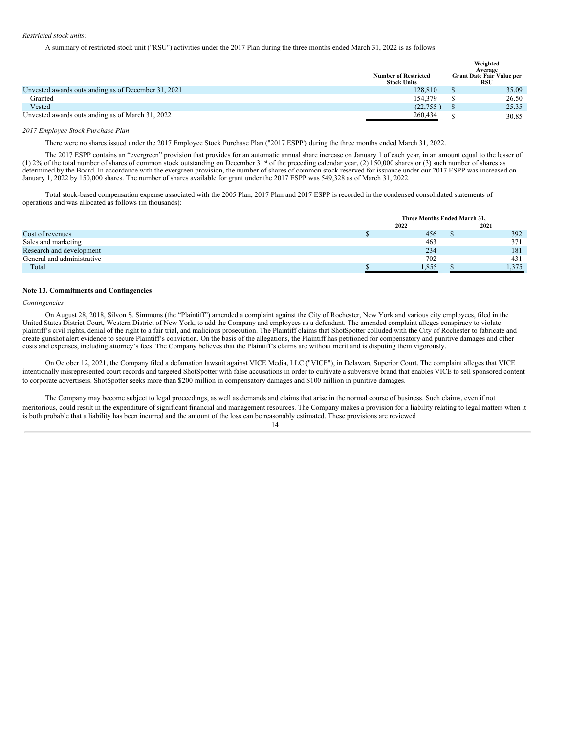#### *Restricted stock units:*

A summary of restricted stock unit ("RSU") activities under the 2017 Plan during the three months ended March 31, 2022 is as follows:

|                                                     | <b>Number of Restricted</b><br><b>Stock Units</b> | Weighted<br>Average<br>Grant Date Fair Value per<br><b>RSU</b> |
|-----------------------------------------------------|---------------------------------------------------|----------------------------------------------------------------|
| Unvested awards outstanding as of December 31, 2021 | 128.810                                           | 35.09                                                          |
| Granted                                             | 154.379                                           | 26.50                                                          |
| Vested                                              | (22, 755)                                         | 25.35                                                          |
| Unvested awards outstanding as of March 31, 2022    | 260,434                                           | 30.85                                                          |

### *2017 Employee Stock Purchase Plan*

There were no shares issued under the 2017 Employee Stock Purchase Plan ("2017 ESPP') during the three months ended March 31, 2022.

The 2017 ESPP contains an "evergreen" provision that provides for an automatic annual share increase on January 1 of each year, in an amount equal to the lesser of (1) 2% of the total number of shares of common stock outstanding on December 31st of the preceding calendar year, (2) 150,000 shares or (3) such number of shares as determined by the Board. In accordance with the evergreen provision, the number of shares of common stock reserved for issuance under our 2017 ESPP was increased on January 1, 2022 by 150,000 shares. The number of shares available for grant under the 2017 ESPP was 549,328 as of March 31, 2022.

Total stock-based compensation expense associated with the 2005 Plan, 2017 Plan and 2017 ESPP is recorded in the condensed consolidated statements of operations and was allocated as follows (in thousands):

|                            | Three Months Ended March 31, |  |      |
|----------------------------|------------------------------|--|------|
|                            | 2022                         |  | 2021 |
| Cost of revenues           | 456                          |  | 392  |
| Sales and marketing        | 463                          |  | 371  |
| Research and development   | 234                          |  | 181  |
| General and administrative | 702                          |  | 431  |
| Total                      | 1,855                        |  | .375 |

### **Note 13. Commitments and Contingencies**

*Contingencies*

On August 28, 2018, Silvon S. Simmons (the "Plaintiff") amended a complaint against the City of Rochester, New York and various city employees, filed in the United States District Court, Western District of New York, to add the Company and employees as a defendant. The amended complaint alleges conspiracy to violate plaintiff's civil rights, denial of the right to a fair trial, and malicious prosecution. The Plaintiff claims that ShotSpotter colluded with the City of Rochester to fabricate and create gunshot alert evidence to secure Plaintiff's conviction. On the basis of the allegations, the Plaintiff has petitioned for compensatory and punitive damages and other costs and expenses, including attorney's fees. The Company believes that the Plaintiff's claims are without merit and is disputing them vigorously.

On October 12, 2021, the Company filed a defamation lawsuit against VICE Media, LLC ("VICE"), in Delaware Superior Court. The complaint alleges that VICE intentionally misrepresented court records and targeted ShotSpotter with false accusations in order to cultivate a subversive brand that enables VICE to sell sponsored content to corporate advertisers. ShotSpotter seeks more than \$200 million in compensatory damages and \$100 million in punitive damages.

The Company may become subject to legal proceedings, as well as demands and claims that arise in the normal course of business. Such claims, even if not meritorious, could result in the expenditure of significant financial and management resources. The Company makes a provision for a liability relating to legal matters when it is both probable that a liability has been incurred and the amount of the loss can be reasonably estimated. These provisions are reviewed 14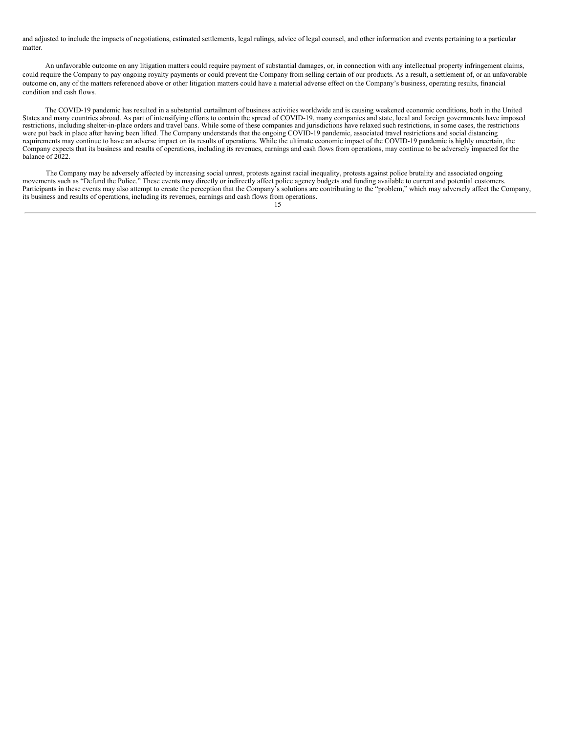and adjusted to include the impacts of negotiations, estimated settlements, legal rulings, advice of legal counsel, and other information and events pertaining to a particular matter.

An unfavorable outcome on any litigation matters could require payment of substantial damages, or, in connection with any intellectual property infringement claims, could require the Company to pay ongoing royalty payments or could prevent the Company from selling certain of our products. As a result, a settlement of, or an unfavorable outcome on, any of the matters referenced above or other litigation matters could have a material adverse effect on the Company's business, operating results, financial condition and cash flows.

The COVID-19 pandemic has resulted in a substantial curtailment of business activities worldwide and is causing weakened economic conditions, both in the United States and many countries abroad. As part of intensifying efforts to contain the spread of COVID-19, many companies and state, local and foreign governments have imposed restrictions, including shelter-in-place orders and travel bans. While some of these companies and jurisdictions have relaxed such restrictions, in some cases, the restrictions were put back in place after having been lifted. The Company understands that the ongoing COVID-19 pandemic, associated travel restrictions and social distancing requirements may continue to have an adverse impact on its results of operations. While the ultimate economic impact of the COVID-19 pandemic is highly uncertain, the Company expects that its business and results of operations, including its revenues, earnings and cash flows from operations, may continue to be adversely impacted for the balance of 2022.

The Company may be adversely affected by increasing social unrest, protests against racial inequality, protests against police brutality and associated ongoing movements such as "Defund the Police." These events may directly or indirectly affect police agency budgets and funding available to current and potential customers. Participants in these events may also attempt to create the perception that the Company's solutions are contributing to the "problem," which may adversely affect the Company, its business and results of operations, including its revenues, earnings and cash flows from operations.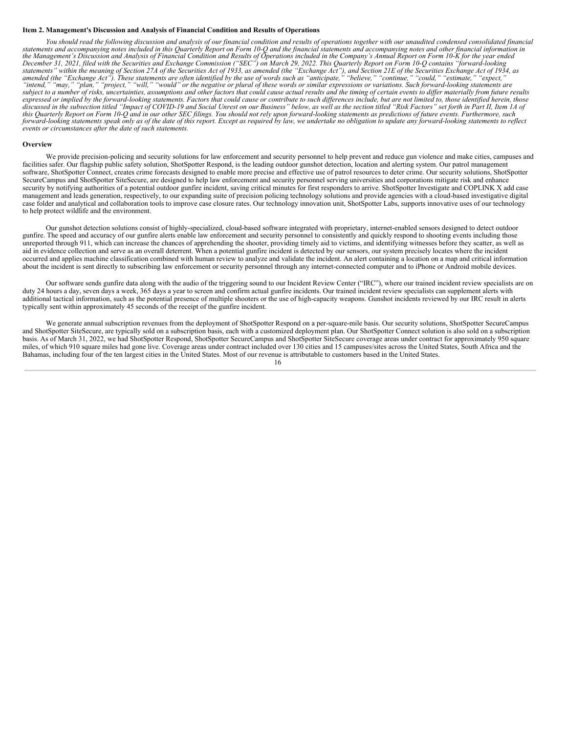### <span id="page-16-0"></span>**Item 2. Management's Discussion and Analysis of Financial Condition and Results of Operations**

You should read the following discussion and analysis of our financial condition and results of operations together with our unaudited condensed consolidated financial<br>statements and accompanying notes included in this Qua the Management's Discussion and Analysis of Financial Condition and Results of Operations included in the Company's Annual Report on Form 10-K for the year ended December 31, 2021, filed with the Securities and Exchange Commission ("SEC") on March 29, 2022. This Quarterly Report on Form 10-Q contains "forward-looking<br>statements" within the meaning of Section 27A of the Securities A subject to a number of risks, uncertainties, assumptions and other factors that could cause actual results and the timing of certain events to differ materially from future results expressed or implied by the forward-looking statements. Factors that could cause or contribute to such differences include, but are not limited to, those identified herein, those discussed in the subsection titled "Impact of COVID-19 and Social Unrest on our Business" below, as well as the section titled "Risk Factors" set forth in Part II, Item 1A of this Quarterly Report on Form 10-Q and in our other SEC filings. You should not rely upon forward-looking statements as predictions of future events. Furthermore, such forward-looking statements speak only as of the date of this report. Except as required by law, we undertake no obligation to update any forward-looking statements to reflect *events or circumstances after the date of such statements.*

#### **Overview**

We provide precision-policing and security solutions for law enforcement and security personnel to help prevent and reduce gun violence and make cities, campuses and facilities safer. Our flagship public safety solution, ShotSpotter Respond, is the leading outdoor gunshot detection, location and alerting system. Our patrol management software, ShotSpotter Connect, creates crime forecasts designed to enable more precise and effective use of patrol resources to deter crime. Our security solutions, ShotSpotter SecureCampus and ShotSpotter SiteSecure, are designed to help law enforcement and security personnel serving universities and corporations mitigate risk and enhance security by notifying authorities of a potential outdoor gunfire incident, saving critical minutes for first responders to arrive. ShotSpotter Investigate and COPLINK X add case management and leads generation, respectively, to our expanding suite of precision policing technology solutions and provide agencies with a cloud-based investigative digital case folder and analytical and collaboration tools to improve case closure rates. Our technology innovation unit, ShotSpotter Labs, supports innovative uses of our technology to help protect wildlife and the environment.

Our gunshot detection solutions consist of highly-specialized, cloud-based software integrated with proprietary, internet-enabled sensors designed to detect outdoor gunfire. The speed and accuracy of our gunfire alerts enable law enforcement and security personnel to consistently and quickly respond to shooting events including those unreported through 911, which can increase the chances of apprehending the shooter, providing timely aid to victims, and identifying witnesses before they scatter, as well as aid in evidence collection and serve as an overall deterrent. When a potential gunfire incident is detected by our sensors, our system precisely locates where the incident occurred and applies machine classification combined with human review to analyze and validate the incident. An alert containing a location on a map and critical information about the incident is sent directly to subscribing law enforcement or security personnel through any internet-connected computer and to iPhone or Android mobile devices.

Our software sends gunfire data along with the audio of the triggering sound to our Incident Review Center ("IRC"), where our trained incident review specialists are on duty 24 hours a day, seven days a week, 365 days a year to screen and confirm actual gunfire incidents. Our trained incident review specialists can supplement alerts with additional tactical information, such as the potential presence of multiple shooters or the use of high-capacity weapons. Gunshot incidents reviewed by our IRC result in alerts typically sent within approximately 45 seconds of the receipt of the gunfire incident.

We generate annual subscription revenues from the deployment of ShotSpotter Respond on a per-square-mile basis. Our security solutions, ShotSpotter SecureCampus and ShotSpotter SiteSecure, are typically sold on a subscription basis, each with a customized deployment plan. Our ShotSpotter Connect solution is also sold on a subscription basis. As of March 31, 2022, we had ShotSpotter Respond, ShotSpotter SecureCampus and ShotSpotter SiteSecure coverage areas under contract for approximately 950 square miles, of which 910 square miles had gone live. Coverage areas under contract included over 130 cities and 15 campuses/sites across the United States, South Africa and the Bahamas, including four of the ten largest cities in the United States. Most of our revenue is attributable to customers based in the United States.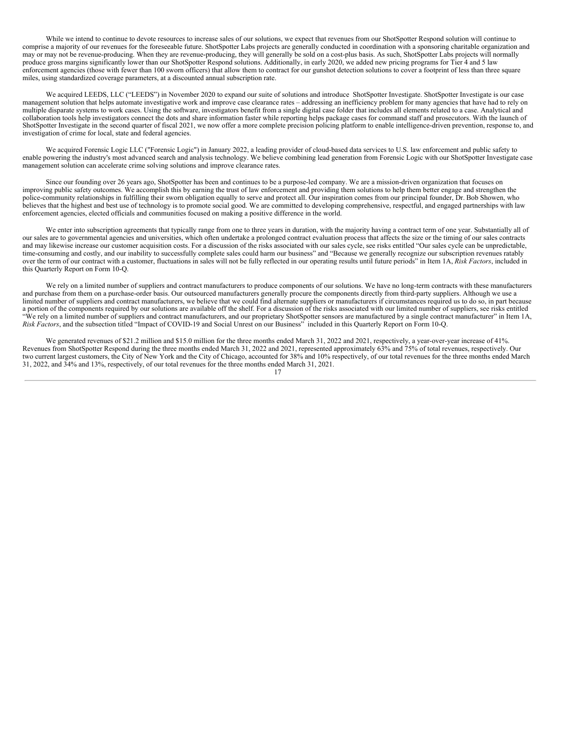While we intend to continue to devote resources to increase sales of our solutions, we expect that revenues from our ShotSpotter Respond solution will continue to comprise a majority of our revenues for the foreseeable future. ShotSpotter Labs projects are generally conducted in coordination with a sponsoring charitable organization and may or may not be revenue-producing. When they are revenue-producing, they will generally be sold on a cost-plus basis. As such, ShotSpotter Labs projects will normally produce gross margins significantly lower than our ShotSpotter Respond solutions. Additionally, in early 2020, we added new pricing programs for Tier 4 and 5 law enforcement agencies (those with fewer than 100 sworn officers) that allow them to contract for our gunshot detection solutions to cover a footprint of less than three square miles, using standardized coverage parameters, at a discounted annual subscription rate.

We acquired LEEDS, LLC ("LEEDS") in November 2020 to expand our suite of solutions and introduce ShotSpotter Investigate. ShotSpotter Investigate is our case management solution that helps automate investigative work and improve case clearance rates – addressing an inefficiency problem for many agencies that have had to rely on multiple disparate systems to work cases. Using the software, investigators benefit from a single digital case folder that includes all elements related to a case. Analytical and collaboration tools help investigators connect the dots and share information faster while reporting helps package cases for command staff and prosecutors. With the launch of ShotSpotter Investigate in the second quarter of fiscal 2021, we now offer a more complete precision policing platform to enable intelligence-driven prevention, response to, and investigation of crime for local, state and federal agencies.

We acquired Forensic Logic LLC ("Forensic Logic") in January 2022, a leading provider of cloud-based data services to U.S. law enforcement and public safety to enable powering the industry's most advanced search and analysis technology. We believe combining lead generation from Forensic Logic with our ShotSpotter Investigate case management solution can accelerate crime solving solutions and improve clearance rates.

Since our founding over 26 years ago, ShotSpotter has been and continues to be a purpose-led company. We are a mission-driven organization that focuses on improving public safety outcomes. We accomplish this by earning the trust of law enforcement and providing them solutions to help them better engage and strengthen the police-community relationships in fulfilling their sworn obligation equally to serve and protect all. Our inspiration comes from our principal founder, Dr. Bob Showen, who believes that the highest and best use of technology is to promote social good. We are committed to developing comprehensive, respectful, and engaged partnerships with law enforcement agencies, elected officials and communities focused on making a positive difference in the world.

We enter into subscription agreements that typically range from one to three years in duration, with the majority having a contract term of one year. Substantially all of our sales are to governmental agencies and universities, which often undertake a prolonged contract evaluation process that affects the size or the timing of our sales contracts and may likewise increase our customer acquisition costs. For a discussion of the risks associated with our sales cycle, see risks entitled "Our sales cycle can be unpredictable, time-consuming and costly, and our inability to successfully complete sales could harm our business" and "Because we generally recognize our subscription revenues ratably over the term of our contract with a customer, fluctuations in sales will not be fully reflected in our operating results until future periods" in Item 1A, *Risk Factors*, included in this Quarterly Report on Form 10-Q.

We rely on a limited number of suppliers and contract manufacturers to produce components of our solutions. We have no long-term contracts with these manufacturers and purchase from them on a purchase-order basis. Our outsourced manufacturers generally procure the components directly from third-party suppliers. Although we use a limited number of suppliers and contract manufacturers, we believe that we could find alternate suppliers or manufacturers if circumstances required us to do so, in part because a portion of the components required by our solutions are available off the shelf. For a discussion of the risks associated with our limited number of suppliers, see risks entitled "We rely on a limited number of suppliers and contract manufacturers, and our proprietary ShotSpotter sensors are manufactured by a single contract manufacturer" in Item 1A, *Risk Factors*, and the subsection titled "Impact of COVID-19 and Social Unrest on our Business" included in this Quarterly Report on Form 10-Q.

We generated revenues of \$21.2 million and \$15.0 million for the three months ended March 31, 2022 and 2021, respectively, a year-over-year increase of 41%. Revenues from ShotSpotter Respond during the three months ended March 31, 2022 and 2021, represented approximately 63% and 75% of total revenues, respectively. Our two current largest customers, the City of New York and the City of Chicago, accounted for 38% and 10% respectively, of our total revenues for the three months ended March 31, 2022, and 34% and 13%, respectively, of our total revenues for the three months ended March 31, 2021.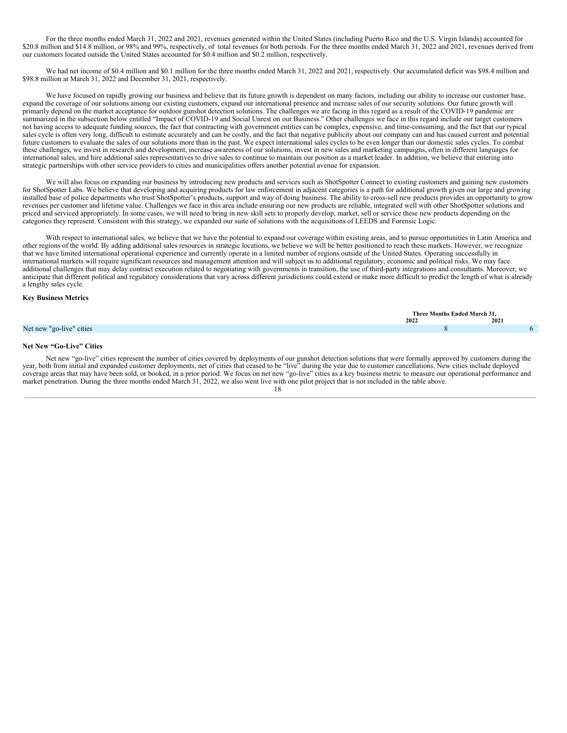For the three months ended March 31, 2022 and 2021, revenues generated within the United States (including Puerto Rico and the U.S. Virgin Islands) accounted for \$20.8 million and \$14.8 million, or 98% and 99%, respectively, of total revenues for both periods. For the three months ended March 31, 2022 and 2021, revenues derived from our customers located outside the United States accounted for \$0.4 million and \$0.2 million, respectively.

We had net income of \$0.4 million and \$0.1 million for the three months ended March 31, 2022 and 2021, respectively. Our accumulated deficit was \$98.4 million and \$98.8 million at March 31, 2022 and December 31, 2021, respectively.

We have focused on rapidly growing our business and believe that its future growth is dependent on many factors, including our ability to increase our customer base, expand the coverage of our solutions among our existing customers, expand our international presence and increase sales of our security solutions. Our future growth will primarily depend on the market acceptance for outdoor gunshot detection solutions. The challenges we are facing in this regard as a result of the COVID-19 pandemic are summarized in the subsection below entitled "Impact of COVID-19 and Social Unrest on our Business." Other challenges we face in this regard include our target customers not having access to adequate funding sources, the fact that contracting with government entities can be complex, expensive, and time-consuming, and the fact that our typical sales cycle is often very long, difficult to estimate accurately and can be costly, and the fact that negative publicity about our company can and has caused current and potential future customers to evaluate the sales of our solutions more than in the past. We expect international sales cycles to be even longer than our domestic sales cycles. To combat these challenges, we invest in research and development, increase awareness of our solutions, invest in new sales and marketing campaigns, often in different languages for international sales, and hire additional sales representatives to drive sales to continue to maintain our position as a market leader. In addition, we believe that entering into strategic partnerships with other service providers to cities and municipalities offers another potential avenue for expansion.

We will also focus on expanding our business by introducing new products and services such as ShotSpotter Connect to existing customers and gaining new customers for ShotSpotter Labs. We believe that developing and acquiring products for law enforcement in adjacent categories is a path for additional growth given our large and growing installed base of police departments who trust ShotSpotter's products, support and way of doing business. The ability to cross-sell new products provides an opportunity to grow revenues per customer and lifetime value. Challenges we face in this area include ensuring our new products are reliable, integrated well with other ShotSpotter solutions and priced and serviced appropriately. In some cases, we will need to bring in new skill sets to properly develop, market, sell or service these new products depending on the categories they represent. Consistent with this strategy, we expanded our suite of solutions with the acquisitions of LEEDS and Forensic Logic.

With respect to international sales, we believe that we have the potential to expand our coverage within existing areas, and to pursue opportunities in Latin America and other regions of the world. By adding additional sales resources in strategic locations, we believe we will be better positioned to reach these markets. However, we recognize that we have limited international operational experience and currently operate in a limited number of regions outside of the United States. Operating successfully in international markets will require significant resources and management attention and will subject us to additional regulatory, economic and political risks. We may face additional challenges that may delay contract execution related to negotiating with governments in transition, the use of third-party integrations and consultants. Moreover, we anticipate that different political and regulatory considerations that vary across different jurisdictions could extend or make more difficult to predict the length of what is already a lengthy sales cycle.

#### **Key Business Metrics**

|                          |      | Three Months Ended March 31. |  |  |
|--------------------------|------|------------------------------|--|--|
|                          | 2022 | 2021                         |  |  |
| Net new "go-live" cities |      |                              |  |  |

### **Net New "Go-Live" Cities**

Net new "go-live" cities represent the number of cities covered by deployments of our gunshot detection solutions that were formally approved by customers during the year, both from initial and expanded customer deployments, net of cities that ceased to be "live" during the year due to customer cancellations. New cities include deployed coverage areas that may have been sold, or booked, in a prior period. We focus on net new "go-live" cities as a key business metric to measure our operational performance and market penetration. During the three months ended March 31, 2022, we also went live with one pilot project that is not included in the table above.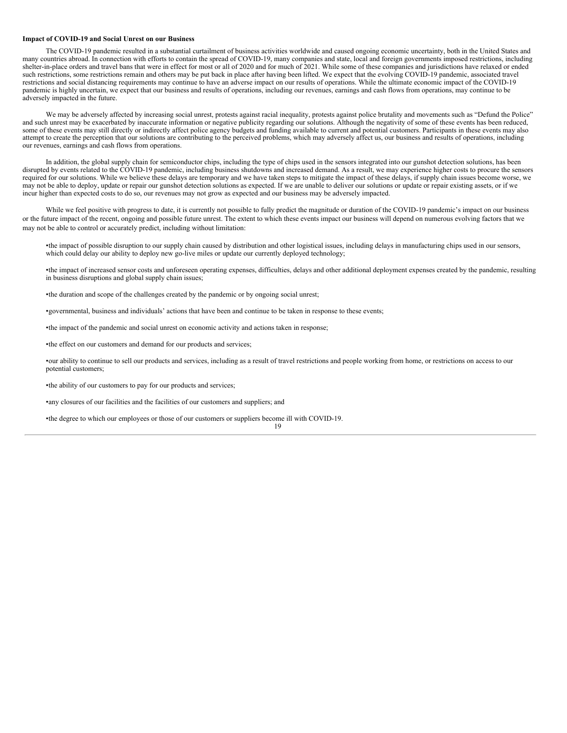### **Impact of COVID-19 and Social Unrest on our Business**

The COVID-19 pandemic resulted in a substantial curtailment of business activities worldwide and caused ongoing economic uncertainty, both in the United States and many countries abroad. In connection with efforts to contain the spread of COVID-19, many companies and state, local and foreign governments imposed restrictions, including shelter-in-place orders and travel bans that were in effect for most or all of 2020 and for much of 2021. While some of these companies and jurisdictions have relaxed or ended such restrictions, some restrictions remain and others may be put back in place after having been lifted. We expect that the evolving COVID-19 pandemic, associated travel restrictions and social distancing requirements may continue to have an adverse impact on our results of operations. While the ultimate economic impact of the COVID-19 pandemic is highly uncertain, we expect that our business and results of operations, including our revenues, earnings and cash flows from operations, may continue to be adversely impacted in the future.

We may be adversely affected by increasing social unrest, protests against racial inequality, protests against police brutality and movements such as "Defund the Police" and such unrest may be exacerbated by inaccurate information or negative publicity regarding our solutions. Although the negativity of some of these events has been reduced, some of these events may still directly or indirectly affect police agency budgets and funding available to current and potential customers. Participants in these events may also attempt to create the perception that our solutions are contributing to the perceived problems, which may adversely affect us, our business and results of operations, including our revenues, earnings and cash flows from operations.

In addition, the global supply chain for semiconductor chips, including the type of chips used in the sensors integrated into our gunshot detection solutions, has been disrupted by events related to the COVID-19 pandemic, including business shutdowns and increased demand. As a result, we may experience higher costs to procure the sensors required for our solutions. While we believe these delays are temporary and we have taken steps to mitigate the impact of these delays, if supply chain issues become worse, we may not be able to deploy, update or repair our gunshot detection solutions as expected. If we are unable to deliver our solutions or update or repair existing assets, or if we incur higher than expected costs to do so, our revenues may not grow as expected and our business may be adversely impacted.

While we feel positive with progress to date, it is currently not possible to fully predict the magnitude or duration of the COVID-19 pandemic's impact on our business or the future impact of the recent, ongoing and possible future unrest. The extent to which these events impact our business will depend on numerous evolving factors that we may not be able to control or accurately predict, including without limitation:

•the impact of possible disruption to our supply chain caused by distribution and other logistical issues, including delays in manufacturing chips used in our sensors, which could delay our ability to deploy new go-live miles or update our currently deployed technology;

•the impact of increased sensor costs and unforeseen operating expenses, difficulties, delays and other additional deployment expenses created by the pandemic, resulting in business disruptions and global supply chain issues;

•the duration and scope of the challenges created by the pandemic or by ongoing social unrest;

•governmental, business and individuals' actions that have been and continue to be taken in response to these events;

•the impact of the pandemic and social unrest on economic activity and actions taken in response;

•the effect on our customers and demand for our products and services;

•our ability to continue to sell our products and services, including as a result of travel restrictions and people working from home, or restrictions on access to our potential customers;

•the ability of our customers to pay for our products and services;

•any closures of our facilities and the facilities of our customers and suppliers; and

•the degree to which our employees or those of our customers or suppliers become ill with COVID-19.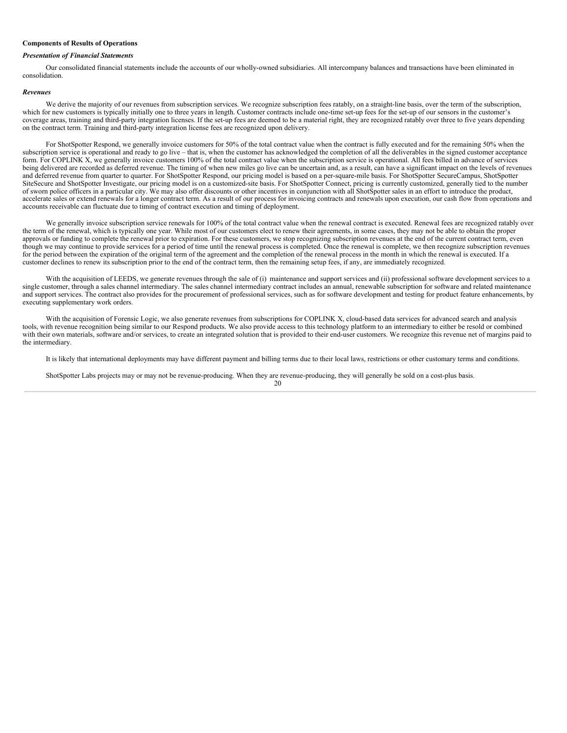### **Components of Results of Operations**

### *Presentation of Financial Statements*

Our consolidated financial statements include the accounts of our wholly-owned subsidiaries. All intercompany balances and transactions have been eliminated in consolidation.

#### *Revenues*

We derive the majority of our revenues from subscription services. We recognize subscription fees ratably, on a straight-line basis, over the term of the subscription, which for new customers is typically initially one to three years in length. Customer contracts include one-time set-up fees for the set-up of our sensors in the customer's coverage areas, training and third-party integration licenses. If the set-up fees are deemed to be a material right, they are recognized ratably over three to five years depending on the contract term. Training and third-party integration license fees are recognized upon delivery.

For ShotSpotter Respond, we generally invoice customers for 50% of the total contract value when the contract is fully executed and for the remaining 50% when the subscription service is operational and ready to go live – that is, when the customer has acknowledged the completion of all the deliverables in the signed customer acceptance form. For COPLINK X, we generally invoice customers 100% of the total contract value when the subscription service is operational. All fees billed in advance of services being delivered are recorded as deferred revenue. The timing of when new miles go live can be uncertain and, as a result, can have a significant impact on the levels of revenues and deferred revenue from quarter to quarter. For ShotSpotter Respond, our pricing model is based on a per-square-mile basis. For ShotSpotter SecureCampus, ShotSpotter SiteSecure and ShotSpotter Investigate, our pricing model is on a customized-site basis. For ShotSpotter Connect, pricing is currently customized, generally tied to the number of sworn police officers in a particular city. We may also offer discounts or other incentives in conjunction with all ShotSpotter sales in an effort to introduce the product, accelerate sales or extend renewals for a longer contract term. As a result of our process for invoicing contracts and renewals upon execution, our cash flow from operations and accounts receivable can fluctuate due to timing of contract execution and timing of deployment.

We generally invoice subscription service renewals for 100% of the total contract value when the renewal contract is executed. Renewal fees are recognized ratably over the term of the renewal, which is typically one year. While most of our customers elect to renew their agreements, in some cases, they may not be able to obtain the proper approvals or funding to complete the renewal prior to expiration. For these customers, we stop recognizing subscription revenues at the end of the current contract term, even though we may continue to provide services for a period of time until the renewal process is completed. Once the renewal is complete, we then recognize subscription revenues for the period between the expiration of the original term of the agreement and the completion of the renewal process in the month in which the renewal is executed. If a customer declines to renew its subscription prior to the end of the contract term, then the remaining setup fees, if any, are immediately recognized.

With the acquisition of LEEDS, we generate revenues through the sale of (i) maintenance and support services and (ii) professional software development services to a single customer, through a sales channel intermediary. The sales channel intermediary contract includes an annual, renewable subscription for software and related maintenance and support services. The contract also provides for the procurement of professional services, such as for software development and testing for product feature enhancements, by executing supplementary work orders.

With the acquisition of Forensic Logic, we also generate revenues from subscriptions for COPLINK X, cloud-based data services for advanced search and analysis tools, with revenue recognition being similar to our Respond products. We also provide access to this technology platform to an intermediary to either be resold or combined with their own materials, software and/or services, to create an integrated solution that is provided to their end-user customers. We recognize this revenue net of margins paid to the intermediary.

It is likely that international deployments may have different payment and billing terms due to their local laws, restrictions or other customary terms and conditions.

ShotSpotter Labs projects may or may not be revenue-producing. When they are revenue-producing, they will generally be sold on a cost-plus basis.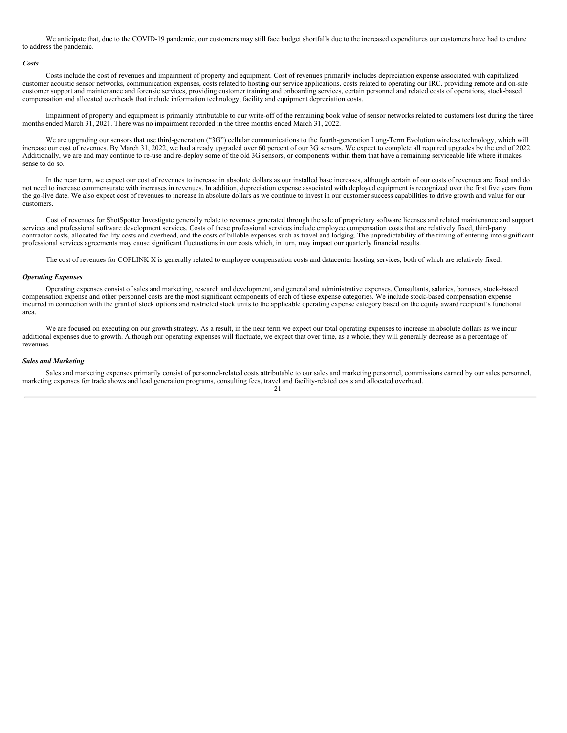We anticipate that, due to the COVID-19 pandemic, our customers may still face budget shortfalls due to the increased expenditures our customers have had to endure to address the pandemic.

#### *Costs*

Costs include the cost of revenues and impairment of property and equipment. Cost of revenues primarily includes depreciation expense associated with capitalized customer acoustic sensor networks, communication expenses, costs related to hosting our service applications, costs related to operating our IRC, providing remote and on-site customer support and maintenance and forensic services, providing customer training and onboarding services, certain personnel and related costs of operations, stock-based compensation and allocated overheads that include information technology, facility and equipment depreciation costs.

Impairment of property and equipment is primarily attributable to our write-off of the remaining book value of sensor networks related to customers lost during the three months ended March 31, 2021. There was no impairment recorded in the three months ended March 31, 2022.

We are upgrading our sensors that use third-generation ("3G") cellular communications to the fourth-generation Long-Term Evolution wireless technology, which will increase our cost of revenues. By March 31, 2022, we had already upgraded over 60 percent of our 3G sensors. We expect to complete all required upgrades by the end of 2022. Additionally, we are and may continue to re-use and re-deploy some of the old 3G sensors, or components within them that have a remaining serviceable life where it makes sense to do so.

In the near term, we expect our cost of revenues to increase in absolute dollars as our installed base increases, although certain of our costs of revenues are fixed and do not need to increase commensurate with increases in revenues. In addition, depreciation expense associated with deployed equipment is recognized over the first five years from the go-live date. We also expect cost of revenues to increase in absolute dollars as we continue to invest in our customer success capabilities to drive growth and value for our customers.

Cost of revenues for ShotSpotter Investigate generally relate to revenues generated through the sale of proprietary software licenses and related maintenance and support services and professional software development services. Costs of these professional services include employee compensation costs that are relatively fixed, third-party contractor costs, allocated facility costs and overhead, and the costs of billable expenses such as travel and lodging. The unpredictability of the timing of entering into significant professional services agreements may cause significant fluctuations in our costs which, in turn, may impact our quarterly financial results.

The cost of revenues for COPLINK X is generally related to employee compensation costs and datacenter hosting services, both of which are relatively fixed.

### *Operating Expenses*

Operating expenses consist of sales and marketing, research and development, and general and administrative expenses. Consultants, salaries, bonuses, stock-based compensation expense and other personnel costs are the most significant components of each of these expense categories. We include stock-based compensation expense incurred in connection with the grant of stock options and restricted stock units to the applicable operating expense category based on the equity award recipient's functional area.

We are focused on executing on our growth strategy. As a result, in the near term we expect our total operating expenses to increase in absolute dollars as we incur additional expenses due to growth. Although our operating expenses will fluctuate, we expect that over time, as a whole, they will generally decrease as a percentage of revenues.

### *Sales and Marketing*

Sales and marketing expenses primarily consist of personnel-related costs attributable to our sales and marketing personnel, commissions earned by our sales personnel, marketing expenses for trade shows and lead generation programs, consulting fees, travel and facility-related costs and allocated overhead.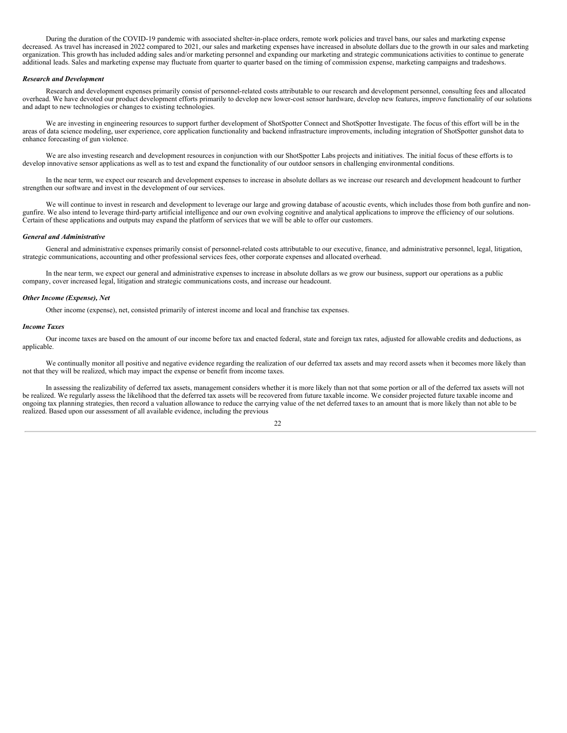During the duration of the COVID-19 pandemic with associated shelter-in-place orders, remote work policies and travel bans, our sales and marketing expense decreased. As travel has increased in 2022 compared to 2021, our sales and marketing expenses have increased in absolute dollars due to the growth in our sales and marketing organization. This growth has included adding sales and/or marketing personnel and expanding our marketing and strategic communications activities to continue to generate additional leads. Sales and marketing expense may fluctuate from quarter to quarter based on the timing of commission expense, marketing campaigns and tradeshows.

#### *Research and Development*

Research and development expenses primarily consist of personnel-related costs attributable to our research and development personnel, consulting fees and allocated overhead. We have devoted our product development efforts primarily to develop new lower-cost sensor hardware, develop new features, improve functionality of our solutions and adapt to new technologies or changes to existing technologies.

We are investing in engineering resources to support further development of ShotSpotter Connect and ShotSpotter Investigate. The focus of this effort will be in the areas of data science modeling, user experience, core application functionality and backend infrastructure improvements, including integration of ShotSpotter gunshot data to enhance forecasting of gun violence.

We are also investing research and development resources in conjunction with our ShotSpotter Labs projects and initiatives. The initial focus of these efforts is to develop innovative sensor applications as well as to test and expand the functionality of our outdoor sensors in challenging environmental conditions.

In the near term, we expect our research and development expenses to increase in absolute dollars as we increase our research and development headcount to further strengthen our software and invest in the development of our services.

We will continue to invest in research and development to leverage our large and growing database of acoustic events, which includes those from both gunfire and nongunfire. We also intend to leverage third-party artificial intelligence and our own evolving cognitive and analytical applications to improve the efficiency of our solutions. Certain of these applications and outputs may expand the platform of services that we will be able to offer our customers.

#### *General and Administrative*

General and administrative expenses primarily consist of personnel-related costs attributable to our executive, finance, and administrative personnel, legal, litigation, strategic communications, accounting and other professional services fees, other corporate expenses and allocated overhead.

In the near term, we expect our general and administrative expenses to increase in absolute dollars as we grow our business, support our operations as a public company, cover increased legal, litigation and strategic communications costs, and increase our headcount.

#### *Other Income (Expense), Net*

Other income (expense), net, consisted primarily of interest income and local and franchise tax expenses.

#### *Income Taxes*

Our income taxes are based on the amount of our income before tax and enacted federal, state and foreign tax rates, adjusted for allowable credits and deductions, as applicable.

We continually monitor all positive and negative evidence regarding the realization of our deferred tax assets and may record assets when it becomes more likely than not that they will be realized, which may impact the expense or benefit from income taxes.

In assessing the realizability of deferred tax assets, management considers whether it is more likely than not that some portion or all of the deferred tax assets will not be realized. We regularly assess the likelihood that the deferred tax assets will be recovered from future taxable income. We consider projected future taxable income and ongoing tax planning strategies, then record a valuation allowance to reduce the carrying value of the net deferred taxes to an amount that is more likely than not able to be realized. Based upon our assessment of all available evidence, including the previous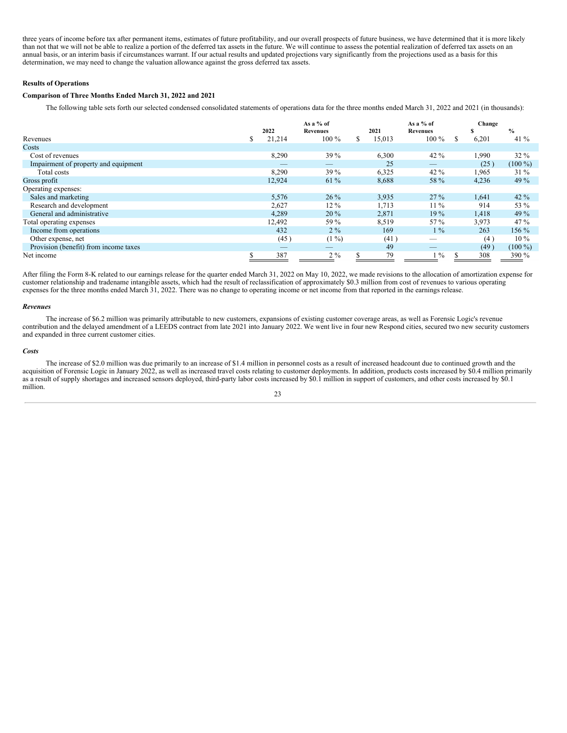three years of income before tax after permanent items, estimates of future profitability, and our overall prospects of future business, we have determined that it is more likely than not that we will not be able to realize a portion of the deferred tax assets in the future. We will continue to assess the potential realization of deferred tax assets on an annual basis, or an interim basis if circumstances warrant. If our actual results and updated projections vary significantly from the projections used as a basis for this determination, we may need to change the valuation allowance against the gross deferred tax assets.

### **Results of Operations**

### **Comparison of Three Months Ended March 31, 2022 and 2021**

The following table sets forth our selected condensed consolidated statements of operations data for the three months ended March 31, 2022 and 2021 (in thousands):

|                                       |   | 2022   | As a $%$ of<br><b>Revenues</b> |    | 2021   | As a % of<br><b>Revenues</b> | Change | $\frac{0}{0}$ |
|---------------------------------------|---|--------|--------------------------------|----|--------|------------------------------|--------|---------------|
| Revenues                              | S | 21,214 | $100\%$                        | S. | 15,013 | $100\%$                      | 6,201  | 41 $%$        |
| Costs                                 |   |        |                                |    |        |                              |        |               |
| Cost of revenues                      |   | 8,290  | 39 %                           |    | 6,300  | 42 %                         | 1,990  | $32\%$        |
| Impairment of property and equipment  |   |        |                                |    | 25     |                              | (25)   | $(100\%)$     |
| Total costs                           |   | 8,290  | 39 %                           |    | 6,325  | 42 %                         | 1,965  | $31\%$        |
| Gross profit                          |   | 12,924 | 61%                            |    | 8,688  | 58 %                         | 4,236  | 49 $%$        |
| Operating expenses:                   |   |        |                                |    |        |                              |        |               |
| Sales and marketing                   |   | 5,576  | 26 %                           |    | 3,935  | 27%                          | 1,641  | 42 $%$        |
| Research and development              |   | 2,627  | $12\%$                         |    | 1,713  | $11\%$                       | 914    | 53 %          |
| General and administrative            |   | 4,289  | $20\%$                         |    | 2,871  | 19 %                         | 1,418  | 49 $%$        |
| Total operating expenses              |   | 12,492 | 59 %                           |    | 8,519  | 57 %                         | 3,973  | $47\%$        |
| Income from operations                |   | 432    | $2\%$                          |    | 169    | $1\%$                        | 263    | $156\%$       |
| Other expense, net                    |   | (45)   | $(1\%)$                        |    | (41)   | $-$                          | (4)    | $10\%$        |
| Provision (benefit) from income taxes |   | _      |                                |    | 49     | _                            | (49)   | $(100\%)$     |
| Net income                            |   | 387    | $2\%$                          |    | 79     | $1\%$                        | 308    | 390 %         |

After filing the Form 8-K related to our earnings release for the quarter ended March 31, 2022 on May 10, 2022, we made revisions to the allocation of amortization expense for customer relationship and tradename intangible assets, which had the result of reclassification of approximately \$0.3 million from cost of revenues to various operating expenses for the three months ended March 31, 2022. There was no change to operating income or net income from that reported in the earnings release.

#### *Revenues*

The increase of \$6.2 million was primarily attributable to new customers, expansions of existing customer coverage areas, as well as Forensic Logic's revenue contribution and the delayed amendment of a LEEDS contract from late 2021 into January 2022. We went live in four new Respond cities, secured two new security customers and expanded in three current customer cities.

#### *Costs*

The increase of \$2.0 million was due primarily to an increase of \$1.4 million in personnel costs as a result of increased headcount due to continued growth and the acquisition of Forensic Logic in January 2022, as well as increased travel costs relating to customer deployments. In addition, products costs increased by \$0.4 million primarily as a result of supply shortages and increased sensors deployed, third-party labor costs increased by \$0.1 million in support of customers, and other costs increased by \$0.1 million.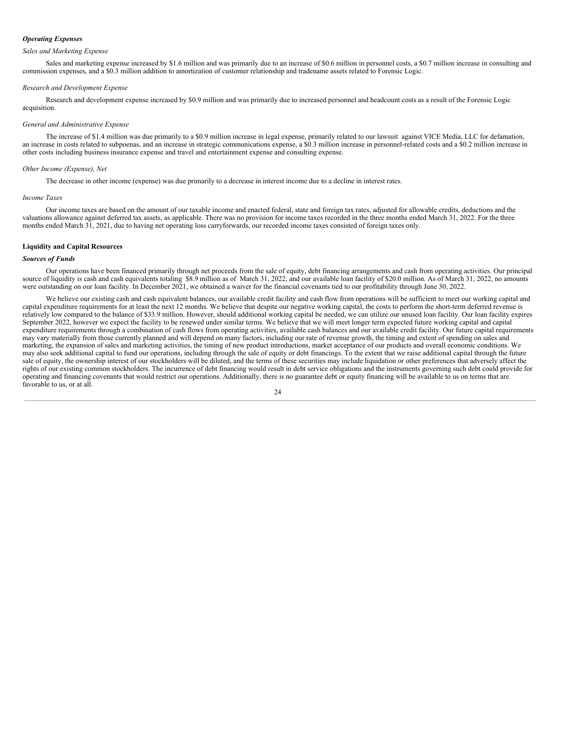### *Operating Expenses*

### *Sales and Marketing Expense*

Sales and marketing expense increased by \$1.6 million and was primarily due to an increase of \$0.6 million in personnel costs, a \$0.7 million increase in consulting and commission expenses, and a \$0.3 million addition to amortization of customer relationship and tradename assets related to Forensic Logic.

#### *Research and Development Expense*

Research and development expense increased by \$0.9 million and was primarily due to increased personnel and headcount costs as a result of the Forensic Logic acquisition.

#### *General and Administrative Expense*

The increase of \$1.4 million was due primarily to a \$0.9 million increase in legal expense, primarily related to our lawsuit against VICE Media, LLC for defamation, an increase in costs related to subpoenas, and an increase in strategic communications expense, a \$0.3 million increase in personnel-related costs and a \$0.2 million increase in other costs including business insurance expense and travel and entertainment expense and consulting expense.

#### *Other Income (Expense), Net*

The decrease in other income (expense) was due primarily to a decrease in interest income due to a decline in interest rates.

### *Income Taxes*

Our income taxes are based on the amount of our taxable income and enacted federal, state and foreign tax rates, adjusted for allowable credits, deductions and the valuations allowance against deferred tax assets, as applicable. There was no provision for income taxes recorded in the three months ended March 31, 2022. For the three months ended March 31, 2021, due to having net operating loss carryforwards, our recorded income taxes consisted of foreign taxes only.

### **Liquidity and Capital Resources**

### *Sources of Funds*

Our operations have been financed primarily through net proceeds from the sale of equity, debt financing arrangements and cash from operating activities. Our principal source of liquidity is cash and cash equivalents totaling \$8.9 million as of March 31, 2022, and our available loan facility of \$20.0 million. As of March 31, 2022, no amounts were outstanding on our loan facility. In December 2021, we obtained a waiver for the financial covenants tied to our profitability through June 30, 2022.

We believe our existing cash and cash equivalent balances, our available credit facility and cash flow from operations will be sufficient to meet our working capital and capital expenditure requirements for at least the next 12 months. We believe that despite our negative working capital, the costs to perform the short-term deferred revenue is relatively low compared to the balance of \$33.9 million. However, should additional working capital be needed, we can utilize our unused loan facility. Our loan facility expires September 2022, however we expect the facility to be renewed under similar terms. We believe that we will meet longer term expected future working capital and capital expenditure requirements through a combination of cash flows from operating activities, available cash balances and our available credit facility. Our future capital requirements may vary materially from those currently planned and will depend on many factors, including our rate of revenue growth, the timing and extent of spending on sales and marketing, the expansion of sales and marketing activities, the timing of new product introductions, market acceptance of our products and overall economic conditions. We may also seek additional capital to fund our operations, including through the sale of equity or debt financings. To the extent that we raise additional capital through the future sale of equity, the ownership interest of our stockholders will be diluted, and the terms of these securities may include liquidation or other preferences that adversely affect the rights of our existing common stockholders. The incurrence of debt financing would result in debt service obligations and the instruments governing such debt could provide for operating and financing covenants that would restrict our operations. Additionally, there is no guarantee debt or equity financing will be available to us on terms that are favorable to us, or at all.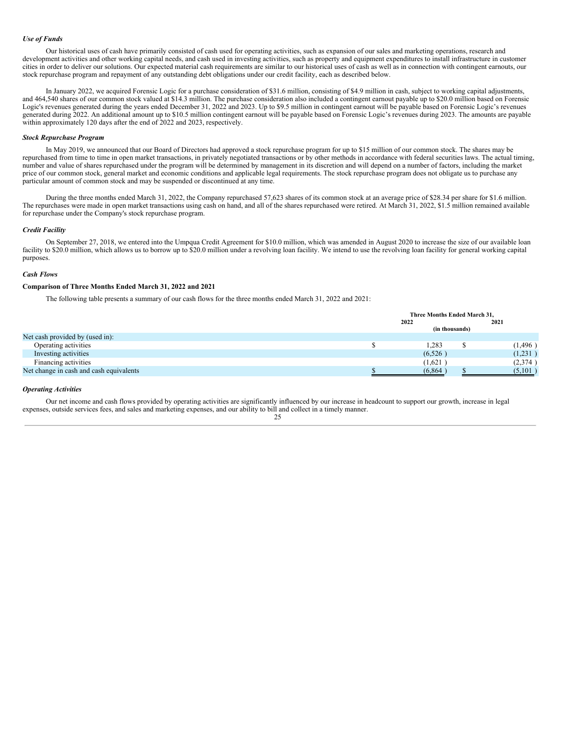### *Use of Funds*

Our historical uses of cash have primarily consisted of cash used for operating activities, such as expansion of our sales and marketing operations, research and development activities and other working capital needs, and cash used in investing activities, such as property and equipment expenditures to install infrastructure in customer cities in order to deliver our solutions. Our expected material cash requirements are similar to our historical uses of cash as well as in connection with contingent earnouts, our stock repurchase program and repayment of any outstanding debt obligations under our credit facility, each as described below.

In January 2022, we acquired Forensic Logic for a purchase consideration of \$31.6 million, consisting of \$4.9 million in cash, subject to working capital adjustments, and 464,540 shares of our common stock valued at \$14.3 million. The purchase consideration also included a contingent earnout payable up to \$20.0 million based on Forensic Logic's revenues generated during the years ended December 31, 2022 and 2023. Up to \$9.5 million in contingent earnout will be payable based on Forensic Logic's revenues generated during 2022. An additional amount up to \$10.5 million contingent earnout will be payable based on Forensic Logic's revenues during 2023. The amounts are payable within approximately 120 days after the end of 2022 and 2023, respectively.

### *Stock Repurchase Program*

In May 2019, we announced that our Board of Directors had approved a stock repurchase program for up to \$15 million of our common stock. The shares may be repurchased from time to time in open market transactions, in privately negotiated transactions or by other methods in accordance with federal securities laws. The actual timing, number and value of shares repurchased under the program will be determined by management in its discretion and will depend on a number of factors, including the market price of our common stock, general market and economic conditions and applicable legal requirements. The stock repurchase program does not obligate us to purchase any particular amount of common stock and may be suspended or discontinued at any time.

During the three months ended March 31, 2022, the Company repurchased 57,623 shares of its common stock at an average price of \$28.34 per share for \$1.6 million. The repurchases were made in open market transactions using cash on hand, and all of the shares repurchased were retired. At March 31, 2022, \$1.5 million remained available for repurchase under the Company's stock repurchase program.

### *Credit Facility*

On September 27, 2018, we entered into the Umpqua Credit Agreement for \$10.0 million, which was amended in August 2020 to increase the size of our available loan facility to \$20.0 million, which allows us to borrow up to \$20.0 million under a revolving loan facility. We intend to use the revolving loan facility for general working capital purposes.

### *Cash Flows*

### **Comparison of Three Months Ended March 31, 2022 and 2021**

The following table presents a summary of our cash flows for the three months ended March 31, 2022 and 2021:

|                                         | Three Months Ended March 31. |  |          |
|-----------------------------------------|------------------------------|--|----------|
|                                         | 2022                         |  | 2021     |
|                                         | (in thousands)               |  |          |
| Net cash provided by (used in):         |                              |  |          |
| Operating activities                    | 1.283                        |  | (1, 496) |
| Investing activities                    | (6,526)                      |  | (1,231)  |
| Financing activities                    | (1,621)                      |  | (2,374)  |
| Net change in cash and cash equivalents | (6,864)                      |  | (5,101)  |

#### *Operating Activities*

Our net income and cash flows provided by operating activities are significantly influenced by our increase in headcount to support our growth, increase in legal expenses, outside services fees, and sales and marketing expenses, and our ability to bill and collect in a timely manner.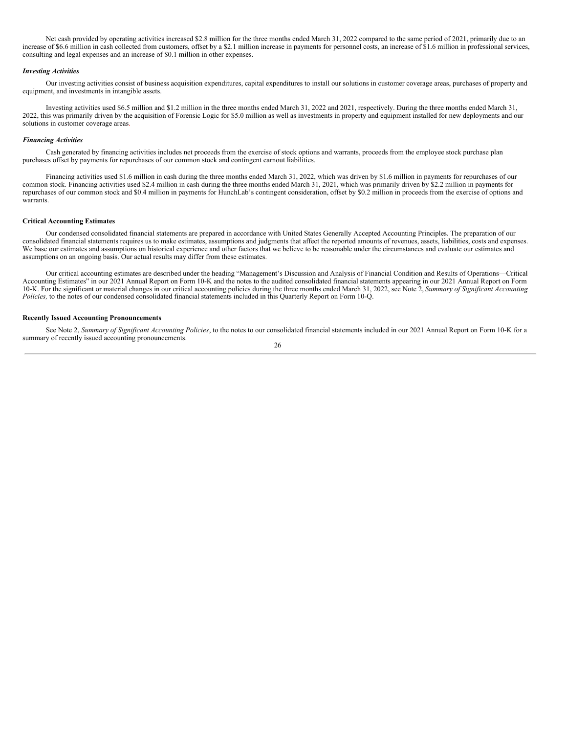Net cash provided by operating activities increased \$2.8 million for the three months ended March 31, 2022 compared to the same period of 2021, primarily due to an increase of \$6.6 million in cash collected from customers, offset by a \$2.1 million increase in payments for personnel costs, an increase of \$1.6 million in professional services, consulting and legal expenses and an increase of \$0.1 million in other expenses.

### *Investing Activities*

Our investing activities consist of business acquisition expenditures, capital expenditures to install our solutions in customer coverage areas, purchases of property and equipment, and investments in intangible assets.

Investing activities used \$6.5 million and \$1.2 million in the three months ended March 31, 2022 and 2021, respectively. During the three months ended March 31, 2022, this was primarily driven by the acquisition of Forensic Logic for \$5.0 million as well as investments in property and equipment installed for new deployments and our solutions in customer coverage areas.

### *Financing Activities*

Cash generated by financing activities includes net proceeds from the exercise of stock options and warrants, proceeds from the employee stock purchase plan purchases offset by payments for repurchases of our common stock and contingent earnout liabilities.

Financing activities used \$1.6 million in cash during the three months ended March 31, 2022, which was driven by \$1.6 million in payments for repurchases of our common stock. Financing activities used \$2.4 million in cash during the three months ended March 31, 2021, which was primarily driven by \$2.2 million in payments for repurchases of our common stock and \$0.4 million in payments for HunchLab's contingent consideration, offset by \$0.2 million in proceeds from the exercise of options and warrants.

#### **Critical Accounting Estimates**

Our condensed consolidated financial statements are prepared in accordance with United States Generally Accepted Accounting Principles. The preparation of our consolidated financial statements requires us to make estimates, assumptions and judgments that affect the reported amounts of revenues, assets, liabilities, costs and expenses. We base our estimates and assumptions on historical experience and other factors that we believe to be reasonable under the circumstances and evaluate our estimates and assumptions on an ongoing basis. Our actual results may differ from these estimates.

Our critical accounting estimates are described under the heading "Management's Discussion and Analysis of Financial Condition and Results of Operations—Critical Accounting Estimates" in our 2021 Annual Report on Form 10-K and the notes to the audited consolidated financial statements appearing in our 2021 Annual Report on Form 10-K. For the significant or material changes in our critical accounting policies during the three months ended March 31, 2022, see Note 2, *Summary of Significant Accounting Policies,* to the notes of our condensed consolidated financial statements included in this Quarterly Report on Form 10-Q.

### **Recently Issued Accounting Pronouncements**

See Note 2, *Summary of Significant Accounting Policies*, to the notes to our consolidated financial statements included in our 2021 Annual Report on Form 10-K for a summary of recently issued accounting pronouncements.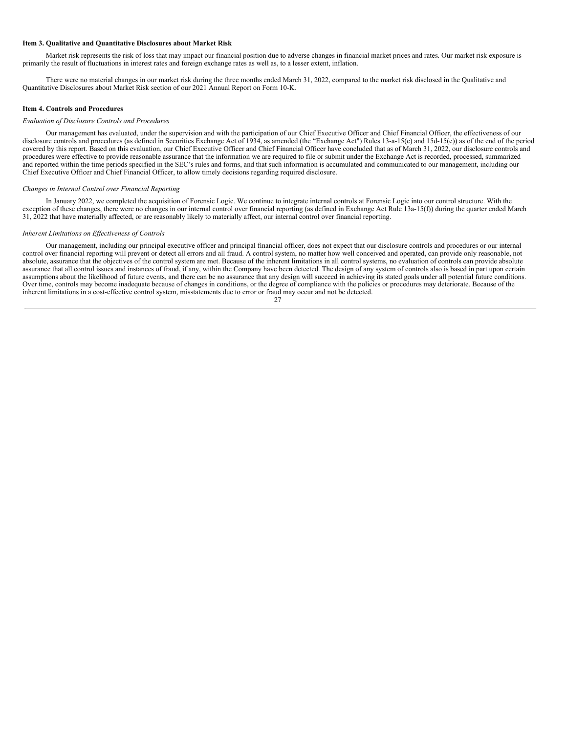#### <span id="page-27-0"></span>**Item 3. Qualitative and Quantitative Disclosures about Market Risk**

Market risk represents the risk of loss that may impact our financial position due to adverse changes in financial market prices and rates. Our market risk exposure is primarily the result of fluctuations in interest rates and foreign exchange rates as well as, to a lesser extent, inflation.

There were no material changes in our market risk during the three months ended March 31, 2022, compared to the market risk disclosed in the Qualitative and Quantitative Disclosures about Market Risk section of our 2021 Annual Report on Form 10-K.

### <span id="page-27-1"></span>**Item 4. Controls and Procedures**

### *Evaluation of Disclosure Controls and Procedures*

Our management has evaluated, under the supervision and with the participation of our Chief Executive Officer and Chief Financial Officer, the effectiveness of our disclosure controls and procedures (as defined in Securities Exchange Act of 1934, as amended (the "Exchange Act") Rules 13-a-15(e) and 15d-15(e)) as of the end of the period covered by this report. Based on this evaluation, our Chief Executive Officer and Chief Financial Officer have concluded that as of March 31, 2022, our disclosure controls and procedures were effective to provide reasonable assurance that the information we are required to file or submit under the Exchange Act is recorded, processed, summarized and reported within the time periods specified in the SEC's rules and forms, and that such information is accumulated and communicated to our management, including our Chief Executive Officer and Chief Financial Officer, to allow timely decisions regarding required disclosure.

#### *Changes in Internal Control over Financial Reporting*

In January 2022, we completed the acquisition of Forensic Logic. We continue to integrate internal controls at Forensic Logic into our control structure. With the exception of these changes, there were no changes in our internal control over financial reporting (as defined in Exchange Act Rule 13a-15(f)) during the quarter ended March 31, 2022 that have materially affected, or are reasonably likely to materially affect, our internal control over financial reporting.

#### *Inherent Limitations on Ef ectiveness of Controls*

Our management, including our principal executive officer and principal financial officer, does not expect that our disclosure controls and procedures or our internal control over financial reporting will prevent or detect all errors and all fraud. A control system, no matter how well conceived and operated, can provide only reasonable, not absolute, assurance that the objectives of the control system are met. Because of the inherent limitations in all control systems, no evaluation of controls can provide absolute assurance that all control issues and instances of fraud, if any, within the Company have been detected. The design of any system of controls also is based in part upon certain assumptions about the likelihood of future events, and there can be no assurance that any design will succeed in achieving its stated goals under all potential future conditions. Over time, controls may become inadequate because of changes in conditions, or the degree of compliance with the policies or procedures may deteriorate. Because of the inherent limitations in a cost-effective control system, misstatements due to error or fraud may occur and not be detected.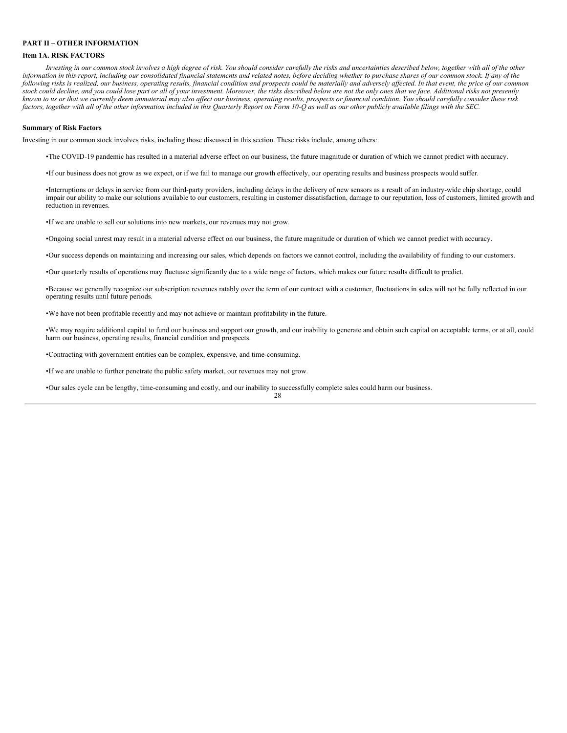### <span id="page-28-0"></span>**PART II – OTHER INFORMATION**

### <span id="page-28-1"></span>**Item 1A. RISK FACTORS**

Investing in our common stock involves a high degree of risk. You should consider carefully the risks and uncertainties described below, together with all of the other information in this report, including our consolidated financial statements and related notes, before deciding whether to purchase shares of our common stock. If any of the following risks is realized, our business, operating results, financial condition and prospects could be materially and adversely affected. In that event, the price of our common stock could decline, and you could lose part or all of your investment. Moreover, the risks described below are not the only ones that we face. Additional risks not presently known to us or that we currently deem immaterial may also affect our business, operating results, prospects or financial condition. You should carefully consider these risk factors, together with all of the other information included in this Quarterly Report on Form 10-Q as well as our other publicly available filings with the SEC.

### **Summary of Risk Factors**

Investing in our common stock involves risks, including those discussed in this section. These risks include, among others:

•The COVID-19 pandemic has resulted in a material adverse effect on our business, the future magnitude or duration of which we cannot predict with accuracy.

•If our business does not grow as we expect, or if we fail to manage our growth effectively, our operating results and business prospects would suffer.

•Interruptions or delays in service from our third-party providers, including delays in the delivery of new sensors as a result of an industry-wide chip shortage, could impair our ability to make our solutions available to our customers, resulting in customer dissatisfaction, damage to our reputation, loss of customers, limited growth and reduction in revenues.

•If we are unable to sell our solutions into new markets, our revenues may not grow.

•Ongoing social unrest may result in a material adverse effect on our business, the future magnitude or duration of which we cannot predict with accuracy.

•Our success depends on maintaining and increasing our sales, which depends on factors we cannot control, including the availability of funding to our customers.

•Our quarterly results of operations may fluctuate significantly due to a wide range of factors, which makes our future results difficult to predict.

•Because we generally recognize our subscription revenues ratably over the term of our contract with a customer, fluctuations in sales will not be fully reflected in our operating results until future periods.

•We have not been profitable recently and may not achieve or maintain profitability in the future.

•We may require additional capital to fund our business and support our growth, and our inability to generate and obtain such capital on acceptable terms, or at all, could harm our business, operating results, financial condition and prospects.

•Contracting with government entities can be complex, expensive, and time-consuming.

•If we are unable to further penetrate the public safety market, our revenues may not grow.

•Our sales cycle can be lengthy, time-consuming and costly, and our inability to successfully complete sales could harm our business.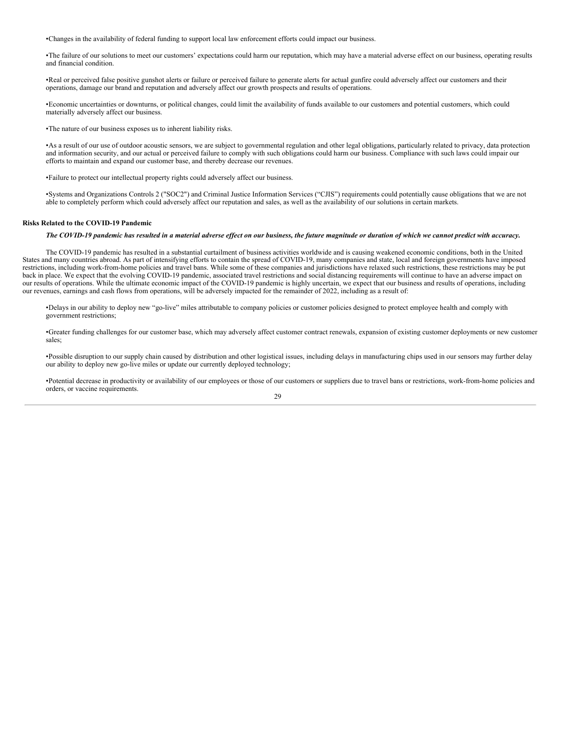•Changes in the availability of federal funding to support local law enforcement efforts could impact our business.

•The failure of our solutions to meet our customers' expectations could harm our reputation, which may have a material adverse effect on our business, operating results and financial condition.

•Real or perceived false positive gunshot alerts or failure or perceived failure to generate alerts for actual gunfire could adversely affect our customers and their operations, damage our brand and reputation and adversely affect our growth prospects and results of operations.

•Economic uncertainties or downturns, or political changes, could limit the availability of funds available to our customers and potential customers, which could materially adversely affect our business.

•The nature of our business exposes us to inherent liability risks.

•As a result of our use of outdoor acoustic sensors, we are subject to governmental regulation and other legal obligations, particularly related to privacy, data protection and information security, and our actual or perceived failure to comply with such obligations could harm our business. Compliance with such laws could impair our efforts to maintain and expand our customer base, and thereby decrease our revenues.

•Failure to protect our intellectual property rights could adversely affect our business.

•Systems and Organizations Controls 2 ("SOC2") and Criminal Justice Information Services ("CJIS") requirements could potentially cause obligations that we are not able to completely perform which could adversely affect our reputation and sales, as well as the availability of our solutions in certain markets.

### **Risks Related to the COVID-19 Pandemic**

#### The COVID-19 pandemic has resulted in a material adverse effect on our business, the future magnitude or duration of which we cannot predict with accuracy.

The COVID-19 pandemic has resulted in a substantial curtailment of business activities worldwide and is causing weakened economic conditions, both in the United States and many countries abroad. As part of intensifying efforts to contain the spread of COVID-19, many companies and state, local and foreign governments have imposed restrictions, including work-from-home policies and travel bans. While some of these companies and jurisdictions have relaxed such restrictions, these restrictions may be put back in place. We expect that the evolving COVID-19 pandemic, associated travel restrictions and social distancing requirements will continue to have an adverse impact on our results of operations. While the ultimate economic impact of the COVID-19 pandemic is highly uncertain, we expect that our business and results of operations, including our revenues, earnings and cash flows from operations, will be adversely impacted for the remainder of 2022, including as a result of:

•Delays in our ability to deploy new "go-live" miles attributable to company policies or customer policies designed to protect employee health and comply with government restrictions;

•Greater funding challenges for our customer base, which may adversely affect customer contract renewals, expansion of existing customer deployments or new customer sales;

•Possible disruption to our supply chain caused by distribution and other logistical issues, including delays in manufacturing chips used in our sensors may further delay our ability to deploy new go-live miles or update our currently deployed technology;

•Potential decrease in productivity or availability of our employees or those of our customers or suppliers due to travel bans or restrictions, work-from-home policies and orders, or vaccine requirements.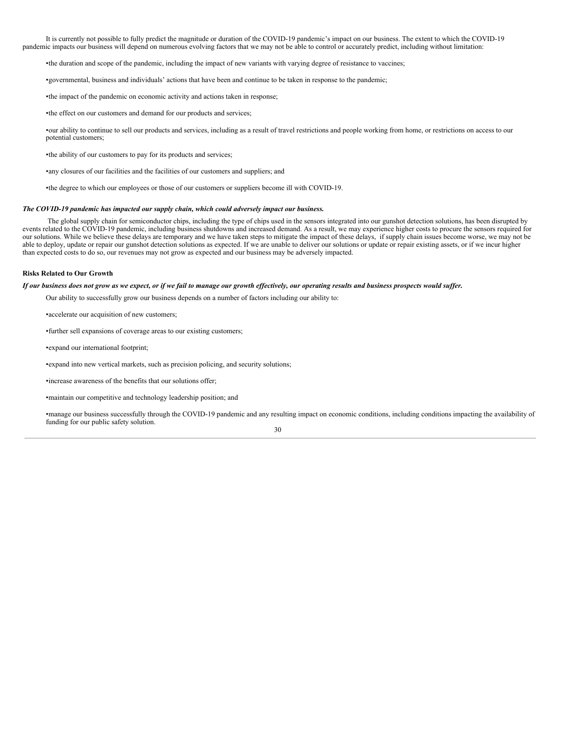It is currently not possible to fully predict the magnitude or duration of the COVID-19 pandemic's impact on our business. The extent to which the COVID-19 pandemic impacts our business will depend on numerous evolving factors that we may not be able to control or accurately predict, including without limitation:

•the duration and scope of the pandemic, including the impact of new variants with varying degree of resistance to vaccines;

•governmental, business and individuals' actions that have been and continue to be taken in response to the pandemic;

•the impact of the pandemic on economic activity and actions taken in response;

•the effect on our customers and demand for our products and services;

•our ability to continue to sell our products and services, including as a result of travel restrictions and people working from home, or restrictions on access to our potential customers;

•the ability of our customers to pay for its products and services;

•any closures of our facilities and the facilities of our customers and suppliers; and

•the degree to which our employees or those of our customers or suppliers become ill with COVID-19.

### *The COVID-19 pandemic has impacted our supply chain, which could adversely impact our business.*

The global supply chain for semiconductor chips, including the type of chips used in the sensors integrated into our gunshot detection solutions, has been disrupted by events related to the COVID-19 pandemic, including business shutdowns and increased demand. As a result, we may experience higher costs to procure the sensors required for our solutions. While we believe these delays are temporary and we have taken steps to mitigate the impact of these delays, if supply chain issues become worse, we may not be able to deploy, update or repair our gunshot detection solutions as expected. If we are unable to deliver our solutions or update or repair existing assets, or if we incur higher than expected costs to do so, our revenues may not grow as expected and our business may be adversely impacted.

### **Risks Related to Our Growth**

If our business does not grow as we expect, or if we fail to manage our growth effectively, our operating results and business prospects would suffer.

Our ability to successfully grow our business depends on a number of factors including our ability to:

•accelerate our acquisition of new customers;

•further sell expansions of coverage areas to our existing customers;

•expand our international footprint;

•expand into new vertical markets, such as precision policing, and security solutions;

•increase awareness of the benefits that our solutions offer;

•maintain our competitive and technology leadership position; and

•manage our business successfully through the COVID-19 pandemic and any resulting impact on economic conditions, including conditions impacting the availability of funding for our public safety solution.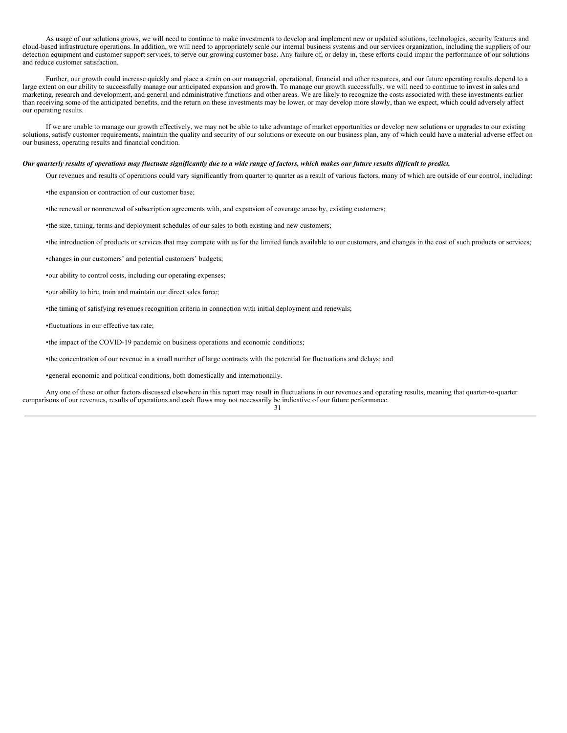As usage of our solutions grows, we will need to continue to make investments to develop and implement new or updated solutions, technologies, security features and cloud-based infrastructure operations. In addition, we will need to appropriately scale our internal business systems and our services organization, including the suppliers of our detection equipment and customer support services, to serve our growing customer base. Any failure of, or delay in, these efforts could impair the performance of our solutions and reduce customer satisfaction.

Further, our growth could increase quickly and place a strain on our managerial, operational, financial and other resources, and our future operating results depend to a large extent on our ability to successfully manage our anticipated expansion and growth. To manage our growth successfully, we will need to continue to invest in sales and marketing, research and development, and general and administrative functions and other areas. We are likely to recognize the costs associated with these investments earlier than receiving some of the anticipated benefits, and the return on these investments may be lower, or may develop more slowly, than we expect, which could adversely affect our operating results.

If we are unable to manage our growth effectively, we may not be able to take advantage of market opportunities or develop new solutions or upgrades to our existing solutions, satisfy customer requirements, maintain the quality and security of our solutions or execute on our business plan, any of which could have a material adverse effect on our business, operating results and financial condition.

### Our quarterly results of operations may fluctuate significantly due to a wide range of factors, which makes our future results difficult to predict.

Our revenues and results of operations could vary significantly from quarter to quarter as a result of various factors, many of which are outside of our control, including:

•the expansion or contraction of our customer base;

•the renewal or nonrenewal of subscription agreements with, and expansion of coverage areas by, existing customers;

•the size, timing, terms and deployment schedules of our sales to both existing and new customers;

•the introduction of products or services that may compete with us for the limited funds available to our customers, and changes in the cost of such products or services;

•changes in our customers' and potential customers' budgets;

- •our ability to control costs, including our operating expenses;
- •our ability to hire, train and maintain our direct sales force;

•the timing of satisfying revenues recognition criteria in connection with initial deployment and renewals;

•fluctuations in our effective tax rate;

•the impact of the COVID-19 pandemic on business operations and economic conditions;

•the concentration of our revenue in a small number of large contracts with the potential for fluctuations and delays; and

•general economic and political conditions, both domestically and internationally.

Any one of these or other factors discussed elsewhere in this report may result in fluctuations in our revenues and operating results, meaning that quarter-to-quarter comparisons of our revenues, results of operations and cash flows may not necessarily be indicative of our future performance.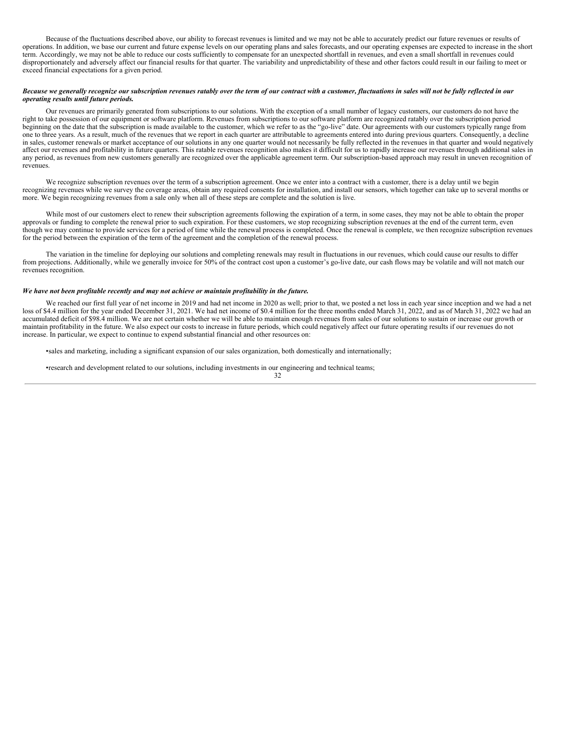Because of the fluctuations described above, our ability to forecast revenues is limited and we may not be able to accurately predict our future revenues or results of operations. In addition, we base our current and future expense levels on our operating plans and sales forecasts, and our operating expenses are expected to increase in the short term. Accordingly, we may not be able to reduce our costs sufficiently to compensate for an unexpected shortfall in revenues, and even a small shortfall in revenues could disproportionately and adversely affect our financial results for that quarter. The variability and unpredictability of these and other factors could result in our failing to meet or exceed financial expectations for a given period.

### Because we generally recognize our subscription revenues ratably over the term of our contract with a customer, fluctuations in sales will not be fully reflected in our *operating results until future periods.*

Our revenues are primarily generated from subscriptions to our solutions. With the exception of a small number of legacy customers, our customers do not have the right to take possession of our equipment or software platform. Revenues from subscriptions to our software platform are recognized ratably over the subscription period beginning on the date that the subscription is made available to the customer, which we refer to as the "go-live" date. Our agreements with our customers typically range from one to three years. As a result, much of the revenues that we report in each quarter are attributable to agreements entered into during previous quarters. Consequently, a decline in sales, customer renewals or market acceptance of our solutions in any one quarter would not necessarily be fully reflected in the revenues in that quarter and would negatively affect our revenues and profitability in future quarters. This ratable revenues recognition also makes it difficult for us to rapidly increase our revenues through additional sales in any period, as revenues from new customers generally are recognized over the applicable agreement term. Our subscription-based approach may result in uneven recognition of revenues.

We recognize subscription revenues over the term of a subscription agreement. Once we enter into a contract with a customer, there is a delay until we begin recognizing revenues while we survey the coverage areas, obtain any required consents for installation, and install our sensors, which together can take up to several months or more. We begin recognizing revenues from a sale only when all of these steps are complete and the solution is live.

While most of our customers elect to renew their subscription agreements following the expiration of a term, in some cases, they may not be able to obtain the proper approvals or funding to complete the renewal prior to such expiration. For these customers, we stop recognizing subscription revenues at the end of the current term, even though we may continue to provide services for a period of time while the renewal process is completed. Once the renewal is complete, we then recognize subscription revenues for the period between the expiration of the term of the agreement and the completion of the renewal process.

The variation in the timeline for deploying our solutions and completing renewals may result in fluctuations in our revenues, which could cause our results to differ from projections. Additionally, while we generally invoice for 50% of the contract cost upon a customer's go-live date, our cash flows may be volatile and will not match our revenues recognition.

### *We have not been profitable recently and may not achieve or maintain profitability in the future.*

We reached our first full year of net income in 2019 and had net income in 2020 as well; prior to that, we posted a net loss in each year since inception and we had a net loss of \$4.4 million for the year ended December 31, 2021. We had net income of \$0.4 million for the three months ended March 31, 2022, and as of March 31, 2022 we had an accumulated deficit of \$98.4 million. We are not certain whether we will be able to maintain enough revenues from sales of our solutions to sustain or increase our growth or maintain profitability in the future. We also expect our costs to increase in future periods, which could negatively affect our future operating results if our revenues do not increase. In particular, we expect to continue to expend substantial financial and other resources on:

•sales and marketing, including a significant expansion of our sales organization, both domestically and internationally;

•research and development related to our solutions, including investments in our engineering and technical teams; 32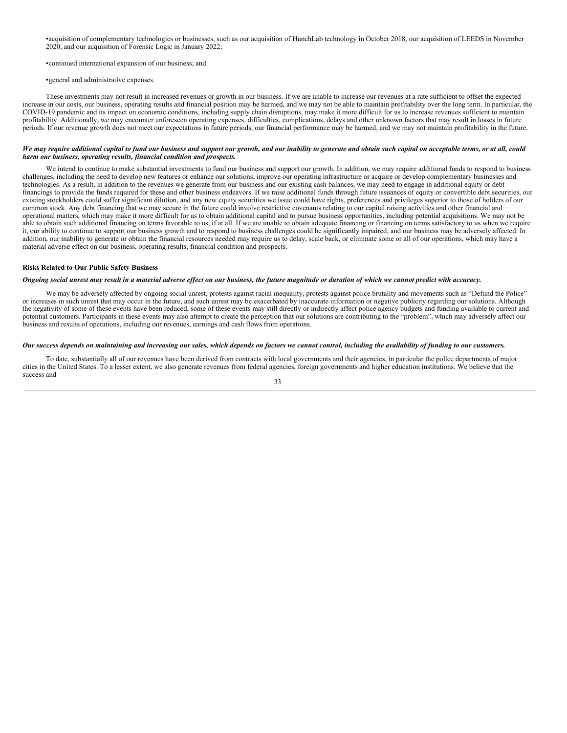•acquisition of complementary technologies or businesses, such as our acquisition of HunchLab technology in October 2018, our acquisition of LEEDS in November 2020, and our acquisition of Forensic Logic in January 2022;

•continued international expansion of our business; and

•general and administrative expenses.

These investments may not result in increased revenues or growth in our business. If we are unable to increase our revenues at a rate sufficient to offset the expected increase in our costs, our business, operating results and financial position may be harmed, and we may not be able to maintain profitability over the long term. In particular, the COVID-19 pandemic and its impact on economic conditions, including supply chain disruptions, may make it more difficult for us to increase revenues sufficient to maintain profitability. Additionally, we may encounter unforeseen operating expenses, difficulties, complications, delays and other unknown factors that may result in losses in future periods. If our revenue growth does not meet our expectations in future periods, our financial performance may be harmed, and we may not maintain profitability in the future.

### We may require additional capital to fund our business and support our growth, and our inability to generate and obtain such capital on acceptable terms, or at all, could *harm our business, operating results, financial condition and prospects.*

We intend to continue to make substantial investments to fund our business and support our growth. In addition, we may require additional funds to respond to business challenges, including the need to develop new features or enhance our solutions, improve our operating infrastructure or acquire or develop complementary businesses and technologies. As a result, in addition to the revenues we generate from our business and our existing cash balances, we may need to engage in additional equity or debt financings to provide the funds required for these and other business endeavors. If we raise additional funds through future issuances of equity or convertible debt securities, our existing stockholders could suffer significant dilution, and any new equity securities we issue could have rights, preferences and privileges superior to those of holders of our common stock. Any debt financing that we may secure in the future could involve restrictive covenants relating to our capital raising activities and other financial and operational matters, which may make it more difficult for us to obtain additional capital and to pursue business opportunities, including potential acquisitions. We may not be able to obtain such additional financing on terms favorable to us, if at all. If we are unable to obtain adequate financing or financing on terms satisfactory to us when we require it, our ability to continue to support our business growth and to respond to business challenges could be significantly impaired, and our business may be adversely affected. In addition, our inability to generate or obtain the financial resources needed may require us to delay, scale back, or eliminate some or all of our operations, which may have a material adverse effect on our business, operating results, financial condition and prospects.

### **Risks Related to Our Public Safety Business**

### Ongoing social unrest may result in a material adverse effect on our business, the future magnitude or duration of which we cannot predict with accuracy.

We may be adversely affected by ongoing social unrest, protests against racial inequality, protests against police brutality and movements such as "Defund the Police" or increases in such unrest that may occur in the future, and such unrest may be exacerbated by inaccurate information or negative publicity regarding our solutions. Although the negativity of some of these events have been reduced, some of these events may still directly or indirectly affect police agency budgets and funding available to current and potential customers. Participants in these events may also attempt to create the perception that our solutions are contributing to the "problem", which may adversely affect our business and results of operations, including our revenues, earnings and cash flows from operations.

### Our success depends on maintaining and increasing our sales, which depends on factors we cannot control, including the availability of funding to our customers.

To date, substantially all of our revenues have been derived from contracts with local governments and their agencies, in particular the police departments of major cities in the United States. To a lesser extent, we also generate revenues from federal agencies, foreign governments and higher education institutions. We believe that the success and

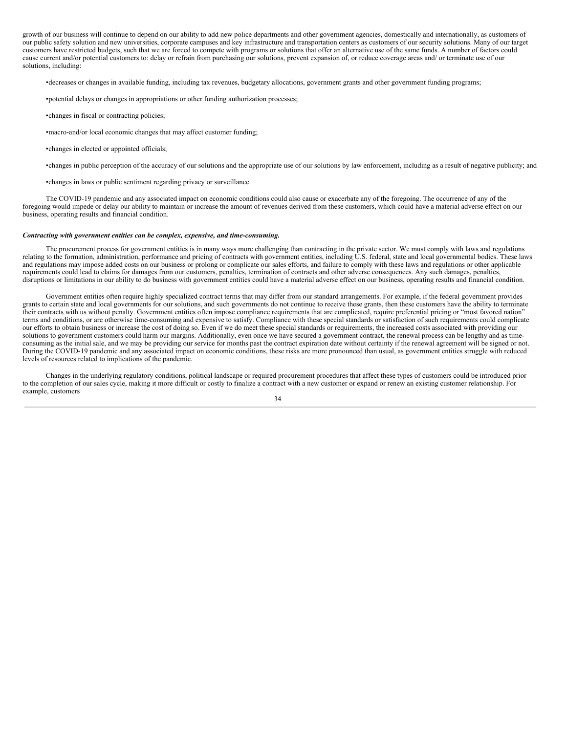growth of our business will continue to depend on our ability to add new police departments and other government agencies, domestically and internationally, as customers of our public safety solution and new universities, corporate campuses and key infrastructure and transportation centers as customers of our security solutions. Many of our target customers have restricted budgets, such that we are forced to compete with programs or solutions that offer an alternative use of the same funds. A number of factors could cause current and/or potential customers to: delay or refrain from purchasing our solutions, prevent expansion of, or reduce coverage areas and/ or terminate use of our solutions, including:

•decreases or changes in available funding, including tax revenues, budgetary allocations, government grants and other government funding programs;

•potential delays or changes in appropriations or other funding authorization processes;

•changes in fiscal or contracting policies;

•macro-and/or local economic changes that may affect customer funding;

•changes in elected or appointed officials;

•changes in public perception of the accuracy of our solutions and the appropriate use of our solutions by law enforcement, including as a result of negative publicity; and

•changes in laws or public sentiment regarding privacy or surveillance.

The COVID-19 pandemic and any associated impact on economic conditions could also cause or exacerbate any of the foregoing. The occurrence of any of the foregoing would impede or delay our ability to maintain or increase the amount of revenues derived from these customers, which could have a material adverse effect on our business, operating results and financial condition.

#### *Contracting with government entities can be complex, expensive, and time-consuming.*

The procurement process for government entities is in many ways more challenging than contracting in the private sector. We must comply with laws and regulations relating to the formation, administration, performance and pricing of contracts with government entities, including U.S. federal, state and local governmental bodies. These laws and regulations may impose added costs on our business or prolong or complicate our sales efforts, and failure to comply with these laws and regulations or other applicable requirements could lead to claims for damages from our customers, penalties, termination of contracts and other adverse consequences. Any such damages, penalties, disruptions or limitations in our ability to do business with government entities could have a material adverse effect on our business, operating results and financial condition.

Government entities often require highly specialized contract terms that may differ from our standard arrangements. For example, if the federal government provides grants to certain state and local governments for our solutions, and such governments do not continue to receive these grants, then these customers have the ability to terminate their contracts with us without penalty. Government entities often impose compliance requirements that are complicated, require preferential pricing or "most favored nation" terms and conditions, or are otherwise time-consuming and expensive to satisfy. Compliance with these special standards or satisfaction of such requirements could complicate our efforts to obtain business or increase the cost of doing so. Even if we do meet these special standards or requirements, the increased costs associated with providing our solutions to government customers could harm our margins. Additionally, even once we have secured a government contract, the renewal process can be lengthy and as timeconsuming as the initial sale, and we may be providing our service for months past the contract expiration date without certainty if the renewal agreement will be signed or not. During the COVID-19 pandemic and any associated impact on economic conditions, these risks are more pronounced than usual, as government entities struggle with reduced levels of resources related to implications of the pandemic.

Changes in the underlying regulatory conditions, political landscape or required procurement procedures that affect these types of customers could be introduced prior to the completion of our sales cycle, making it more difficult or costly to finalize a contract with a new customer or expand or renew an existing customer relationship. For example, customers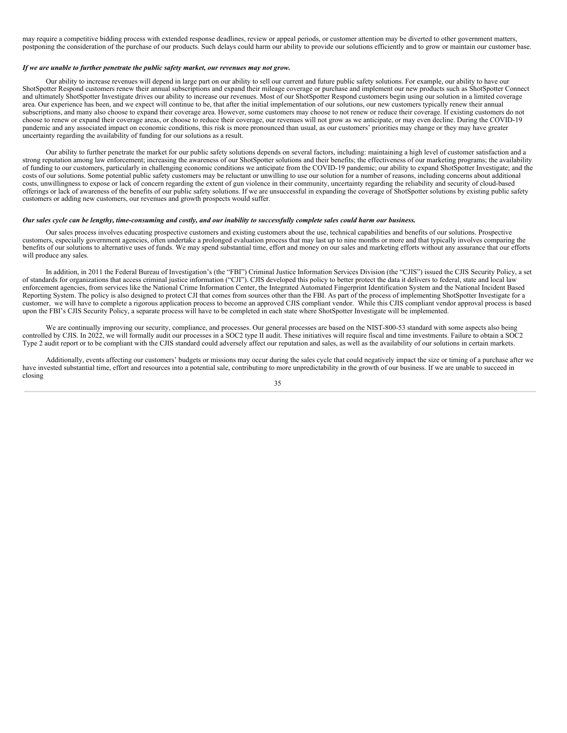may require a competitive bidding process with extended response deadlines, review or appeal periods, or customer attention may be diverted to other government matters, postponing the consideration of the purchase of our products. Such delays could harm our ability to provide our solutions efficiently and to grow or maintain our customer base.

### *If we are unable to further penetrate the public safety market, our revenues may not grow.*

Our ability to increase revenues will depend in large part on our ability to sell our current and future public safety solutions. For example, our ability to have our ShotSpotter Respond customers renew their annual subscriptions and expand their mileage coverage or purchase and implement our new products such as ShotSpotter Connect and ultimately ShotSpotter Investigate drives our ability to increase our revenues. Most of our ShotSpotter Respond customers begin using our solution in a limited coverage area. Our experience has been, and we expect will continue to be, that after the initial implementation of our solutions, our new customers typically renew their annual subscriptions, and many also choose to expand their coverage area. However, some customers may choose to not renew or reduce their coverage. If existing customers do not choose to renew or expand their coverage areas, or choose to reduce their coverage, our revenues will not grow as we anticipate, or may even decline. During the COVID-19 pandemic and any associated impact on economic conditions, this risk is more pronounced than usual, as our customers' priorities may change or they may have greater uncertainty regarding the availability of funding for our solutions as a result.

Our ability to further penetrate the market for our public safety solutions depends on several factors, including: maintaining a high level of customer satisfaction and a strong reputation among law enforcement; increasing the awareness of our ShotSpotter solutions and their benefits; the effectiveness of our marketing programs; the availability of funding to our customers, particularly in challenging economic conditions we anticipate from the COVID-19 pandemic; our ability to expand ShotSpotter Investigate; and the costs of our solutions. Some potential public safety customers may be reluctant or unwilling to use our solution for a number of reasons, including concerns about additional costs, unwillingness to expose or lack of concern regarding the extent of gun violence in their community, uncertainty regarding the reliability and security of cloud-based offerings or lack of awareness of the benefits of our public safety solutions. If we are unsuccessful in expanding the coverage of ShotSpotter solutions by existing public safety customers or adding new customers, our revenues and growth prospects would suffer.

### Our sales cycle can be lengthy, time-consuming and costly, and our inability to successfully complete sales could harm our business.

Our sales process involves educating prospective customers and existing customers about the use, technical capabilities and benefits of our solutions. Prospective customers, especially government agencies, often undertake a prolonged evaluation process that may last up to nine months or more and that typically involves comparing the benefits of our solutions to alternative uses of funds. We may spend substantial time, effort and money on our sales and marketing efforts without any assurance that our efforts will produce any sales.

In addition, in 2011 the Federal Bureau of Investigation's (the "FBI") Criminal Justice Information Services Division (the "CJIS") issued the CJIS Security Policy, a set of standards for organizations that access criminal justice information ("CJI"). CJIS developed this policy to better protect the data it delivers to federal, state and local law enforcement agencies, from services like the National Crime Information Center, the Integrated Automated Fingerprint Identification System and the National Incident Based Reporting System. The policy is also designed to protect CJI that comes from sources other than the FBI. As part of the process of implementing ShotSpotter Investigate for a customer, we will have to complete a rigorous application process to become an approved CJIS compliant vendor. While this CJIS compliant vendor approval process is based upon the FBI's CJIS Security Policy, a separate process will have to be completed in each state where ShotSpotter Investigate will be implemented.

We are continually improving our security, compliance, and processes. Our general processes are based on the NIST-800-53 standard with some aspects also being controlled by CJIS. In 2022, we will formally audit our processes in a SOC2 type II audit. These initiatives will require fiscal and time investments. Failure to obtain a SOC2 Type 2 audit report or to be compliant with the CJIS standard could adversely affect our reputation and sales, as well as the availability of our solutions in certain markets.

Additionally, events affecting our customers' budgets or missions may occur during the sales cycle that could negatively impact the size or timing of a purchase after we have invested substantial time, effort and resources into a potential sale, contributing to more unpredictability in the growth of our business. If we are unable to succeed in closing

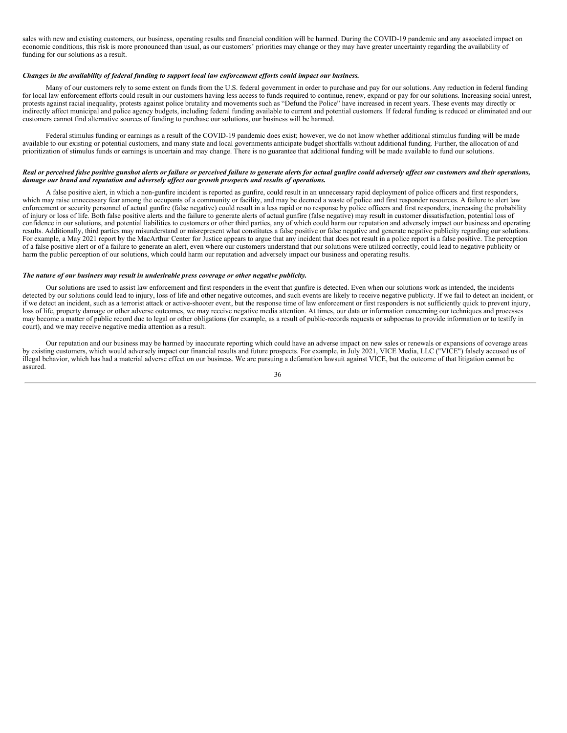sales with new and existing customers, our business, operating results and financial condition will be harmed. During the COVID-19 pandemic and any associated impact on economic conditions, this risk is more pronounced than usual, as our customers' priorities may change or they may have greater uncertainty regarding the availability of funding for our solutions as a result.

### Changes in the availability of federal funding to support local law enforcement efforts could impact our business.

Many of our customers rely to some extent on funds from the U.S. federal government in order to purchase and pay for our solutions. Any reduction in federal funding for local law enforcement efforts could result in our customers having less access to funds required to continue, renew, expand or pay for our solutions. Increasing social unrest, protests against racial inequality, protests against police brutality and movements such as "Defund the Police" have increased in recent years. These events may directly or indirectly affect municipal and police agency budgets, including federal funding available to current and potential customers. If federal funding is reduced or eliminated and our customers cannot find alternative sources of funding to purchase our solutions, our business will be harmed.

Federal stimulus funding or earnings as a result of the COVID-19 pandemic does exist; however, we do not know whether additional stimulus funding will be made available to our existing or potential customers, and many state and local governments anticipate budget shortfalls without additional funding. Further, the allocation of and prioritization of stimulus funds or earnings is uncertain and may change. There is no guarantee that additional funding will be made available to fund our solutions.

### Real or perceived false positive gunshot alerts or failure or perceived failure to generate alerts for actual gunfire could adversely affect our customers and their operations, *damage our brand and reputation and adversely af ect our growth prospects and results of operations.*

A false positive alert, in which a non-gunfire incident is reported as gunfire, could result in an unnecessary rapid deployment of police officers and first responders, which may raise unnecessary fear among the occupants of a community or facility, and may be deemed a waste of police and first responder resources. A failure to alert law enforcement or security personnel of actual gunfire (false negative) could result in a less rapid or no response by police officers and first responders, increasing the probability of injury or loss of life. Both false positive alerts and the failure to generate alerts of actual gunfire (false negative) may result in customer dissatisfaction, potential loss of confidence in our solutions, and potential liabilities to customers or other third parties, any of which could harm our reputation and adversely impact our business and operating results. Additionally, third parties may misunderstand or misrepresent what constitutes a false positive or false negative and generate negative publicity regarding our solutions. For example, a May 2021 report by the MacArthur Center for Justice appears to argue that any incident that does not result in a police report is a false positive. The perception of a false positive alert or of a failure to generate an alert, even where our customers understand that our solutions were utilized correctly, could lead to negative publicity or harm the public perception of our solutions, which could harm our reputation and adversely impact our business and operating results.

### *The nature of our business may result in undesirable press coverage or other negative publicity.*

Our solutions are used to assist law enforcement and first responders in the event that gunfire is detected. Even when our solutions work as intended, the incidents detected by our solutions could lead to injury, loss of life and other negative outcomes, and such events are likely to receive negative publicity. If we fail to detect an incident, or if we detect an incident, such as a terrorist attack or active-shooter event, but the response time of law enforcement or first responders is not sufficiently quick to prevent injury, loss of life, property damage or other adverse outcomes, we may receive negative media attention. At times, our data or information concerning our techniques and processes may become a matter of public record due to legal or other obligations (for example, as a result of public-records requests or subpoenas to provide information or to testify in court), and we may receive negative media attention as a result.

Our reputation and our business may be harmed by inaccurate reporting which could have an adverse impact on new sales or renewals or expansions of coverage areas by existing customers, which would adversely impact our financial results and future prospects. For example, in July 2021, VICE Media, LLC ("VICE") falsely accused us of illegal behavior, which has had a material adverse effect on our business. We are pursuing a defamation lawsuit against VICE, but the outcome of that litigation cannot be assured.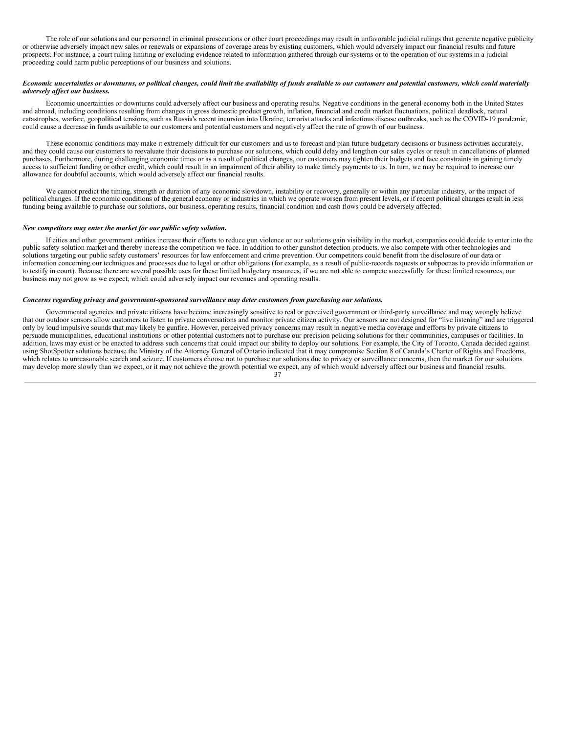The role of our solutions and our personnel in criminal prosecutions or other court proceedings may result in unfavorable judicial rulings that generate negative publicity or otherwise adversely impact new sales or renewals or expansions of coverage areas by existing customers, which would adversely impact our financial results and future prospects. For instance, a court ruling limiting or excluding evidence related to information gathered through our systems or to the operation of our systems in a judicial proceeding could harm public perceptions of our business and solutions.

### Economic uncertainties or downturns, or political changes, could limit the availability of funds available to our customers and potential customers, which could materially *adversely af ect our business.*

Economic uncertainties or downturns could adversely affect our business and operating results. Negative conditions in the general economy both in the United States and abroad, including conditions resulting from changes in gross domestic product growth, inflation, financial and credit market fluctuations, political deadlock, natural catastrophes, warfare, geopolitical tensions, such as Russia's recent incursion into Ukraine, terrorist attacks and infectious disease outbreaks, such as the COVID-19 pandemic, could cause a decrease in funds available to our customers and potential customers and negatively affect the rate of growth of our business.

These economic conditions may make it extremely difficult for our customers and us to forecast and plan future budgetary decisions or business activities accurately, and they could cause our customers to reevaluate their decisions to purchase our solutions, which could delay and lengthen our sales cycles or result in cancellations of planned purchases. Furthermore, during challenging economic times or as a result of political changes, our customers may tighten their budgets and face constraints in gaining timely access to sufficient funding or other credit, which could result in an impairment of their ability to make timely payments to us. In turn, we may be required to increase our allowance for doubtful accounts, which would adversely affect our financial results.

We cannot predict the timing, strength or duration of any economic slowdown, instability or recovery, generally or within any particular industry, or the impact of political changes. If the economic conditions of the general economy or industries in which we operate worsen from present levels, or if recent political changes result in less funding being available to purchase our solutions, our business, operating results, financial condition and cash flows could be adversely affected.

#### *New competitors may enter the market for our public safety solution.*

If cities and other government entities increase their efforts to reduce gun violence or our solutions gain visibility in the market, companies could decide to enter into the public safety solution market and thereby increase the competition we face. In addition to other gunshot detection products, we also compete with other technologies and solutions targeting our public safety customers' resources for law enforcement and crime prevention. Our competitors could benefit from the disclosure of our data or information concerning our techniques and processes due to legal or other obligations (for example, as a result of public-records requests or subpoenas to provide information or to testify in court). Because there are several possible uses for these limited budgetary resources, if we are not able to compete successfully for these limited resources, our business may not grow as we expect, which could adversely impact our revenues and operating results.

### *Concerns regarding privacy and government-sponsored surveillance may deter customers from purchasing our solutions.*

Governmental agencies and private citizens have become increasingly sensitive to real or perceived government or third-party surveillance and may wrongly believe that our outdoor sensors allow customers to listen to private conversations and monitor private citizen activity. Our sensors are not designed for "live listening" and are triggered only by loud impulsive sounds that may likely be gunfire. However, perceived privacy concerns may result in negative media coverage and efforts by private citizens to persuade municipalities, educational institutions or other potential customers not to purchase our precision policing solutions for their communities, campuses or facilities. In addition, laws may exist or be enacted to address such concerns that could impact our ability to deploy our solutions. For example, the City of Toronto, Canada decided against using ShotSpotter solutions because the Ministry of the Attorney General of Ontario indicated that it may compromise Section 8 of Canada's Charter of Rights and Freedoms, which relates to unreasonable search and seizure. If customers choose not to purchase our solutions due to privacy or surveillance concerns, then the market for our solutions may develop more slowly than we expect, or it may not achieve the growth potential we expect, any of which would adversely affect our business and financial results. 37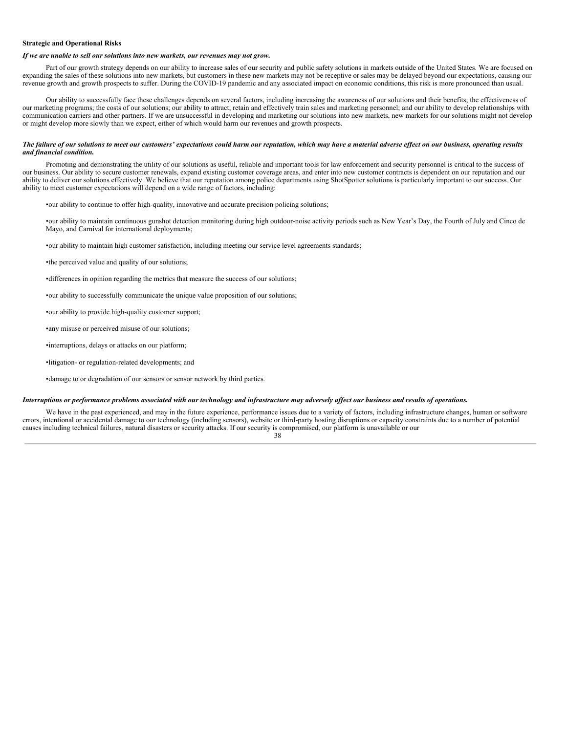### **Strategic and Operational Risks**

### *If we are unable to sell our solutions into new markets, our revenues may not grow.*

Part of our growth strategy depends on our ability to increase sales of our security and public safety solutions in markets outside of the United States. We are focused on expanding the sales of these solutions into new markets, but customers in these new markets may not be receptive or sales may be delayed beyond our expectations, causing our revenue growth and growth prospects to suffer. During the COVID-19 pandemic and any associated impact on economic conditions, this risk is more pronounced than usual.

Our ability to successfully face these challenges depends on several factors, including increasing the awareness of our solutions and their benefits; the effectiveness of our marketing programs; the costs of our solutions; our ability to attract, retain and effectively train sales and marketing personnel; and our ability to develop relationships with communication carriers and other partners. If we are unsuccessful in developing and marketing our solutions into new markets, new markets for our solutions might not develop or might develop more slowly than we expect, either of which would harm our revenues and growth prospects.

### The failure of our solutions to meet our customers' expectations could harm our reputation, which may have a material adverse effect on our business, operating results *and financial condition.*

Promoting and demonstrating the utility of our solutions as useful, reliable and important tools for law enforcement and security personnel is critical to the success of our business. Our ability to secure customer renewals, expand existing customer coverage areas, and enter into new customer contracts is dependent on our reputation and our ability to deliver our solutions effectively. We believe that our reputation among police departments using ShotSpotter solutions is particularly important to our success. Our ability to meet customer expectations will depend on a wide range of factors, including:

•our ability to continue to offer high-quality, innovative and accurate precision policing solutions;

•our ability to maintain continuous gunshot detection monitoring during high outdoor-noise activity periods such as New Year's Day, the Fourth of July and Cinco de Mayo, and Carnival for international deployments;

•our ability to maintain high customer satisfaction, including meeting our service level agreements standards;

•the perceived value and quality of our solutions;

•differences in opinion regarding the metrics that measure the success of our solutions;

•our ability to successfully communicate the unique value proposition of our solutions;

•our ability to provide high-quality customer support;

•any misuse or perceived misuse of our solutions;

•interruptions, delays or attacks on our platform;

•litigation- or regulation-related developments; and

•damage to or degradation of our sensors or sensor network by third parties.

### Interruptions or performance problems associated with our technology and infrastructure may adversely affect our business and results of operations.

We have in the past experienced, and may in the future experience, performance issues due to a variety of factors, including infrastructure changes, human or software errors, intentional or accidental damage to our technology (including sensors), website or third-party hosting disruptions or capacity constraints due to a number of potential causes including technical failures, natural disasters or security attacks. If our security is compromised, our platform is unavailable or our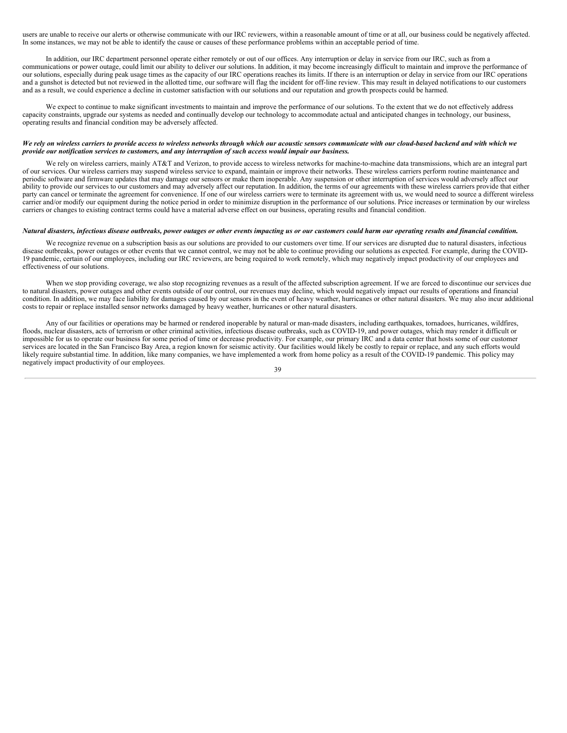users are unable to receive our alerts or otherwise communicate with our IRC reviewers, within a reasonable amount of time or at all, our business could be negatively affected. In some instances, we may not be able to identify the cause or causes of these performance problems within an acceptable period of time.

In addition, our IRC department personnel operate either remotely or out of our offices. Any interruption or delay in service from our IRC, such as from a communications or power outage, could limit our ability to deliver our solutions. In addition, it may become increasingly difficult to maintain and improve the performance of our solutions, especially during peak usage times as the capacity of our IRC operations reaches its limits. If there is an interruption or delay in service from our IRC operations and a gunshot is detected but not reviewed in the allotted time, our software will flag the incident for off-line review. This may result in delayed notifications to our customers and as a result, we could experience a decline in customer satisfaction with our solutions and our reputation and growth prospects could be harmed.

We expect to continue to make significant investments to maintain and improve the performance of our solutions. To the extent that we do not effectively address capacity constraints, upgrade our systems as needed and continually develop our technology to accommodate actual and anticipated changes in technology, our business, operating results and financial condition may be adversely affected.

### We rely on wireless carriers to provide access to wireless networks through which our acoustic sensors communicate with our cloud-based backend and with which we *provide our notification services to customers, and any interruption of such access would impair our business.*

We rely on wireless carriers, mainly AT&T and Verizon, to provide access to wireless networks for machine-to-machine data transmissions, which are an integral part of our services. Our wireless carriers may suspend wireless service to expand, maintain or improve their networks. These wireless carriers perform routine maintenance and periodic software and firmware updates that may damage our sensors or make them inoperable. Any suspension or other interruption of services would adversely affect our ability to provide our services to our customers and may adversely affect our reputation. In addition, the terms of our agreements with these wireless carriers provide that either party can cancel or terminate the agreement for convenience. If one of our wireless carriers were to terminate its agreement with us, we would need to source a different wireless carrier and/or modify our equipment during the notice period in order to minimize disruption in the performance of our solutions. Price increases or termination by our wireless carriers or changes to existing contract terms could have a material adverse effect on our business, operating results and financial condition.

### Natural disasters, infectious disease outbreaks, power outages or other events impacting us or our customers could harm our operating results and financial condition.

We recognize revenue on a subscription basis as our solutions are provided to our customers over time. If our services are disrupted due to natural disasters, infectious disease outbreaks, power outages or other events that we cannot control, we may not be able to continue providing our solutions as expected. For example, during the COVID-19 pandemic, certain of our employees, including our IRC reviewers, are being required to work remotely, which may negatively impact productivity of our employees and effectiveness of our solutions.

When we stop providing coverage, we also stop recognizing revenues as a result of the affected subscription agreement. If we are forced to discontinue our services due to natural disasters, power outages and other events outside of our control, our revenues may decline, which would negatively impact our results of operations and financial condition. In addition, we may face liability for damages caused by our sensors in the event of heavy weather, hurricanes or other natural disasters. We may also incur additional costs to repair or replace installed sensor networks damaged by heavy weather, hurricanes or other natural disasters.

Any of our facilities or operations may be harmed or rendered inoperable by natural or man-made disasters, including earthquakes, tornadoes, hurricanes, wildfires, floods, nuclear disasters, acts of terrorism or other criminal activities, infectious disease outbreaks, such as COVID-19, and power outages, which may render it difficult or impossible for us to operate our business for some period of time or decrease productivity. For example, our primary IRC and a data center that hosts some of our customer services are located in the San Francisco Bay Area, a region known for seismic activity. Our facilities would likely be costly to repair or replace, and any such efforts would likely require substantial time. In addition, like many companies, we have implemented a work from home policy as a result of the COVID-19 pandemic. This policy may negatively impact productivity of our employees.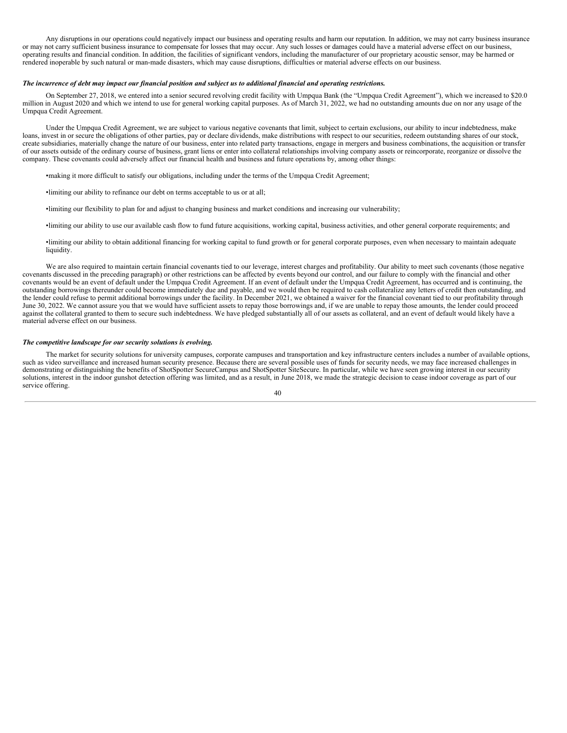Any disruptions in our operations could negatively impact our business and operating results and harm our reputation. In addition, we may not carry business insurance or may not carry sufficient business insurance to compensate for losses that may occur. Any such losses or damages could have a material adverse effect on our business, operating results and financial condition. In addition, the facilities of significant vendors, including the manufacturer of our proprietary acoustic sensor, may be harmed or rendered inoperable by such natural or man-made disasters, which may cause disruptions, difficulties or material adverse effects on our business.

### The incurrence of debt may impact our financial position and subject us to additional financial and operating restrictions.

On September 27, 2018, we entered into a senior secured revolving credit facility with Umpqua Bank (the "Umpqua Credit Agreement"), which we increased to \$20.0 million in August 2020 and which we intend to use for general working capital purposes. As of March 31, 2022, we had no outstanding amounts due on nor any usage of the Umpqua Credit Agreement.

Under the Umpqua Credit Agreement, we are subject to various negative covenants that limit, subject to certain exclusions, our ability to incur indebtedness, make loans, invest in or secure the obligations of other parties, pay or declare dividends, make distributions with respect to our securities, redeem outstanding shares of our stock, create subsidiaries, materially change the nature of our business, enter into related party transactions, engage in mergers and business combinations, the acquisition or transfer of our assets outside of the ordinary course of business, grant liens or enter into collateral relationships involving company assets or reincorporate, reorganize or dissolve the company. These covenants could adversely affect our financial health and business and future operations by, among other things:

•making it more difficult to satisfy our obligations, including under the terms of the Umpqua Credit Agreement;

•limiting our ability to refinance our debt on terms acceptable to us or at all;

•limiting our flexibility to plan for and adjust to changing business and market conditions and increasing our vulnerability;

•limiting our ability to use our available cash flow to fund future acquisitions, working capital, business activities, and other general corporate requirements; and

•limiting our ability to obtain additional financing for working capital to fund growth or for general corporate purposes, even when necessary to maintain adequate liquidity.

We are also required to maintain certain financial covenants tied to our leverage, interest charges and profitability. Our ability to meet such covenants (those negative covenants discussed in the preceding paragraph) or other restrictions can be affected by events beyond our control, and our failure to comply with the financial and other covenants would be an event of default under the Umpqua Credit Agreement. If an event of default under the Umpqua Credit Agreement, has occurred and is continuing, the outstanding borrowings thereunder could become immediately due and payable, and we would then be required to cash collateralize any letters of credit then outstanding, and the lender could refuse to permit additional borrowings under the facility. In December 2021, we obtained a waiver for the financial covenant tied to our profitability through June 30, 2022. We cannot assure you that we would have sufficient assets to repay those borrowings and, if we are unable to repay those amounts, the lender could proceed against the collateral granted to them to secure such indebtedness. We have pledged substantially all of our assets as collateral, and an event of default would likely have a material adverse effect on our business.

### *The competitive landscape for our security solutions is evolving.*

The market for security solutions for university campuses, corporate campuses and transportation and key infrastructure centers includes a number of available options, such as video surveillance and increased human security presence. Because there are several possible uses of funds for security needs, we may face increased challenges in demonstrating or distinguishing the benefits of ShotSpotter SecureCampus and ShotSpotter SiteSecure. In particular, while we have seen growing interest in our security solutions, interest in the indoor gunshot detection offering was limited, and as a result, in June 2018, we made the strategic decision to cease indoor coverage as part of our service offering.

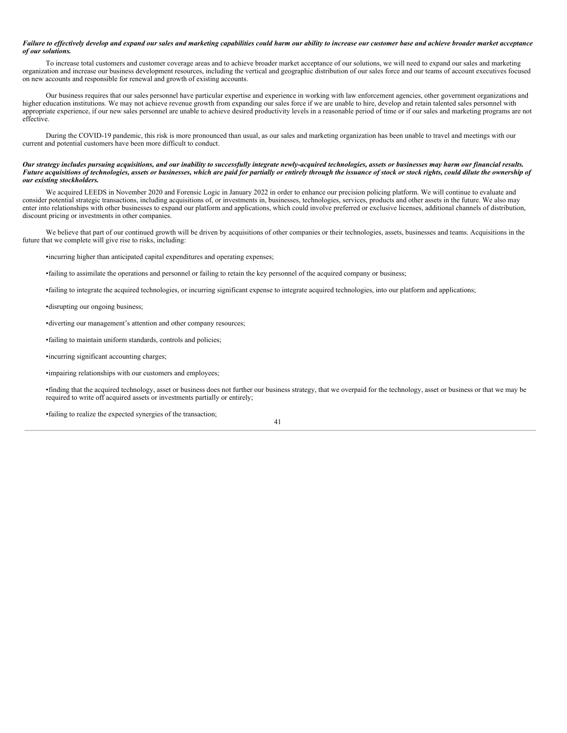### Failure to effectively develop and expand our sales and marketing capabilities could harm our ability to increase our customer base and achieve broader market acceptance *of our solutions.*

To increase total customers and customer coverage areas and to achieve broader market acceptance of our solutions, we will need to expand our sales and marketing organization and increase our business development resources, including the vertical and geographic distribution of our sales force and our teams of account executives focused on new accounts and responsible for renewal and growth of existing accounts.

Our business requires that our sales personnel have particular expertise and experience in working with law enforcement agencies, other government organizations and higher education institutions. We may not achieve revenue growth from expanding our sales force if we are unable to hire, develop and retain talented sales personnel with appropriate experience, if our new sales personnel are unable to achieve desired productivity levels in a reasonable period of time or if our sales and marketing programs are not effective.

During the COVID-19 pandemic, this risk is more pronounced than usual, as our sales and marketing organization has been unable to travel and meetings with our current and potential customers have been more difficult to conduct.

### Our strategy includes pursuing acquisitions, and our inability to successfully integrate newly-acquired technologies, assets or businesses may harm our financial results. Future acquisitions of technologies, assets or businesses, which are paid for partially or entirely through the issuance of stock or stock rights, could dilute the ownership of *our existing stockholders.*

We acquired LEEDS in November 2020 and Forensic Logic in January 2022 in order to enhance our precision policing platform. We will continue to evaluate and consider potential strategic transactions, including acquisitions of, or investments in, businesses, technologies, services, products and other assets in the future. We also may enter into relationships with other businesses to expand our platform and applications, which could involve preferred or exclusive licenses, additional channels of distribution, discount pricing or investments in other companies.

We believe that part of our continued growth will be driven by acquisitions of other companies or their technologies, assets, businesses and teams. Acquisitions in the future that we complete will give rise to risks, including:

•incurring higher than anticipated capital expenditures and operating expenses;

•failing to assimilate the operations and personnel or failing to retain the key personnel of the acquired company or business;

•failing to integrate the acquired technologies, or incurring significant expense to integrate acquired technologies, into our platform and applications;

•disrupting our ongoing business;

•diverting our management's attention and other company resources;

•failing to maintain uniform standards, controls and policies;

•incurring significant accounting charges;

•impairing relationships with our customers and employees;

•finding that the acquired technology, asset or business does not further our business strategy, that we overpaid for the technology, asset or business or that we may be required to write off acquired assets or investments partially or entirely;

•failing to realize the expected synergies of the transaction;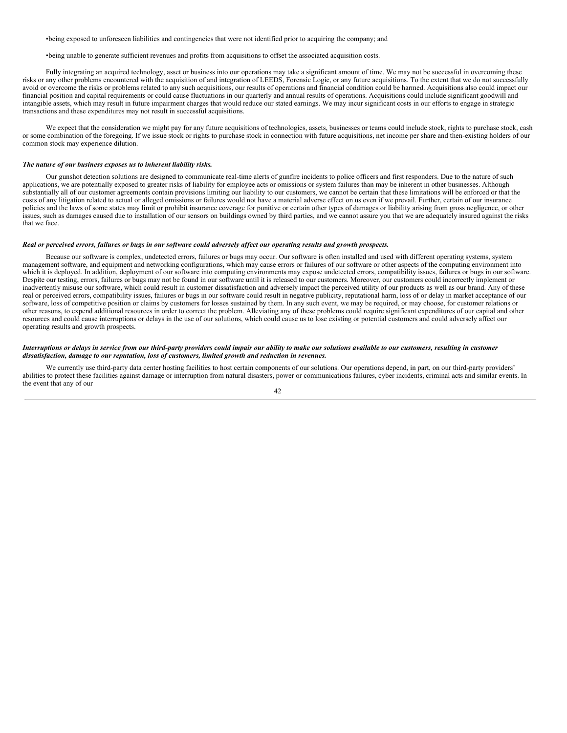•being exposed to unforeseen liabilities and contingencies that were not identified prior to acquiring the company; and

•being unable to generate sufficient revenues and profits from acquisitions to offset the associated acquisition costs.

Fully integrating an acquired technology, asset or business into our operations may take a significant amount of time. We may not be successful in overcoming these risks or any other problems encountered with the acquisition of and integration of LEEDS, Forensic Logic, or any future acquisitions. To the extent that we do not successfully avoid or overcome the risks or problems related to any such acquisitions, our results of operations and financial condition could be harmed. Acquisitions also could impact our financial position and capital requirements or could cause fluctuations in our quarterly and annual results of operations. Acquisitions could include significant goodwill and intangible assets, which may result in future impairment charges that would reduce our stated earnings. We may incur significant costs in our efforts to engage in strategic transactions and these expenditures may not result in successful acquisitions.

We expect that the consideration we might pay for any future acquisitions of technologies, assets, businesses or teams could include stock, rights to purchase stock, cash or some combination of the foregoing. If we issue stock or rights to purchase stock in connection with future acquisitions, net income per share and then-existing holders of our common stock may experience dilution.

### *The nature of our business exposes us to inherent liability risks.*

Our gunshot detection solutions are designed to communicate real-time alerts of gunfire incidents to police officers and first responders. Due to the nature of such applications, we are potentially exposed to greater risks of liability for employee acts or omissions or system failures than may be inherent in other businesses. Although substantially all of our customer agreements contain provisions limiting our liability to our customers, we cannot be certain that these limitations will be enforced or that the costs of any litigation related to actual or alleged omissions or failures would not have a material adverse effect on us even if we prevail. Further, certain of our insurance policies and the laws of some states may limit or prohibit insurance coverage for punitive or certain other types of damages or liability arising from gross negligence, or other issues, such as damages caused due to installation of our sensors on buildings owned by third parties, and we cannot assure you that we are adequately insured against the risks that we face.

### Real or perceived errors, failures or bugs in our software could adversely affect our operating results and growth prospects.

Because our software is complex, undetected errors, failures or bugs may occur. Our software is often installed and used with different operating systems, system management software, and equipment and networking configurations, which may cause errors or failures of our software or other aspects of the computing environment into which it is deployed. In addition, deployment of our software into computing environments may expose undetected errors, compatibility issues, failures or bugs in our software. Despite our testing, errors, failures or bugs may not be found in our software until it is released to our customers. Moreover, our customers could incorrectly implement or inadvertently misuse our software, which could result in customer dissatisfaction and adversely impact the perceived utility of our products as well as our brand. Any of these real or perceived errors, compatibility issues, failures or bugs in our software could result in negative publicity, reputational harm, loss of or delay in market acceptance of our software, loss of competitive position or claims by customers for losses sustained by them. In any such event, we may be required, or may choose, for customer relations or other reasons, to expend additional resources in order to correct the problem. Alleviating any of these problems could require significant expenditures of our capital and other resources and could cause interruptions or delays in the use of our solutions, which could cause us to lose existing or potential customers and could adversely affect our operating results and growth prospects.

### Interruptions or delays in service from our third-party providers could impair our ability to make our solutions available to our customers, resulting in customer *dissatisfaction, damage to our reputation, loss of customers, limited growth and reduction in revenues.*

We currently use third-party data center hosting facilities to host certain components of our solutions. Our operations depend, in part, on our third-party providers' abilities to protect these facilities against damage or interruption from natural disasters, power or communications failures, cyber incidents, criminal acts and similar events. In the event that any of our

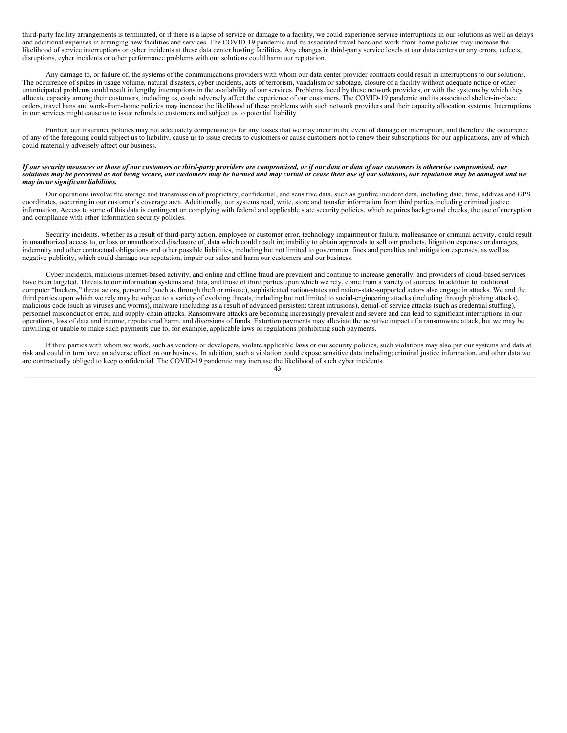third-party facility arrangements is terminated, or if there is a lapse of service or damage to a facility, we could experience service interruptions in our solutions as well as delays and additional expenses in arranging new facilities and services. The COVID-19 pandemic and its associated travel bans and work-from-home policies may increase the likelihood of service interruptions or cyber incidents at these data center hosting facilities. Any changes in third-party service levels at our data centers or any errors, defects, disruptions, cyber incidents or other performance problems with our solutions could harm our reputation.

Any damage to, or failure of, the systems of the communications providers with whom our data center provider contracts could result in interruptions to our solutions. The occurrence of spikes in usage volume, natural disasters, cyber incidents, acts of terrorism, vandalism or sabotage, closure of a facility without adequate notice or other unanticipated problems could result in lengthy interruptions in the availability of our services. Problems faced by these network providers, or with the systems by which they allocate capacity among their customers, including us, could adversely affect the experience of our customers. The COVID-19 pandemic and its associated shelter-in-place orders, travel bans and work-from-home policies may increase the likelihood of these problems with such network providers and their capacity allocation systems. Interruptions in our services might cause us to issue refunds to customers and subject us to potential liability.

Further, our insurance policies may not adequately compensate us for any losses that we may incur in the event of damage or interruption, and therefore the occurrence of any of the foregoing could subject us to liability, cause us to issue credits to customers or cause customers not to renew their subscriptions for our applications, any of which could materially adversely affect our business.

### If our security measures or those of our customers or third-party providers are compromised, or if our data or data of our customers is otherwise compromised, our solutions may be perceived as not being secure, our customers may be harmed and may curtail or cease their use of our solutions, our reputation may be damaged and we *may incur significant liabilities.*

Our operations involve the storage and transmission of proprietary, confidential, and sensitive data, such as gunfire incident data, including date, time, address and GPS coordinates, occurring in our customer's coverage area. Additionally, our systems read, write, store and transfer information from third parties including criminal justice information. Access to some of this data is contingent on complying with federal and applicable state security policies, which requires background checks, the use of encryption and compliance with other information security policies.

Security incidents, whether as a result of third-party action, employee or customer error, technology impairment or failure, malfeasance or criminal activity, could result in unauthorized access to, or loss or unauthorized disclosure of, data which could result in; inability to obtain approvals to sell our products, litigation expenses or damages, indemnity and other contractual obligations and other possible liabilities, including but not limited to government fines and penalties and mitigation expenses, as well as negative publicity, which could damage our reputation, impair our sales and harm our customers and our business.

Cyber incidents, malicious internet-based activity, and online and offline fraud are prevalent and continue to increase generally, and providers of cloud-based services have been targeted. Threats to our information systems and data, and those of third parties upon which we rely, come from a variety of sources. In addition to traditional computer "hackers," threat actors, personnel (such as through theft or misuse), sophisticated nation-states and nation-state-supported actors also engage in attacks. We and the third parties upon which we rely may be subject to a variety of evolving threats, including but not limited to social-engineering attacks (including through phishing attacks), malicious code (such as viruses and worms), malware (including as a result of advanced persistent threat intrusions), denial-of-service attacks (such as credential stuffing), personnel misconduct or error, and supply-chain attacks. Ransomware attacks are becoming increasingly prevalent and severe and can lead to significant interruptions in our operations, loss of data and income, reputational harm, and diversions of funds. Extortion payments may alleviate the negative impact of a ransomware attack, but we may be unwilling or unable to make such payments due to, for example, applicable laws or regulations prohibiting such payments.

If third parties with whom we work, such as vendors or developers, violate applicable laws or our security policies, such violations may also put our systems and data at risk and could in turn have an adverse effect on our business. In addition, such a violation could expose sensitive data including; criminal justice information, and other data we are contractually obliged to keep confidential. The COVID-19 pandemic may increase the likelihood of such cyber incidents.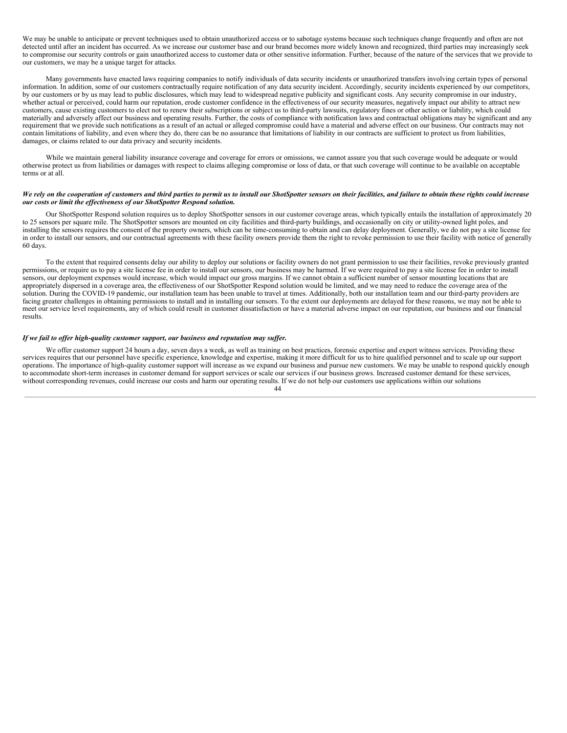We may be unable to anticipate or prevent techniques used to obtain unauthorized access or to sabotage systems because such techniques change frequently and often are not detected until after an incident has occurred. As we increase our customer base and our brand becomes more widely known and recognized, third parties may increasingly seek to compromise our security controls or gain unauthorized access to customer data or other sensitive information. Further, because of the nature of the services that we provide to our customers, we may be a unique target for attacks.

Many governments have enacted laws requiring companies to notify individuals of data security incidents or unauthorized transfers involving certain types of personal information. In addition, some of our customers contractually require notification of any data security incident. Accordingly, security incidents experienced by our competitors, by our customers or by us may lead to public disclosures, which may lead to widespread negative publicity and significant costs. Any security compromise in our industry, whether actual or perceived, could harm our reputation, erode customer confidence in the effectiveness of our security measures, negatively impact our ability to attract new customers, cause existing customers to elect not to renew their subscriptions or subject us to third-party lawsuits, regulatory fines or other action or liability, which could materially and adversely affect our business and operating results. Further, the costs of compliance with notification laws and contractual obligations may be significant and any requirement that we provide such notifications as a result of an actual or alleged compromise could have a material and adverse effect on our business. Our contracts may not contain limitations of liability, and even where they do, there can be no assurance that limitations of liability in our contracts are sufficient to protect us from liabilities, damages, or claims related to our data privacy and security incidents.

While we maintain general liability insurance coverage and coverage for errors or omissions, we cannot assure you that such coverage would be adequate or would otherwise protect us from liabilities or damages with respect to claims alleging compromise or loss of data, or that such coverage will continue to be available on acceptable terms or at all.

#### We rely on the cooperation of customers and third parties to permit us to install our ShotSpotter sensors on their facilities, and failure to obtain these rights could increase *our costs or limit the ef ectiveness of our ShotSpotter Respond solution.*

Our ShotSpotter Respond solution requires us to deploy ShotSpotter sensors in our customer coverage areas, which typically entails the installation of approximately 20 to 25 sensors per square mile. The ShotSpotter sensors are mounted on city facilities and third-party buildings, and occasionally on city or utility-owned light poles, and installing the sensors requires the consent of the property owners, which can be time-consuming to obtain and can delay deployment. Generally, we do not pay a site license fee in order to install our sensors, and our contractual agreements with these facility owners provide them the right to revoke permission to use their facility with notice of generally 60 days.

To the extent that required consents delay our ability to deploy our solutions or facility owners do not grant permission to use their facilities, revoke previously granted permissions, or require us to pay a site license fee in order to install our sensors, our business may be harmed. If we were required to pay a site license fee in order to install sensors, our deployment expenses would increase, which would impact our gross margins. If we cannot obtain a sufficient number of sensor mounting locations that are appropriately dispersed in a coverage area, the effectiveness of our ShotSpotter Respond solution would be limited, and we may need to reduce the coverage area of the solution. During the COVID-19 pandemic, our installation team has been unable to travel at times. Additionally, both our installation team and our third-party providers are facing greater challenges in obtaining permissions to install and in installing our sensors. To the extent our deployments are delayed for these reasons, we may not be able to meet our service level requirements, any of which could result in customer dissatisfaction or have a material adverse impact on our reputation, our business and our financial results.

### *If we fail to of er high-quality customer support, our business and reputation may suf er.*

We offer customer support 24 hours a day, seven days a week, as well as training on best practices, forensic expertise and expert witness services. Providing these services requires that our personnel have specific experience, knowledge and expertise, making it more difficult for us to hire qualified personnel and to scale up our support operations. The importance of high-quality customer support will increase as we expand our business and pursue new customers. We may be unable to respond quickly enough to accommodate short-term increases in customer demand for support services or scale our services if our business grows. Increased customer demand for these services, without corresponding revenues, could increase our costs and harm our operating results. If we do not help our customers use applications within our solutions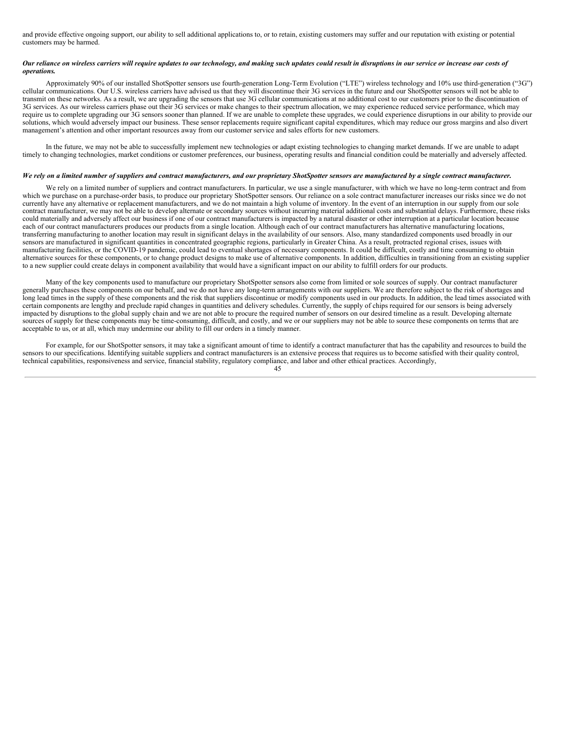and provide effective ongoing support, our ability to sell additional applications to, or to retain, existing customers may suffer and our reputation with existing or potential customers may be harmed.

### Our reliance on wireless carriers will require updates to our technology, and making such updates could result in disruptions in our service or increase our costs of *operations.*

Approximately 90% of our installed ShotSpotter sensors use fourth-generation Long-Term Evolution ("LTE") wireless technology and 10% use third-generation ("3G") cellular communications. Our U.S. wireless carriers have advised us that they will discontinue their 3G services in the future and our ShotSpotter sensors will not be able to transmit on these networks. As a result, we are upgrading the sensors that use 3G cellular communications at no additional cost to our customers prior to the discontinuation of 3G services. As our wireless carriers phase out their 3G services or make changes to their spectrum allocation, we may experience reduced service performance, which may require us to complete upgrading our 3G sensors sooner than planned. If we are unable to complete these upgrades, we could experience disruptions in our ability to provide our solutions, which would adversely impact our business. These sensor replacements require significant capital expenditures, which may reduce our gross margins and also divert management's attention and other important resources away from our customer service and sales efforts for new customers.

In the future, we may not be able to successfully implement new technologies or adapt existing technologies to changing market demands. If we are unable to adapt timely to changing technologies, market conditions or customer preferences, our business, operating results and financial condition could be materially and adversely affected.

### We rely on a limited number of suppliers and contract manufacturers, and our proprietary ShotSpotter sensors are manufactured by a single contract manufacturer.

We rely on a limited number of suppliers and contract manufacturers. In particular, we use a single manufacturer, with which we have no long-term contract and from which we purchase on a purchase-order basis, to produce our proprietary ShotSpotter sensors. Our reliance on a sole contract manufacturer increases our risks since we do not currently have any alternative or replacement manufacturers, and we do not maintain a high volume of inventory. In the event of an interruption in our supply from our sole contract manufacturer, we may not be able to develop alternate or secondary sources without incurring material additional costs and substantial delays. Furthermore, these risks could materially and adversely affect our business if one of our contract manufacturers is impacted by a natural disaster or other interruption at a particular location because each of our contract manufacturers produces our products from a single location. Although each of our contract manufacturers has alternative manufacturing locations, transferring manufacturing to another location may result in significant delays in the availability of our sensors. Also, many standardized components used broadly in our sensors are manufactured in significant quantities in concentrated geographic regions, particularly in Greater China. As a result, protracted regional crises, issues with manufacturing facilities, or the COVID-19 pandemic, could lead to eventual shortages of necessary components. It could be difficult, costly and time consuming to obtain alternative sources for these components, or to change product designs to make use of alternative components. In addition, difficulties in transitioning from an existing supplier to a new supplier could create delays in component availability that would have a significant impact on our ability to fulfill orders for our products.

Many of the key components used to manufacture our proprietary ShotSpotter sensors also come from limited or sole sources of supply. Our contract manufacturer generally purchases these components on our behalf, and we do not have any long-term arrangements with our suppliers. We are therefore subject to the risk of shortages and long lead times in the supply of these components and the risk that suppliers discontinue or modify components used in our products. In addition, the lead times associated with certain components are lengthy and preclude rapid changes in quantities and delivery schedules. Currently, the supply of chips required for our sensors is being adversely impacted by disruptions to the global supply chain and we are not able to procure the required number of sensors on our desired timeline as a result. Developing alternate sources of supply for these components may be time-consuming, difficult, and costly, and we or our suppliers may not be able to source these components on terms that are acceptable to us, or at all, which may undermine our ability to fill our orders in a timely manner.

For example, for our ShotSpotter sensors, it may take a significant amount of time to identify a contract manufacturer that has the capability and resources to build the sensors to our specifications. Identifying suitable suppliers and contract manufacturers is an extensive process that requires us to become satisfied with their quality control, technical capabilities, responsiveness and service, financial stability, regulatory compliance, and labor and other ethical practices. Accordingly,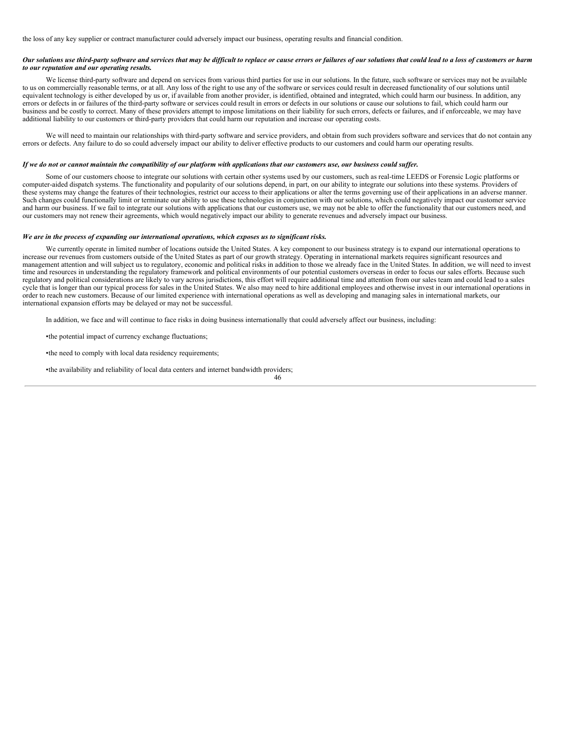### Our solutions use third-party software and services that may be difficult to replace or cause errors or failures of our solutions that could lead to a loss of customers or harm *to our reputation and our operating results.*

We license third-party software and depend on services from various third parties for use in our solutions. In the future, such software or services may not be available to us on commercially reasonable terms, or at all. Any loss of the right to use any of the software or services could result in decreased functionality of our solutions until equivalent technology is either developed by us or, if available from another provider, is identified, obtained and integrated, which could harm our business. In addition, any errors or defects in or failures of the third-party software or services could result in errors or defects in our solutions or cause our solutions to fail, which could harm our business and be costly to correct. Many of these providers attempt to impose limitations on their liability for such errors, defects or failures, and if enforceable, we may have additional liability to our customers or third-party providers that could harm our reputation and increase our operating costs.

We will need to maintain our relationships with third-party software and service providers, and obtain from such providers software and services that do not contain any errors or defects. Any failure to do so could adversely impact our ability to deliver effective products to our customers and could harm our operating results.

### If we do not or cannot maintain the compatibility of our platform with applications that our customers use, our business could suffer.

Some of our customers choose to integrate our solutions with certain other systems used by our customers, such as real-time LEEDS or Forensic Logic platforms or computer-aided dispatch systems. The functionality and popularity of our solutions depend, in part, on our ability to integrate our solutions into these systems. Providers of these systems may change the features of their technologies, restrict our access to their applications or alter the terms governing use of their applications in an adverse manner. Such changes could functionally limit or terminate our ability to use these technologies in conjunction with our solutions, which could negatively impact our customer service and harm our business. If we fail to integrate our solutions with applications that our customers use, we may not be able to offer the functionality that our customers need, and our customers may not renew their agreements, which would negatively impact our ability to generate revenues and adversely impact our business.

#### *We are in the process of expanding our international operations, which exposes us to significant risks.*

We currently operate in limited number of locations outside the United States. A key component to our business strategy is to expand our international operations to increase our revenues from customers outside of the United States as part of our growth strategy. Operating in international markets requires significant resources and management attention and will subject us to regulatory, economic and political risks in addition to those we already face in the United States. In addition, we will need to invest time and resources in understanding the regulatory framework and political environments of our potential customers overseas in order to focus our sales efforts. Because such regulatory and political considerations are likely to vary across jurisdictions, this effort will require additional time and attention from our sales team and could lead to a sales cycle that is longer than our typical process for sales in the United States. We also may need to hire additional employees and otherwise invest in our international operations in order to reach new customers. Because of our limited experience with international operations as well as developing and managing sales in international markets, our international expansion efforts may be delayed or may not be successful.

In addition, we face and will continue to face risks in doing business internationally that could adversely affect our business, including:

- •the potential impact of currency exchange fluctuations;
- •the need to comply with local data residency requirements;

•the availability and reliability of local data centers and internet bandwidth providers;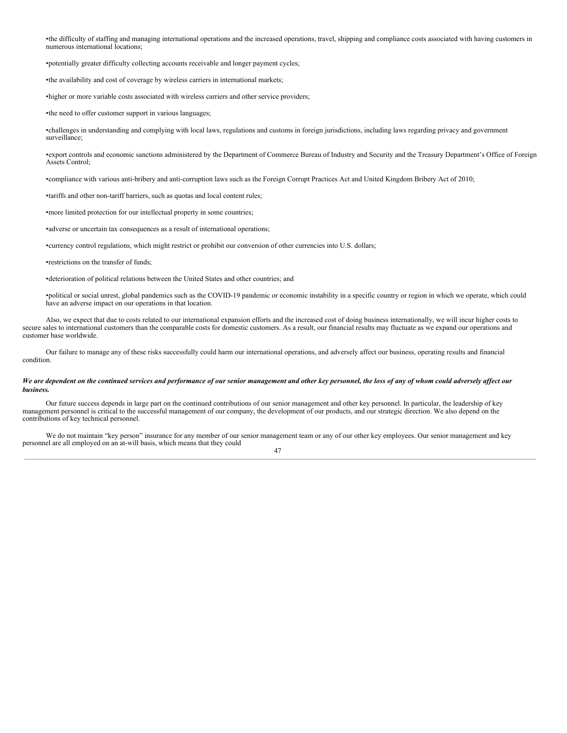•the difficulty of staffing and managing international operations and the increased operations, travel, shipping and compliance costs associated with having customers in numerous international locations;

•potentially greater difficulty collecting accounts receivable and longer payment cycles;

•the availability and cost of coverage by wireless carriers in international markets;

•higher or more variable costs associated with wireless carriers and other service providers;

•the need to offer customer support in various languages;

•challenges in understanding and complying with local laws, regulations and customs in foreign jurisdictions, including laws regarding privacy and government surveillance;

•export controls and economic sanctions administered by the Department of Commerce Bureau of Industry and Security and the Treasury Department's Office of Foreign Assets Control;

•compliance with various anti-bribery and anti-corruption laws such as the Foreign Corrupt Practices Act and United Kingdom Bribery Act of 2010;

•tariffs and other non-tariff barriers, such as quotas and local content rules;

•more limited protection for our intellectual property in some countries;

•adverse or uncertain tax consequences as a result of international operations;

•currency control regulations, which might restrict or prohibit our conversion of other currencies into U.S. dollars;

•restrictions on the transfer of funds;

•deterioration of political relations between the United States and other countries; and

•political or social unrest, global pandemics such as the COVID-19 pandemic or economic instability in a specific country or region in which we operate, which could have an adverse impact on our operations in that location.

Also, we expect that due to costs related to our international expansion efforts and the increased cost of doing business internationally, we will incur higher costs to secure sales to international customers than the comparable costs for domestic customers. As a result, our financial results may fluctuate as we expand our operations and customer base worldwide.

Our failure to manage any of these risks successfully could harm our international operations, and adversely affect our business, operating results and financial condition.

### We are dependent on the continued services and performance of our senior management and other key personnel, the loss of any of whom could adversely affect our *business.*

Our future success depends in large part on the continued contributions of our senior management and other key personnel. In particular, the leadership of key management personnel is critical to the successful management of our company, the development of our products, and our strategic direction. We also depend on the contributions of key technical personnel.

We do not maintain "key person" insurance for any member of our senior management team or any of our other key employees. Our senior management and key personnel are all employed on an at-will basis, which means that they could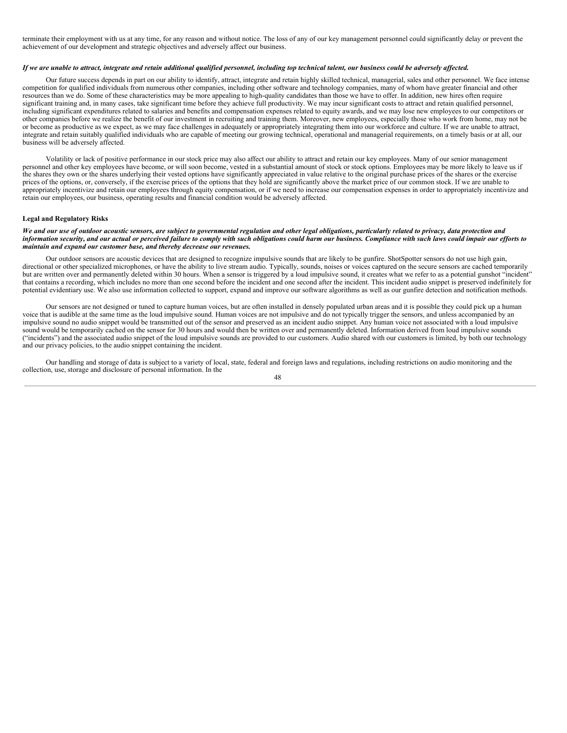terminate their employment with us at any time, for any reason and without notice. The loss of any of our key management personnel could significantly delay or prevent the achievement of our development and strategic objectives and adversely affect our business.

### If we are unable to attract, integrate and retain additional qualified personnel, including top technical talent, our business could be adversely affected.

Our future success depends in part on our ability to identify, attract, integrate and retain highly skilled technical, managerial, sales and other personnel. We face intense competition for qualified individuals from numerous other companies, including other software and technology companies, many of whom have greater financial and other resources than we do. Some of these characteristics may be more appealing to high-quality candidates than those we have to offer. In addition, new hires often require significant training and, in many cases, take significant time before they achieve full productivity. We may incur significant costs to attract and retain qualified personnel, including significant expenditures related to salaries and benefits and compensation expenses related to equity awards, and we may lose new employees to our competitors or other companies before we realize the benefit of our investment in recruiting and training them. Moreover, new employees, especially those who work from home, may not be or become as productive as we expect, as we may face challenges in adequately or appropriately integrating them into our workforce and culture. If we are unable to attract, integrate and retain suitably qualified individuals who are capable of meeting our growing technical, operational and managerial requirements, on a timely basis or at all, our business will be adversely affected.

Volatility or lack of positive performance in our stock price may also affect our ability to attract and retain our key employees. Many of our senior management personnel and other key employees have become, or will soon become, vested in a substantial amount of stock or stock options. Employees may be more likely to leave us if the shares they own or the shares underlying their vested options have significantly appreciated in value relative to the original purchase prices of the shares or the exercise prices of the options, or, conversely, if the exercise prices of the options that they hold are significantly above the market price of our common stock. If we are unable to appropriately incentivize and retain our employees through equity compensation, or if we need to increase our compensation expenses in order to appropriately incentivize and retain our employees, our business, operating results and financial condition would be adversely affected.

#### **Legal and Regulatory Risks**

### We and our use of outdoor acoustic sensors, are subject to governmental regulation and other legal obligations, particularly related to privacy, data protection and information security, and our actual or perceived failure to comply with such obligations could harm our business. Compliance with such laws could impair our efforts to *maintain and expand our customer base, and thereby decrease our revenues.*

Our outdoor sensors are acoustic devices that are designed to recognize impulsive sounds that are likely to be gunfire. ShotSpotter sensors do not use high gain, directional or other specialized microphones, or have the ability to live stream audio. Typically, sounds, noises or voices captured on the secure sensors are cached temporarily but are written over and permanently deleted within 30 hours. When a sensor is triggered by a loud impulsive sound, it creates what we refer to as a potential gunshot "incident" that contains a recording, which includes no more than one second before the incident and one second after the incident. This incident audio snippet is preserved indefinitely for potential evidentiary use. We also use information collected to support, expand and improve our software algorithms as well as our gunfire detection and notification methods.

Our sensors are not designed or tuned to capture human voices, but are often installed in densely populated urban areas and it is possible they could pick up a human voice that is audible at the same time as the loud impulsive sound. Human voices are not impulsive and do not typically trigger the sensors, and unless accompanied by an impulsive sound no audio snippet would be transmitted out of the sensor and preserved as an incident audio snippet. Any human voice not associated with a loud impulsive sound would be temporarily cached on the sensor for 30 hours and would then be written over and permanently deleted. Information derived from loud impulsive sounds ("incidents") and the associated audio snippet of the loud impulsive sounds are provided to our customers. Audio shared with our customers is limited, by both our technology and our privacy policies, to the audio snippet containing the incident.

Our handling and storage of data is subject to a variety of local, state, federal and foreign laws and regulations, including restrictions on audio monitoring and the collection, use, storage and disclosure of personal information. In the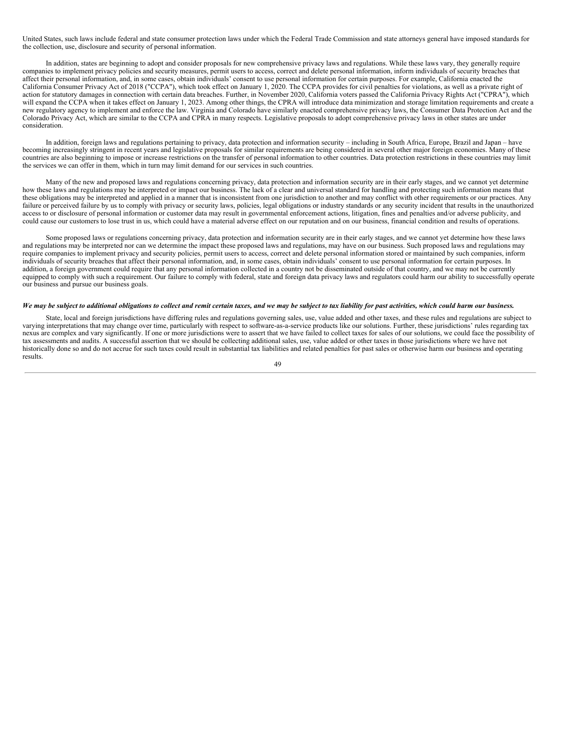United States, such laws include federal and state consumer protection laws under which the Federal Trade Commission and state attorneys general have imposed standards for the collection, use, disclosure and security of personal information.

In addition, states are beginning to adopt and consider proposals for new comprehensive privacy laws and regulations. While these laws vary, they generally require companies to implement privacy policies and security measures, permit users to access, correct and delete personal information, inform individuals of security breaches that affect their personal information, and, in some cases, obtain individuals' consent to use personal information for certain purposes. For example, California enacted the California Consumer Privacy Act of 2018 ("CCPA"), which took effect on January 1, 2020. The CCPA provides for civil penalties for violations, as well as a private right of California Consumer Privacy Act of 2018 ("CCPA"), action for statutory damages in connection with certain data breaches. Further, in November 2020, California voters passed the California Privacy Rights Act ("CPRA"), which will expand the CCPA when it takes effect on January 1, 2023. Among other things, the CPRA will introduce data minimization and storage limitation requirements and create a new regulatory agency to implement and enforce the law. Virginia and Colorado have similarly enacted comprehensive privacy laws, the Consumer Data Protection Act and the Colorado Privacy Act, which are similar to the CCPA and CPRA in many respects. Legislative proposals to adopt comprehensive privacy laws in other states are under consideration.

In addition, foreign laws and regulations pertaining to privacy, data protection and information security – including in South Africa, Europe, Brazil and Japan – have becoming increasingly stringent in recent years and legislative proposals for similar requirements are being considered in several other major foreign economies. Many of these countries are also beginning to impose or increase restrictions on the transfer of personal information to other countries. Data protection restrictions in these countries may limit the services we can offer in them, which in turn may limit demand for our services in such countries.

Many of the new and proposed laws and regulations concerning privacy, data protection and information security are in their early stages, and we cannot yet determine how these laws and regulations may be interpreted or impact our business. The lack of a clear and universal standard for handling and protecting such information means that these obligations may be interpreted and applied in a manner that is inconsistent from one jurisdiction to another and may conflict with other requirements or our practices. Any failure or perceived failure by us to comply with privacy or security laws, policies, legal obligations or industry standards or any security incident that results in the unauthorized access to or disclosure of personal information or customer data may result in governmental enforcement actions, litigation, fines and penalties and/or adverse publicity, and could cause our customers to lose trust in us, which could have a material adverse effect on our reputation and on our business, financial condition and results of operations.

Some proposed laws or regulations concerning privacy, data protection and information security are in their early stages, and we cannot yet determine how these laws and regulations may be interpreted nor can we determine the impact these proposed laws and regulations, may have on our business. Such proposed laws and regulations may require companies to implement privacy and security policies, permit users to access, correct and delete personal information stored or maintained by such companies, inform individuals of security breaches that affect their personal information, and, in some cases, obtain individuals' consent to use personal information for certain purposes. In addition, a foreign government could require that any personal information collected in a country not be disseminated outside of that country, and we may not be currently equipped to comply with such a requirement. Our failure to comply with federal, state and foreign data privacy laws and regulators could harm our ability to successfully operate our business and pursue our business goals.

### We may be subject to additional obligations to collect and remit certain taxes, and we may be subject to tax liability for past activities, which could harm our business.

State, local and foreign jurisdictions have differing rules and regulations governing sales, use, value added and other taxes, and these rules and regulations are subject to varying interpretations that may change over time, particularly with respect to software-as-a-service products like our solutions. Further, these jurisdictions' rules regarding tax nexus are complex and vary significantly. If one or more jurisdictions were to assert that we have failed to collect taxes for sales of our solutions, we could face the possibility of tax assessments and audits. A successful assertion that we should be collecting additional sales, use, value added or other taxes in those jurisdictions where we have not historically done so and do not accrue for such taxes could result in substantial tax liabilities and related penalties for past sales or otherwise harm our business and operating results.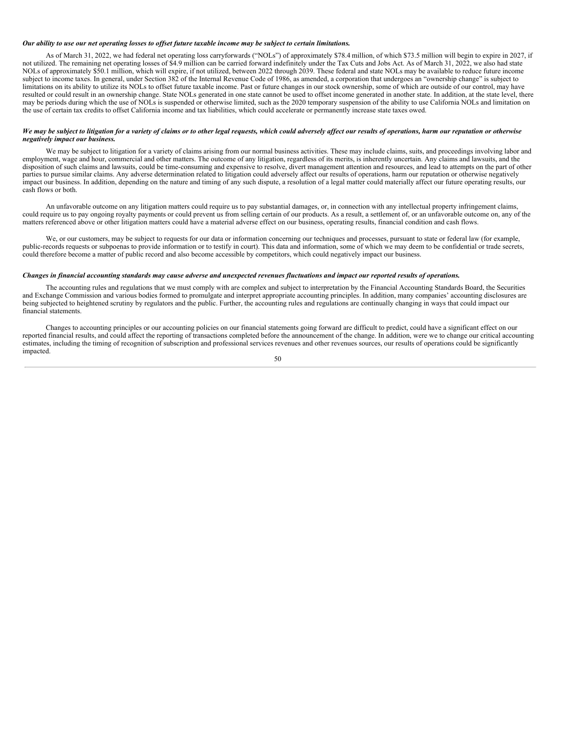#### Our ability to use our net operating losses to offset future taxable income may be subject to certain limitations.

As of March 31, 2022, we had federal net operating loss carryforwards ("NOLs") of approximately \$78.4 million, of which \$73.5 million will begin to expire in 2027, if not utilized. The remaining net operating losses of \$4.9 million can be carried forward indefinitely under the Tax Cuts and Jobs Act. As of March 31, 2022, we also had state NOLs of approximately \$50.1 million, which will expire, if not utilized, between 2022 through 2039. These federal and state NOLs may be available to reduce future income subject to income taxes. In general, under Section 382 of the Internal Revenue Code of 1986, as amended, a corporation that undergoes an "ownership change" is subject to limitations on its ability to utilize its NOLs to offset future taxable income. Past or future changes in our stock ownership, some of which are outside of our control, may have resulted or could result in an ownership change. State NOLs generated in one state cannot be used to offset income generated in another state. In addition, at the state level, there may be periods during which the use of NOLs is suspended or otherwise limited, such as the 2020 temporary suspension of the ability to use California NOLs and limitation on the use of certain tax credits to offset California income and tax liabilities, which could accelerate or permanently increase state taxes owed.

### We may be subject to litigation for a variety of claims or to other legal requests, which could adversely affect our results of operations, harm our reputation or otherwise *negatively impact our business.*

We may be subject to litigation for a variety of claims arising from our normal business activities. These may include claims, suits, and proceedings involving labor and employment, wage and hour, commercial and other matters. The outcome of any litigation, regardless of its merits, is inherently uncertain. Any claims and lawsuits, and the disposition of such claims and lawsuits, could be time-consuming and expensive to resolve, divert management attention and resources, and lead to attempts on the part of other parties to pursue similar claims. Any adverse determination related to litigation could adversely affect our results of operations, harm our reputation or otherwise negatively impact our business. In addition, depending on the nature and timing of any such dispute, a resolution of a legal matter could materially affect our future operating results, our cash flows or both.

An unfavorable outcome on any litigation matters could require us to pay substantial damages, or, in connection with any intellectual property infringement claims, could require us to pay ongoing royalty payments or could prevent us from selling certain of our products. As a result, a settlement of, or an unfavorable outcome on, any of the matters referenced above or other litigation matters could have a material adverse effect on our business, operating results, financial condition and cash flows.

We, or our customers, may be subject to requests for our data or information concerning our techniques and processes, pursuant to state or federal law (for example, public-records requests or subpoenas to provide information or to testify in court). This data and information, some of which we may deem to be confidential or trade secrets, could therefore become a matter of public record and also become accessible by competitors, which could negatively impact our business.

### Changes in financial accounting standards may cause adverse and unexpected revenues fluctuations and impact our reported results of operations.

The accounting rules and regulations that we must comply with are complex and subject to interpretation by the Financial Accounting Standards Board, the Securities and Exchange Commission and various bodies formed to promulgate and interpret appropriate accounting principles. In addition, many companies' accounting disclosures are being subjected to heightened scrutiny by regulators and the public. Further, the accounting rules and regulations are continually changing in ways that could impact our financial statements.

Changes to accounting principles or our accounting policies on our financial statements going forward are difficult to predict, could have a significant effect on our reported financial results, and could affect the reporting of transactions completed before the announcement of the change. In addition, were we to change our critical accounting estimates, including the timing of recognition of subscription and professional services revenues and other revenues sources, our results of operations could be significantly impacted.

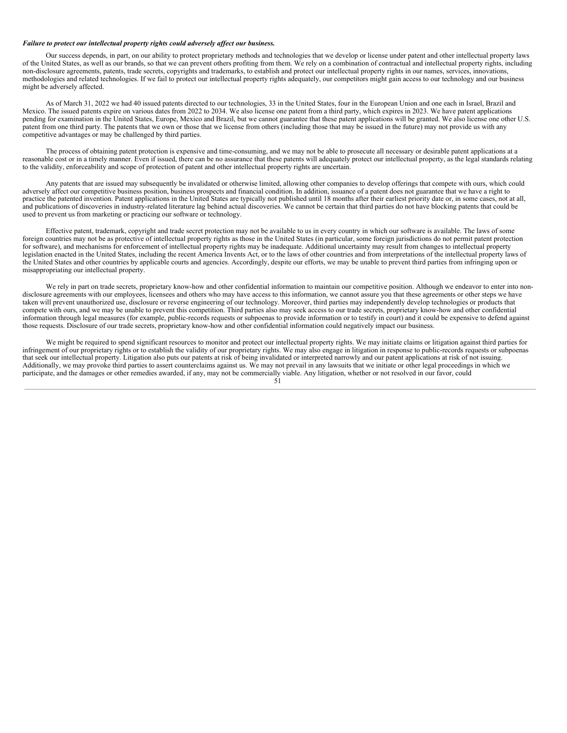### *Failure to protect our intellectual property rights could adversely af ect our business.*

Our success depends, in part, on our ability to protect proprietary methods and technologies that we develop or license under patent and other intellectual property laws of the United States, as well as our brands, so that we can prevent others profiting from them. We rely on a combination of contractual and intellectual property rights, including non-disclosure agreements, patents, trade secrets, copyrights and trademarks, to establish and protect our intellectual property rights in our names, services, innovations, methodologies and related technologies. If we fail to protect our intellectual property rights adequately, our competitors might gain access to our technology and our business might be adversely affected.

As of March 31, 2022 we had 40 issued patents directed to our technologies, 33 in the United States, four in the European Union and one each in Israel, Brazil and Mexico. The issued patents expire on various dates from 2022 to 2034. We also license one patent from a third party, which expires in 2023. We have patent applications pending for examination in the United States, Europe, Mexico and Brazil, but we cannot guarantee that these patent applications will be granted. We also license one other U.S. patent from one third party. The patents that we own or those that we license from others (including those that may be issued in the future) may not provide us with any competitive advantages or may be challenged by third parties.

The process of obtaining patent protection is expensive and time-consuming, and we may not be able to prosecute all necessary or desirable patent applications at a reasonable cost or in a timely manner. Even if issued, there can be no assurance that these patents will adequately protect our intellectual property, as the legal standards relating to the validity, enforceability and scope of protection of patent and other intellectual property rights are uncertain.

Any patents that are issued may subsequently be invalidated or otherwise limited, allowing other companies to develop offerings that compete with ours, which could adversely affect our competitive business position, business prospects and financial condition. In addition, issuance of a patent does not guarantee that we have a right to practice the patented invention. Patent applications in the United States are typically not published until 18 months after their earliest priority date or, in some cases, not at all, and publications of discoveries in industry-related literature lag behind actual discoveries. We cannot be certain that third parties do not have blocking patents that could be used to prevent us from marketing or practicing our software or technology.

Effective patent, trademark, copyright and trade secret protection may not be available to us in every country in which our software is available. The laws of some foreign countries may not be as protective of intellectual property rights as those in the United States (in particular, some foreign jurisdictions do not permit patent protection for software), and mechanisms for enforcement of intellectual property rights may be inadequate. Additional uncertainty may result from changes to intellectual property legislation enacted in the United States, including the recent America Invents Act, or to the laws of other countries and from interpretations of the intellectual property laws of the United States and other countries by applicable courts and agencies. Accordingly, despite our efforts, we may be unable to prevent third parties from infringing upon or misappropriating our intellectual property.

We rely in part on trade secrets, proprietary know-how and other confidential information to maintain our competitive position. Although we endeavor to enter into nondisclosure agreements with our employees, licensees and others who may have access to this information, we cannot assure you that these agreements or other steps we have taken will prevent unauthorized use, disclosure or reverse engineering of our technology. Moreover, third parties may independently develop technologies or products that compete with ours, and we may be unable to prevent this competition. Third parties also may seek access to our trade secrets, proprietary know-how and other confidential information through legal measures (for example, public-records requests or subpoenas to provide information or to testify in court) and it could be expensive to defend against those requests. Disclosure of our trade secrets, proprietary know-how and other confidential information could negatively impact our business.

We might be required to spend significant resources to monitor and protect our intellectual property rights. We may initiate claims or litigation against third parties for infringement of our proprietary rights or to establish the validity of our proprietary rights. We may also engage in litigation in response to public-records requests or subpoenas that seek our intellectual property. Litigation also puts our patents at risk of being invalidated or interpreted narrowly and our patent applications at risk of not issuing. Additionally, we may provoke third parties to assert counterclaims against us. We may not prevail in any lawsuits that we initiate or other legal proceedings in which we participate, and the damages or other remedies awarded, if any, may not be commercially viable. Any litigation, whether or not resolved in our favor, could 51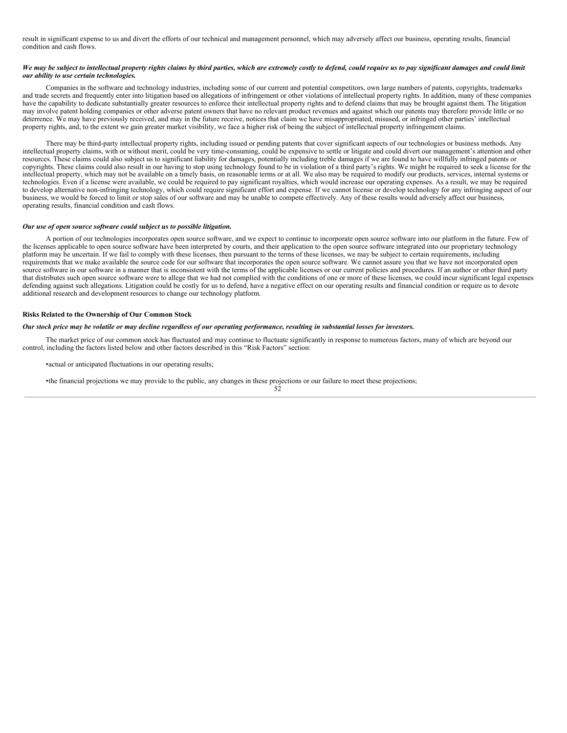result in significant expense to us and divert the efforts of our technical and management personnel, which may adversely affect our business, operating results, financial condition and cash flows.

### We may be subject to intellectual property rights claims by third parties, which are extremely costly to defend, could require us to pay significant damages and could limit *our ability to use certain technologies.*

Companies in the software and technology industries, including some of our current and potential competitors, own large numbers of patents, copyrights, trademarks and trade secrets and frequently enter into litigation based on allegations of infringement or other violations of intellectual property rights. In addition, many of these companies have the capability to dedicate substantially greater resources to enforce their intellectual property rights and to defend claims that may be brought against them. The litigation may involve patent holding companies or other adverse patent owners that have no relevant product revenues and against which our patents may therefore provide little or no deterrence. We may have previously received, and may in the future receive, notices that claim we have misappropriated, misused, or infringed other parties' intellectual property rights, and, to the extent we gain greater market visibility, we face a higher risk of being the subject of intellectual property infringement claims.

There may be third-party intellectual property rights, including issued or pending patents that cover significant aspects of our technologies or business methods. Any intellectual property claims, with or without merit, could be very time-consuming, could be expensive to settle or litigate and could divert our management's attention and other resources. These claims could also subject us to significant liability for damages, potentially including treble damages if we are found to have willfully infringed patents or copyrights. These claims could also result in our having to stop using technology found to be in violation of a third party's rights. We might be required to seek a license for the intellectual property, which may not be available on a timely basis, on reasonable terms or at all. We also may be required to modify our products, services, internal systems or technologies. Even if a license were available, we could be required to pay significant royalties, which would increase our operating expenses. As a result, we may be required to develop alternative non-infringing technology, which could require significant effort and expense. If we cannot license or develop technology for any infringing aspect of our business, we would be forced to limit or stop sales of our software and may be unable to compete effectively. Any of these results would adversely affect our business, operating results, financial condition and cash flows.

### *Our use of open source software could subject us to possible litigation.*

A portion of our technologies incorporates open source software, and we expect to continue to incorporate open source software into our platform in the future. Few of the licenses applicable to open source software have been interpreted by courts, and their application to the open source software integrated into our proprietary technology platform may be uncertain. If we fail to comply with these licenses, then pursuant to the terms of these licenses, we may be subject to certain requirements, including requirements that we make available the source code for our software that incorporates the open source software. We cannot assure you that we have not incorporated open source software in our software in a manner that is inconsistent with the terms of the applicable licenses or our current policies and procedures. If an author or other third party that distributes such open source software were to allege that we had not complied with the conditions of one or more of these licenses, we could incur significant legal expenses defending against such allegations. Litigation could be costly for us to defend, have a negative effect on our operating results and financial condition or require us to devote additional research and development resources to change our technology platform.

### **Risks Related to the Ownership of Our Common Stock**

Our stock price may be volatile or may decline regardless of our operating performance, resulting in substantial losses for investors.

The market price of our common stock has fluctuated and may continue to fluctuate significantly in response to numerous factors, many of which are beyond our control, including the factors listed below and other factors described in this "Risk Factors" section:

•actual or anticipated fluctuations in our operating results;

•the financial projections we may provide to the public, any changes in these projections or our failure to meet these projections;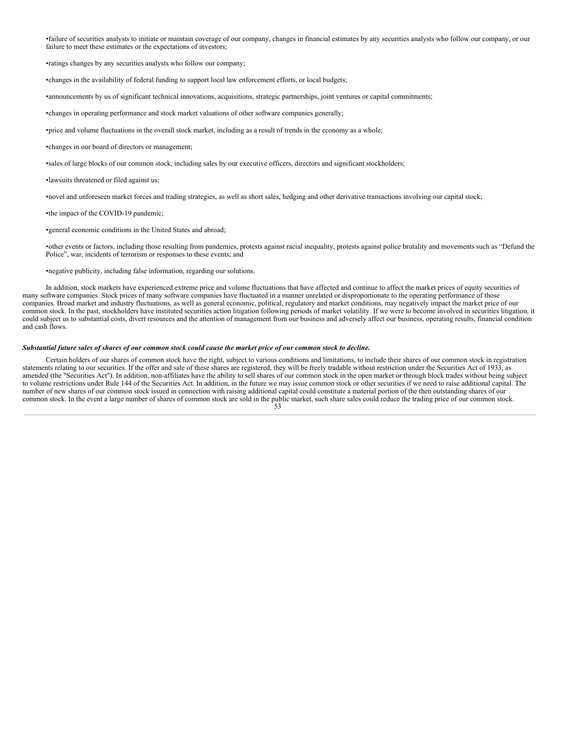•failure of securities analysts to initiate or maintain coverage of our company, changes in financial estimates by any securities analysts who follow our company, or our failure to meet these estimates or the expectations of investors;

•ratings changes by any securities analysts who follow our company;

•changes in the availability of federal funding to support local law enforcement efforts, or local budgets;

•announcements by us of significant technical innovations, acquisitions, strategic partnerships, joint ventures or capital commitments;

•changes in operating performance and stock market valuations of other software companies generally;

•price and volume fluctuations in the overall stock market, including as a result of trends in the economy as a whole;

•changes in our board of directors or management;

•sales of large blocks of our common stock, including sales by our executive officers, directors and significant stockholders;

•lawsuits threatened or filed against us;

•novel and unforeseen market forces and trading strategies, as well as short sales, hedging and other derivative transactions involving our capital stock;

•the impact of the COVID-19 pandemic;

•general economic conditions in the United States and abroad;

•other events or factors, including those resulting from pandemics, protests against racial inequality, protests against police brutality and movements such as "Defund the Police", war, incidents of terrorism or responses to these events; and

•negative publicity, including false information, regarding our solutions.

In addition, stock markets have experienced extreme price and volume fluctuations that have affected and continue to affect the market prices of equity securities of many software companies. Stock prices of many software companies have fluctuated in a manner unrelated or disproportionate to the operating performance of those companies. Broad market and industry fluctuations, as well as general economic, political, regulatory and market conditions, may negatively impact the market price of our common stock. In the past, stockholders have instituted securities action litigation following periods of market volatility. If we were to become involved in securities litigation, it could subject us to substantial costs, divert resources and the attention of management from our business and adversely affect our business, operating results, financial condition and cash flows.

### Substantial future sales of shares of our common stock could cause the market price of our common stock to decline.

Certain holders of our shares of common stock have the right, subject to various conditions and limitations, to include their shares of our common stock in registration statements relating to our securities. If the offer and sale of these shares are registered, they will be freely tradable without restriction under the Securities Act of 1933, as amended (the "Securities Act"). In addition, non-affiliates have the ability to sell shares of our common stock in the open market or through block trades without being subject to volume restrictions under Rule 144 of the Securities Act. In addition, in the future we may issue common stock or other securities if we need to raise additional capital. The number of new shares of our common stock issued in connection with raising additional capital could constitute a material portion of the then outstanding shares of our common stock. In the event a large number of shares of common stock are sold in the public market, such share sales could reduce the trading price of our common stock. 53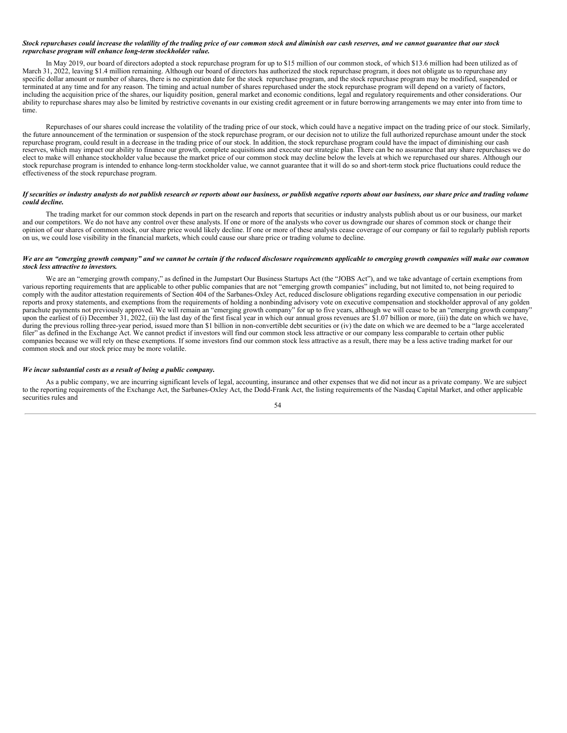### Stock repurchases could increase the volatility of the trading price of our common stock and diminish our cash reserves, and we cannot guarantee that our stock *repurchase program will enhance long-term stockholder value.*

In May 2019, our board of directors adopted a stock repurchase program for up to \$15 million of our common stock, of which \$13.6 million had been utilized as of March 31, 2022, leaving \$1.4 million remaining. Although our board of directors has authorized the stock repurchase program, it does not obligate us to repurchase any specific dollar amount or number of shares, there is no expiration date for the stock repurchase program, and the stock repurchase program may be modified, suspended or terminated at any time and for any reason. The timing and actual number of shares repurchased under the stock repurchase program will depend on a variety of factors, including the acquisition price of the shares, our liquidity position, general market and economic conditions, legal and regulatory requirements and other considerations. Our ability to repurchase shares may also be limited by restrictive covenants in our existing credit agreement or in future borrowing arrangements we may enter into from time to time.

Repurchases of our shares could increase the volatility of the trading price of our stock, which could have a negative impact on the trading price of our stock. Similarly, the future announcement of the termination or suspension of the stock repurchase program, or our decision not to utilize the full authorized repurchase amount under the stock repurchase program, could result in a decrease in the trading price of our stock. In addition, the stock repurchase program could have the impact of diminishing our cash reserves, which may impact our ability to finance our growth, complete acquisitions and execute our strategic plan. There can be no assurance that any share repurchases we do elect to make will enhance stockholder value because the market price of our common stock may decline below the levels at which we repurchased our shares. Although our stock repurchase program is intended to enhance long-term stockholder value, we cannot guarantee that it will do so and short-term stock price fluctuations could reduce the effectiveness of the stock repurchase program.

### If securities or industry analysts do not publish research or reports about our business, or publish negative reports about our business, our share price and trading volume *could decline.*

The trading market for our common stock depends in part on the research and reports that securities or industry analysts publish about us or our business, our market and our competitors. We do not have any control over these analysts. If one or more of the analysts who cover us downgrade our shares of common stock or change their opinion of our shares of common stock, our share price would likely decline. If one or more of these analysts cease coverage of our company or fail to regularly publish reports on us, we could lose visibility in the financial markets, which could cause our share price or trading volume to decline.

### We are an "emerging growth company" and we cannot be certain if the reduced disclosure requirements applicable to emerging growth companies will make our common *stock less attractive to investors.*

We are an "emerging growth company," as defined in the Jumpstart Our Business Startups Act (the "JOBS Act"), and we take advantage of certain exemptions from various reporting requirements that are applicable to other public companies that are not "emerging growth companies" including, but not limited to, not being required to comply with the auditor attestation requirements of Section 404 of the Sarbanes-Oxley Act, reduced disclosure obligations regarding executive compensation in our periodic reports and proxy statements, and exemptions from the requirements of holding a nonbinding advisory vote on executive compensation and stockholder approval of any golden parachute payments not previously approved. We will remain an "emerging growth company" for up to five years, although we will cease to be an "emerging growth company" upon the earliest of (i) December 31, 2022, (ii) the last day of the first fiscal year in which our annual gross revenues are \$1.07 billion or more, (iii) the date on which we have, during the previous rolling three-year period, issued more than \$1 billion in non-convertible debt securities or (iv) the date on which we are deemed to be a "large accelerated filer" as defined in the Exchange Act. We cannot predict if investors will find our common stock less attractive or our company less comparable to certain other public companies because we will rely on these exemptions. If some investors find our common stock less attractive as a result, there may be a less active trading market for our common stock and our stock price may be more volatile.

### *We incur substantial costs as a result of being a public company.*

As a public company, we are incurring significant levels of legal, accounting, insurance and other expenses that we did not incur as a private company. We are subject to the reporting requirements of the Exchange Act, the Sarbanes-Oxley Act, the Dodd-Frank Act, the listing requirements of the Nasdaq Capital Market, and other applicable securities rules and

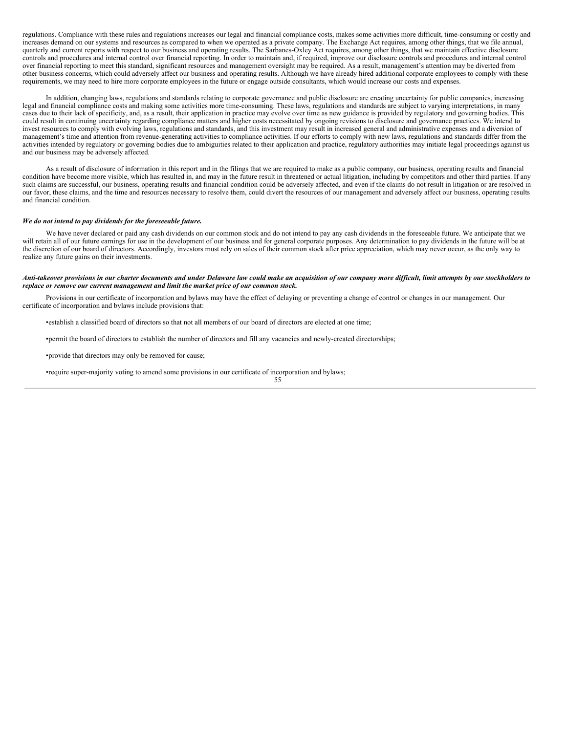regulations. Compliance with these rules and regulations increases our legal and financial compliance costs, makes some activities more difficult, time-consuming or costly and increases demand on our systems and resources as compared to when we operated as a private company. The Exchange Act requires, among other things, that we file annual, quarterly and current reports with respect to our business and operating results. The Sarbanes-Oxley Act requires, among other things, that we maintain effective disclosure controls and procedures and internal control over financial reporting. In order to maintain and, if required, improve our disclosure controls and procedures and internal control over financial reporting to meet this standard, significant resources and management oversight may be required. As a result, management's attention may be diverted from other business concerns, which could adversely affect our business and operating results. Although we have already hired additional corporate employees to comply with these requirements, we may need to hire more corporate employees in the future or engage outside consultants, which would increase our costs and expenses.

In addition, changing laws, regulations and standards relating to corporate governance and public disclosure are creating uncertainty for public companies, increasing legal and financial compliance costs and making some activities more time-consuming. These laws, regulations and standards are subject to varying interpretations, in many cases due to their lack of specificity, and, as a result, their application in practice may evolve over time as new guidance is provided by regulatory and governing bodies. This could result in continuing uncertainty regarding compliance matters and higher costs necessitated by ongoing revisions to disclosure and governance practices. We intend to invest resources to comply with evolving laws, regulations and standards, and this investment may result in increased general and administrative expenses and a diversion of management's time and attention from revenue-generating activities to compliance activities. If our efforts to comply with new laws, regulations and standards differ from the activities intended by regulatory or governing bodies due to ambiguities related to their application and practice, regulatory authorities may initiate legal proceedings against us and our business may be adversely affected.

As a result of disclosure of information in this report and in the filings that we are required to make as a public company, our business, operating results and financial condition have become more visible, which has resulted in, and may in the future result in threatened or actual litigation, including by competitors and other third parties. If any such claims are successful, our business, operating results and financial condition could be adversely affected, and even if the claims do not result in litigation or are resolved in our favor, these claims, and the time and resources necessary to resolve them, could divert the resources of our management and adversely affect our business, operating results and financial condition.

#### *We do not intend to pay dividends for the foreseeable future.*

We have never declared or paid any cash dividends on our common stock and do not intend to pay any cash dividends in the foreseeable future. We anticipate that we will retain all of our future earnings for use in the development of our business and for general corporate purposes. Any determination to pay dividends in the future will be at the discretion of our board of directors. Accordingly, investors must rely on sales of their common stock after price appreciation, which may never occur, as the only way to realize any future gains on their investments.

### Anti-takeover provisions in our charter documents and under Delaware law could make an acquisition of our company more difficult, limit attempts by our stockholders to *replace or remove our current management and limit the market price of our common stock.*

Provisions in our certificate of incorporation and bylaws may have the effect of delaying or preventing a change of control or changes in our management. Our certificate of incorporation and bylaws include provisions that:

•establish a classified board of directors so that not all members of our board of directors are elected at one time;

•permit the board of directors to establish the number of directors and fill any vacancies and newly-created directorships;

•provide that directors may only be removed for cause;

•require super-majority voting to amend some provisions in our certificate of incorporation and bylaws;

55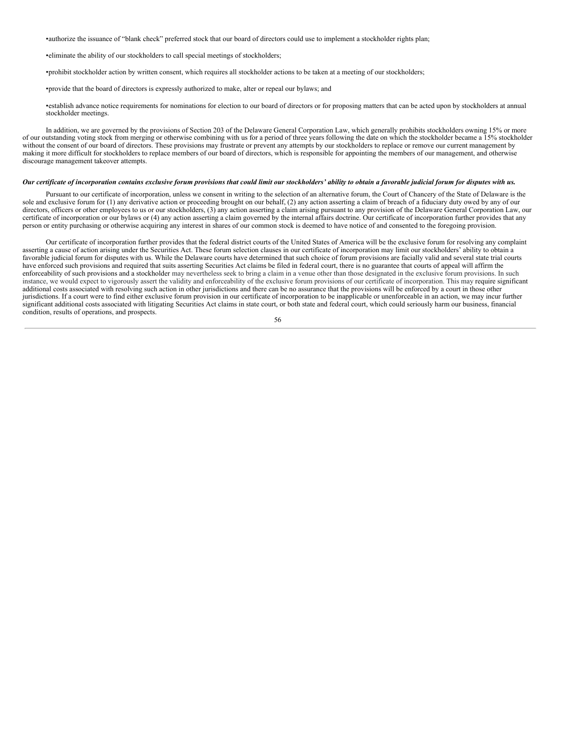•authorize the issuance of "blank check" preferred stock that our board of directors could use to implement a stockholder rights plan;

•eliminate the ability of our stockholders to call special meetings of stockholders;

•prohibit stockholder action by written consent, which requires all stockholder actions to be taken at a meeting of our stockholders;

•provide that the board of directors is expressly authorized to make, alter or repeal our bylaws; and

•establish advance notice requirements for nominations for election to our board of directors or for proposing matters that can be acted upon by stockholders at annual stockholder meetings.

In addition, we are governed by the provisions of Section 203 of the Delaware General Corporation Law, which generally prohibits stockholders owning 15% or more of our outstanding voting stock from merging or otherwise combining with us for a period of three years following the date on which the stockholder became a 15% stockholder without the consent of our board of directors. These provisions may frustrate or prevent any attempts by our stockholders to replace or remove our current management by making it more difficult for stockholders to replace members of our board of directors, which is responsible for appointing the members of our management, and otherwise discourage management takeover attempts.

### Our certificate of incorporation contains exclusive forum provisions that could limit our stockholders' ability to obtain a favorable judicial forum for disputes with us.

Pursuant to our certificate of incorporation, unless we consent in writing to the selection of an alternative forum, the Court of Chancery of the State of Delaware is the sole and exclusive forum for (1) any derivative action or proceeding brought on our behalf, (2) any action asserting a claim of breach of a fiduciary duty owed by any of our directors, officers or other employees to us or our stockholders, (3) any action asserting a claim arising pursuant to any provision of the Delaware General Corporation Law, our certificate of incorporation or our bylaws or (4) any action asserting a claim governed by the internal affairs doctrine. Our certificate of incorporation further provides that any person or entity purchasing or otherwise acquiring any interest in shares of our common stock is deemed to have notice of and consented to the foregoing provision.

Our certificate of incorporation further provides that the federal district courts of the United States of America will be the exclusive forum for resolving any complaint asserting a cause of action arising under the Securities Act. These forum selection clauses in our certificate of incorporation may limit our stockholders' ability to obtain a favorable judicial forum for disputes with us. While the Delaware courts have determined that such choice of forum provisions are facially valid and several state trial courts have enforced such provisions and required that suits asserting Securities Act claims be filed in federal court, there is no guarantee that courts of appeal will affirm the enforceability of such provisions and a stockholder may nevertheless seek to bring a claim in a venue other than those designated in the exclusive forum provisions. In such instance, we would expect to vigorously assert the validity and enforceability of the exclusive forum provisions of our certificate of incorporation. This may require significant additional costs associated with resolving such action in other jurisdictions and there can be no assurance that the provisions will be enforced by a court in those other jurisdictions. If a court were to find either exclusive forum provision in our certificate of incorporation to be inapplicable or unenforceable in an action, we may incur further significant additional costs associated with litigating Securities Act claims in state court, or both state and federal court, which could seriously harm our business, financial condition, results of operations, and prospects.

56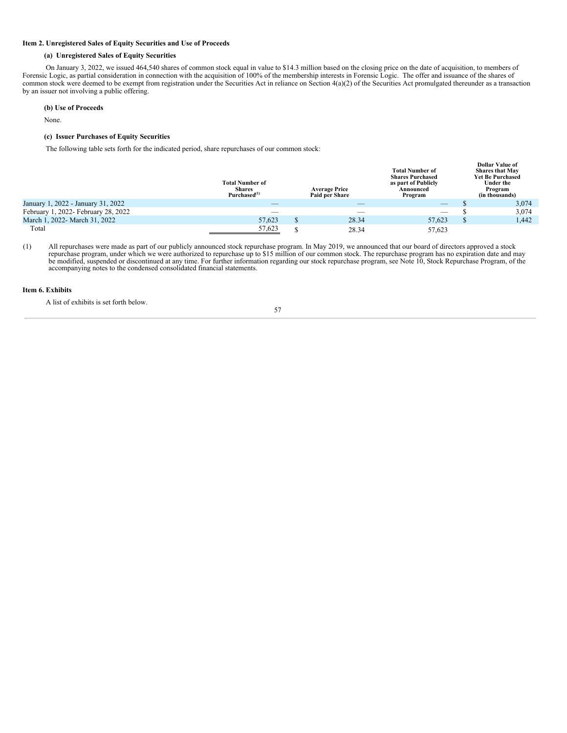### <span id="page-57-0"></span>**Item 2. Unregistered Sales of Equity Securities and Use of Proceeds**

### **(a) Unregistered Sales of Equity Securities**

On January 3, 2022, we issued 464,540 shares of common stock equal in value to \$14.3 million based on the closing price on the date of acquisition, to members of Forensic Logic, as partial consideration in connection with the acquisition of 100% of the membership interests in Forensic Logic. The offer and issuance of the shares of common stock were deemed to be exempt from registration under the Securities Act in reliance on Section 4(a)(2) of the Securities Act promulgated thereunder as a transaction by an issuer not involving a public offering.

### **(b) Use of Proceeds**

None.

### **(c) Issuer Purchases of Equity Securities**

The following table sets forth for the indicated period, share repurchases of our common stock:

|                                     | <b>Total Number of</b><br><b>Shares</b><br>$Purchased^{(1)}$ |             | <b>Average Price</b><br>Paid per Share | <b>Total Number of</b><br><b>Shares Purchased</b><br>as part of Publicly<br>Announced<br>Program | Dollar value of<br><b>Shares that May</b><br><b>Yet Be Purchased</b><br>Under the<br>Program<br>(in thousands) |
|-------------------------------------|--------------------------------------------------------------|-------------|----------------------------------------|--------------------------------------------------------------------------------------------------|----------------------------------------------------------------------------------------------------------------|
| January 1, 2022 - January 31, 2022  | $\overline{\phantom{a}}$                                     |             |                                        | $\hspace{0.1mm}-\hspace{0.1mm}$                                                                  | 3,074                                                                                                          |
| February 1, 2022- February 28, 2022 | -                                                            |             | $\overline{\phantom{a}}$               | $-$                                                                                              | 3,074                                                                                                          |
| March 1, 2022- March 31, 2022       | 57.623                                                       |             | 28.34                                  | 57.623                                                                                           | 1,442                                                                                                          |
| Total                               | 57,623                                                       | $\triangle$ | 28.34                                  | 57.623                                                                                           |                                                                                                                |

**Dollar Value of**

(1) All repurchases were made as part of our publicly announced stock repurchase program. In May 2019, we announced that our board of directors approved a stock repurchase program, under which we were authorized to repurch be modified, suspended or discontinued at any time. For further information regarding our stock repurchase program, see Note 10, Stock Repurchase Program, of the accompanying notes to the condensed consolidated financial statements.

### <span id="page-57-1"></span>**Item 6. Exhibits**

A list of exhibits is set forth below.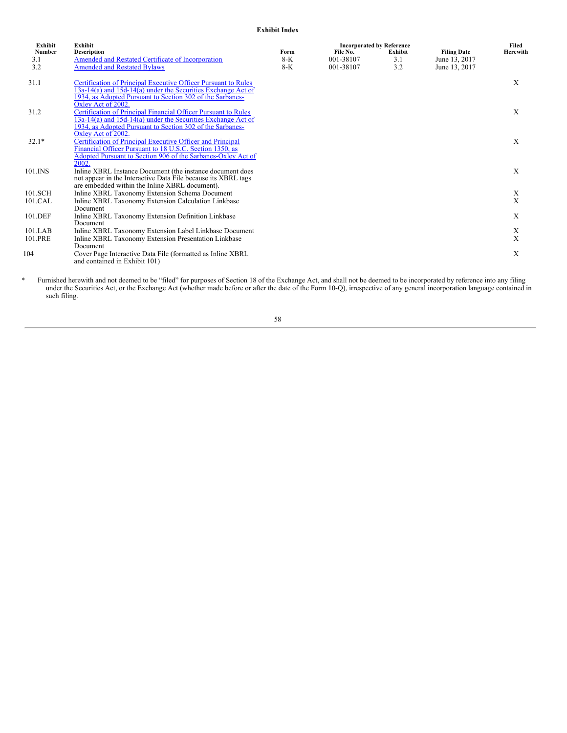**Exhibit Index**

<span id="page-58-0"></span>

| Exhibit<br>Number<br>3.1<br>3.2 | <b>Exhibit</b><br><b>Description</b><br>Amended and Restated Certificate of Incorporation<br><b>Amended and Restated Bylaws</b>                                                                                       | Form<br>$8-K$<br>$8-K$ | <b>Incorporated by Reference</b><br>File No.<br>001-38107<br>001-38107 | Exhibit<br>3.1<br>3.2 | <b>Filing Date</b><br>June 13, 2017<br>June 13, 2017 | Filed<br>Herewith |
|---------------------------------|-----------------------------------------------------------------------------------------------------------------------------------------------------------------------------------------------------------------------|------------------------|------------------------------------------------------------------------|-----------------------|------------------------------------------------------|-------------------|
| 31.1                            | Certification of Principal Executive Officer Pursuant to Rules<br>$13a-14(a)$ and $15d-14(a)$ under the Securities Exchange Act of<br>1934, as Adopted Pursuant to Section 302 of the Sarbanes-<br>Oxley Act of 2002. |                        |                                                                        |                       |                                                      | X                 |
| 31.2                            | Certification of Principal Financial Officer Pursuant to Rules<br>$13a-14(a)$ and $15d-14(a)$ under the Securities Exchange Act of<br>1934, as Adopted Pursuant to Section 302 of the Sarbanes-<br>Oxley Act of 2002. |                        |                                                                        |                       |                                                      | X                 |
| $32.1*$                         | Certification of Principal Executive Officer and Principal<br>Financial Officer Pursuant to 18 U.S.C. Section 1350, as<br>Adopted Pursuant to Section 906 of the Sarbanes-Oxley Act of<br>2002.                       |                        |                                                                        |                       |                                                      | X                 |
| 101.INS                         | Inline XBRL Instance Document (the instance document does<br>not appear in the Interactive Data File because its XBRL tags<br>are embedded within the Inline XBRL document).                                          |                        |                                                                        |                       |                                                      | X                 |
| 101.SCH                         | Inline XBRL Taxonomy Extension Schema Document                                                                                                                                                                        |                        |                                                                        |                       |                                                      | X                 |
| 101.CAL                         | Inline XBRL Taxonomy Extension Calculation Linkbase<br>Document                                                                                                                                                       |                        |                                                                        |                       |                                                      | X                 |
| 101.DEF                         | Inline XBRL Taxonomy Extension Definition Linkbase<br>Document                                                                                                                                                        |                        |                                                                        |                       |                                                      | X                 |
| 101.LAB                         | Inline XBRL Taxonomy Extension Label Linkbase Document                                                                                                                                                                |                        |                                                                        |                       |                                                      | X                 |
| 101.PRE                         | Inline XBRL Taxonomy Extension Presentation Linkbase<br>Document                                                                                                                                                      |                        |                                                                        |                       |                                                      | X                 |
| 104                             | Cover Page Interactive Data File (formatted as Inline XBRL)<br>and contained in Exhibit 101)                                                                                                                          |                        |                                                                        |                       |                                                      | X                 |

\* Furnished herewith and not deemed to be "filed" for purposes of Section 18 of the Exchange Act, and shall not be deemed to be incorporated by reference into any filing under the Securities Act, or the Exchange Act (whether made before or after the date of the Form 10-Q), irrespective of any general incorporation language contained in such filing.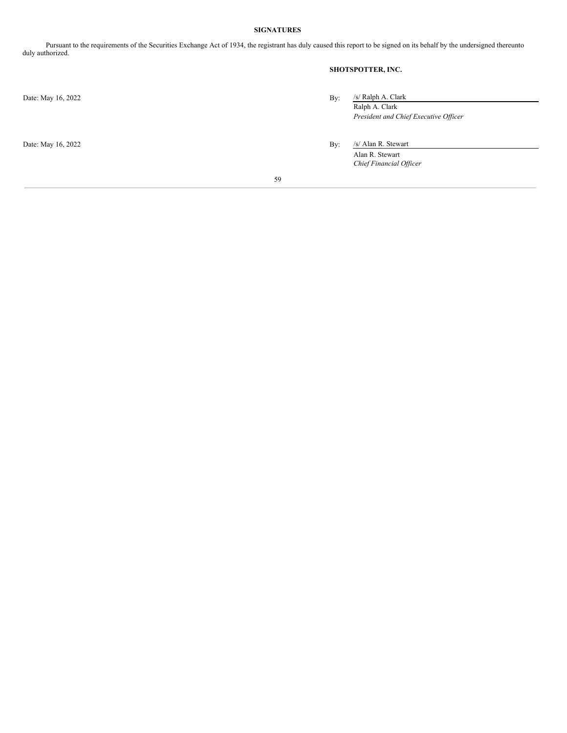# **SIGNATURES**

<span id="page-59-0"></span>Pursuant to the requirements of the Securities Exchange Act of 1934, the registrant has duly caused this report to be signed on its behalf by the undersigned thereunto duly authorized.

# **SHOTSPOTTER, INC.**

| Date: May 16, 2022 | By: | /s/ Ralph A. Clark<br>Ralph A. Clark<br>President and Chief Executive Officer |
|--------------------|-----|-------------------------------------------------------------------------------|
| Date: May 16, 2022 | By: | /s/ Alan R. Stewart<br>Alan R. Stewart<br>Chief Financial Officer             |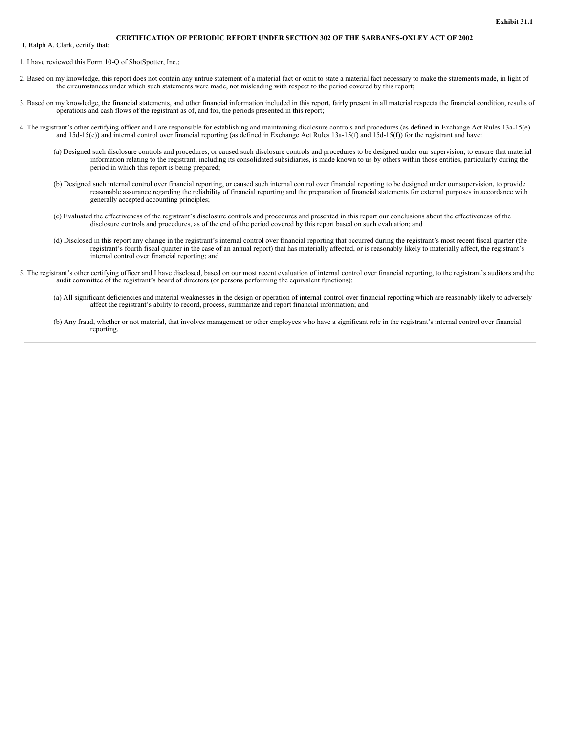### **CERTIFICATION OF PERIODIC REPORT UNDER SECTION 302 OF THE SARBANES-OXLEY ACT OF 2002**

I, Ralph A. Clark, certify that:

- 1. I have reviewed this Form 10-Q of ShotSpotter, Inc.;
- 2. Based on my knowledge, this report does not contain any untrue statement of a material fact or omit to state a material fact necessary to make the statements made, in light of the circumstances under which such statements were made, not misleading with respect to the period covered by this report;
- 3. Based on my knowledge, the financial statements, and other financial information included in this report, fairly present in all material respects the financial condition, results of operations and cash flows of the registrant as of, and for, the periods presented in this report;
- 4. The registrant's other certifying officer and I are responsible for establishing and maintaining disclosure controls and procedures (as defined in Exchange Act Rules 13a-15(e) and 15d-15(e)) and internal control over financial reporting (as defined in Exchange Act Rules 13a-15(f) and 15d-15(f)) for the registrant and have:
	- (a) Designed such disclosure controls and procedures, or caused such disclosure controls and procedures to be designed under our supervision, to ensure that material information relating to the registrant, including its consolidated subsidiaries, is made known to us by others within those entities, particularly during the period in which this report is being prepared;
	- (b) Designed such internal control over financial reporting, or caused such internal control over financial reporting to be designed under our supervision, to provide reasonable assurance regarding the reliability of financial reporting and the preparation of financial statements for external purposes in accordance with generally accepted accounting principles;
	- (c) Evaluated the effectiveness of the registrant's disclosure controls and procedures and presented in this report our conclusions about the effectiveness of the disclosure controls and procedures, as of the end of the period covered by this report based on such evaluation; and
	- (d) Disclosed in this report any change in the registrant's internal control over financial reporting that occurred during the registrant's most recent fiscal quarter (the registrant's fourth fiscal quarter in the case of an annual report) that has materially affected, or is reasonably likely to materially affect, the registrant's internal control over financial reporting; and
- 5. The registrant's other certifying officer and I have disclosed, based on our most recent evaluation of internal control over financial reporting, to the registrant's auditors and the audit committee of the registrant's board of directors (or persons performing the equivalent functions):
	- (a) All significant deficiencies and material weaknesses in the design or operation of internal control over financial reporting which are reasonably likely to adversely affect the registrant's ability to record, process, summarize and report financial information; and
	- (b) Any fraud, whether or not material, that involves management or other employees who have a significant role in the registrant's internal control over financial reporting.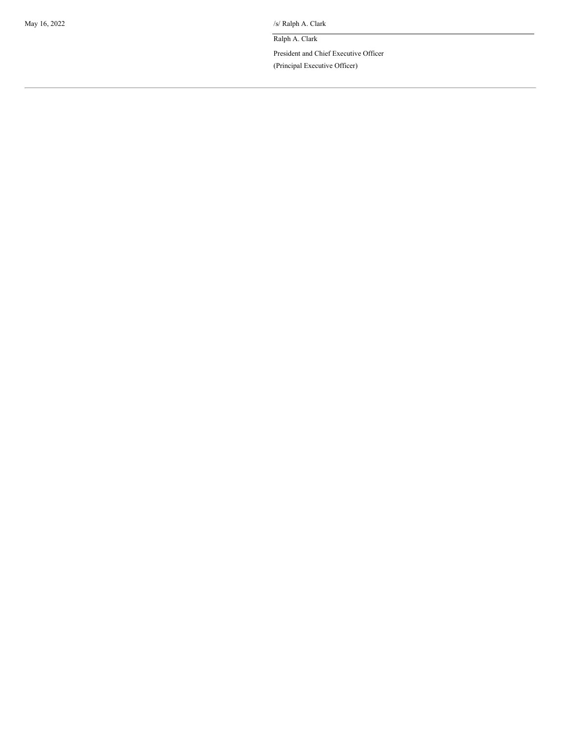<span id="page-62-0"></span>/s/ Ralph A. Clark

Ralph A. Clark President and Chief Executive Officer (Principal Executive Officer)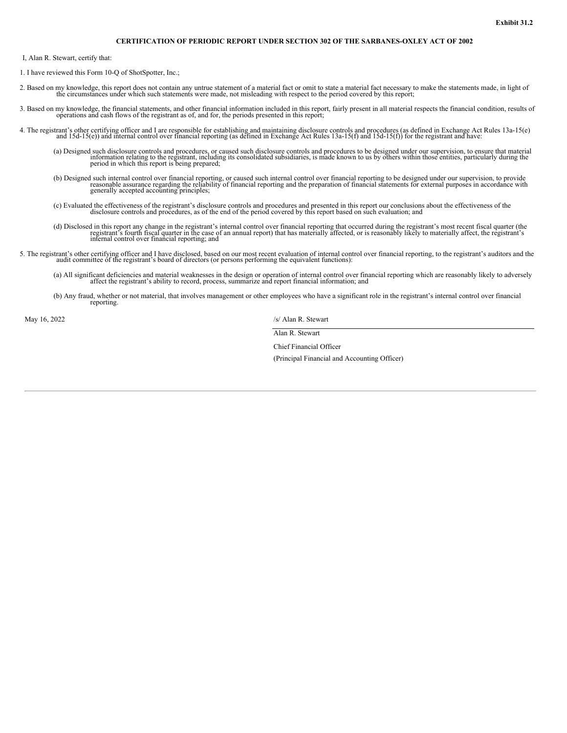### **CERTIFICATION OF PERIODIC REPORT UNDER SECTION 302 OF THE SARBANES-OXLEY ACT OF 2002**

<span id="page-64-0"></span>I, Alan R. Stewart, certify that:

1. I have reviewed this Form 10-Q of ShotSpotter, Inc.;

- 2. Based on my knowledge, this report does not contain any untrue statement of a material fact or omit to state a material fact necessary to make the statements made, in light of the circumstances under which such statemen
- 3. Based on my knowledge, the financial statements, and other financial information included in this report, fairly present in all material respects the financial condition, results of operations and cash flows of the regi
- 4. The registrant's other certifying officer and I are responsible for establishing and maintaining disclosure controls and procedures (as defined in Exchange Act Rules 13a-15(e) and 15d-15(e) and internal control over fin
	- (a) Designed such disclosure controls and procedures, or caused such disclosure controls and procedures to be designed under our supervision, to ensure that material<br>information relating to the registrant, including its co
	- (b) Designed such internal control over financial reporting, or caused such internal control over financial reporting to be designed under our supervision, to provide<br>reasonable assurance regarding the reliability of finan
	- (c) Evaluated the effectiveness of the registrant's disclosure controls and procedures and presented in this report our conclusions about the effectiveness of the disclosure controls and procedures, as of the end of the pe
	- (d) Disclosed in this report any change in the registrant's internal control over financial reporting that occurred during the registrant's most recent fiscal quarter (the registrant's fourth fiscal quarter in the case of
- 5. The registrant's other certifying officer and I have disclosed, based on our most recent evaluation of internal control over financial reporting, to the registrant's auditors and the audit committee of the registrant's
	- (a) All significant deficiencies and material weaknesses in the design or operation of internal control over financial reporting which are reasonably likely to adversely affect the registrant's ability to record, process,
	- (b) Any fraud, whether or not material, that involves management or other employees who have a significant role in the registrant's internal control over financial reporting.

May 16, 2022 /s/ Alan R. Stewart Alan R. Stewart

> Chief Financial Officer (Principal Financial and Accounting Officer)